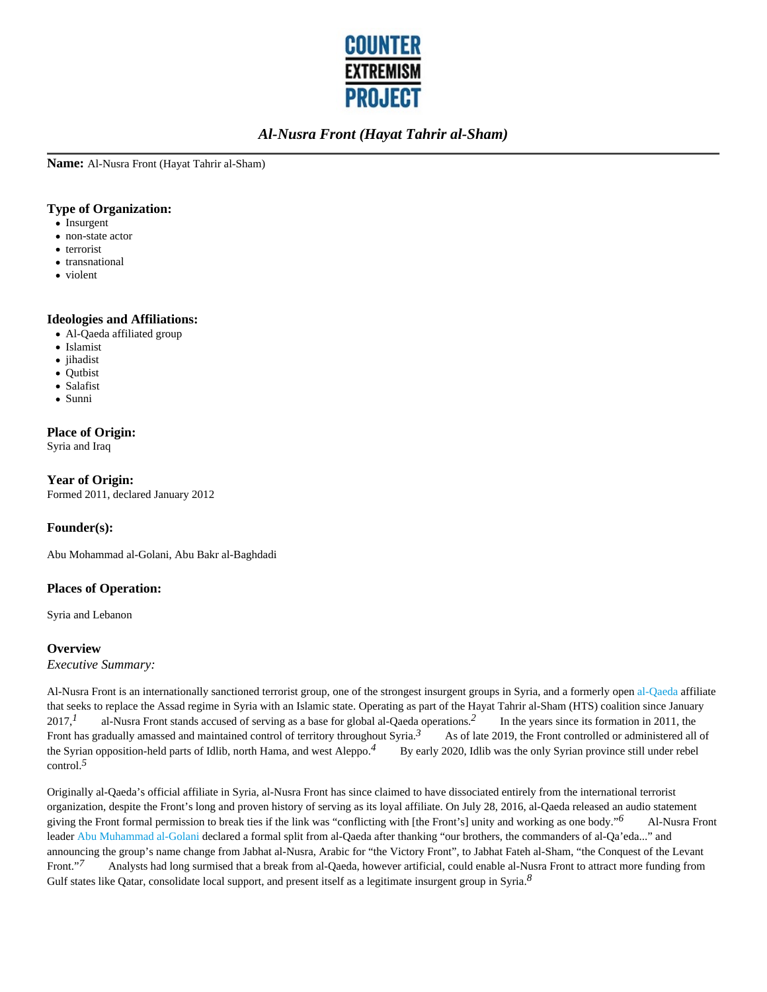

**Name:** Al-Nusra Front (Hayat Tahrir al-Sham)

#### **Type of Organization:**

- Insurgent
- non-state actor
- terrorist
- transnational
- violent

#### **Ideologies and Affiliations:**

- Al-Qaeda affiliated group
- Islamist
- jihadist
- Qutbist
- Salafist
- Sunni

#### **Place of Origin:**

Syria and Iraq

**Year of Origin:** Formed 2011, declared January 2012

#### **Founder(s):**

Abu Mohammad al-Golani, Abu Bakr al-Baghdadi

#### **Places of Operation:**

Syria and Lebanon

#### **Overview**

*Executive Summary:*

Al-Nusra Front is an internationally sanctioned terrorist group, one of the strongest insurgent groups in Syria, and a formerly open al-Qaeda affiliate that seeks to replace the Assad regime in Syria with an Islamic state. Operating as part of the Hayat Tahrir al-Sham (HTS) coalition since January 2017,*1* al-Nusra Front stands accused of serving as a base for global al-Qaeda operations.*2* In the years since its formation in 2011, the Front has gradually amassed and maintained control of territory throughout Syria.<sup>3</sup> As of late 2019, the Front controlled or administered all of the Syrian opposition-held parts of Idlib, north Hama, and west Aleppo.*4* By early 2020, Idlib was the only Syrian province still under rebel control.*5*

Originally al-Qaeda's official affiliate in Syria, al-Nusra Front has since claimed to have dissociated entirely from the international terrorist organization, despite the Front's long and proven history of serving as its loyal affiliate. On July 28, 2016, al-Qaeda released an audio statement giving the Front formal permission to break ties if the link was "conflicting with [the Front's] unity and working as one body."*6* Al-Nusra Front leader Abu Muhammad al-Golani declared a formal split from al-Qaeda after thanking "our brothers, the commanders of al-Qa'eda..." and announcing the group's name change from Jabhat al-Nusra, Arabic for "the Victory Front", to Jabhat Fateh al-Sham, "the Conquest of the Levant Front."*7* Analysts had long surmised that a break from al-Qaeda, however artificial, could enable al-Nusra Front to attract more funding from Gulf states like Qatar, consolidate local support, and present itself as a legitimate insurgent group in Syria.*8*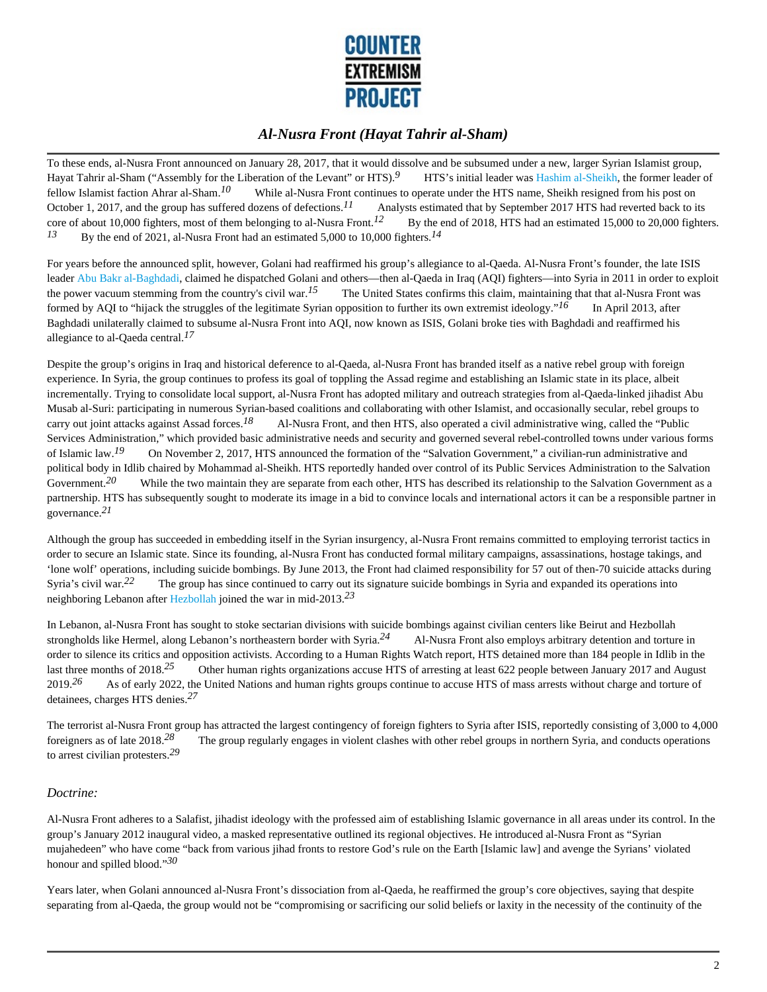

To these ends, al-Nusra Front announced on January 28, 2017, that it would dissolve and be subsumed under a new, larger Syrian Islamist group, Hayat Tahrir al-Sham ("Assembly for the Liberation of the Levant" or HTS).*9* HTS's initial leader was Hashim al-Sheikh, the former leader of fellow Islamist faction Ahrar al-Sham.*10* While al-Nusra Front continues to operate under the HTS name, Sheikh resigned from his post on October 1, 2017, and the group has suffered dozens of defections.<sup>11</sup> Analysts estimated that by September 2017 HTS had reverted back to its core of about 10,000 fighters, most of them belonging to al-Nusra Front.<sup>12</sup> By the end of 2018, HTS had an estimated 15,000 to 20,000 fighters. *13* By the end of 2021, al-Nusra Front had an estimated 5,000 to 10,000 fighters.*14*

For years before the announced split, however, Golani had reaffirmed his group's allegiance to al-Qaeda. Al-Nusra Front's founder, the late ISIS leader Abu Bakr al-Baghdadi, claimed he dispatched Golani and others—then al-Qaeda in Iraq (AQI) fighters—into Syria in 2011 in order to exploit the power vacuum stemming from the country's civil war.<sup>15</sup> The United States confirms this claim, maintaining that that al-Nusra Front was formed by AQI to "hijack the struggles of the legitimate Syrian opposition to further its own extremist ideology."*16* In April 2013, after Baghdadi unilaterally claimed to subsume al-Nusra Front into AQI, now known as ISIS, Golani broke ties with Baghdadi and reaffirmed his allegiance to al-Qaeda central.*17*

Despite the group's origins in Iraq and historical deference to al-Qaeda, al-Nusra Front has branded itself as a native rebel group with foreign experience. In Syria, the group continues to profess its goal of toppling the Assad regime and establishing an Islamic state in its place, albeit incrementally. Trying to consolidate local support, al-Nusra Front has adopted military and outreach strategies from al-Qaeda-linked jihadist Abu Musab al-Suri: participating in numerous Syrian-based coalitions and collaborating with other Islamist, and occasionally secular, rebel groups to carry out joint attacks against Assad forces.*18* Al-Nusra Front, and then HTS, also operated a civil administrative wing, called the "Public Services Administration," which provided basic administrative needs and security and governed several rebel-controlled towns under various forms of Islamic law.*19* On November 2, 2017, HTS announced the formation of the "Salvation Government," a civilian-run administrative and political body in Idlib chaired by Mohammad al-Sheikh. HTS reportedly handed over control of its Public Services Administration to the Salvation Government.<sup>20</sup> While the two maintain they are separate from each other, HTS has described its relationship to the Salvation Government as a partnership. HTS has subsequently sought to moderate its image in a bid to convince locals and international actors it can be a responsible partner in governance.*21*

Although the group has succeeded in embedding itself in the Syrian insurgency, al-Nusra Front remains committed to employing terrorist tactics in order to secure an Islamic state. Since its founding, al-Nusra Front has conducted formal military campaigns, assassinations, hostage takings, and 'lone wolf' operations, including suicide bombings. By June 2013, the Front had claimed responsibility for 57 out of then-70 suicide attacks during Syria's civil war.<sup>22</sup> The group has since continued to carry out its signature suicide bombings in Syria and expanded its operations into neighboring Lebanon after Hezbollah joined the war in mid-2013.*23*

In Lebanon, al-Nusra Front has sought to stoke sectarian divisions with suicide bombings against civilian centers like Beirut and Hezbollah strongholds like Hermel, along Lebanon's northeastern border with Syria.*24* Al-Nusra Front also employs arbitrary detention and torture in order to silence its critics and opposition activists. According to a Human Rights Watch report, HTS detained more than 184 people in Idlib in the last three months of 2018.<sup>25</sup> Other human rights organizations accuse HTS of arresting at least 622 people between January 2017 and August 2019.<sup>26</sup> As of early 2022, the United Nations and human rights groups continue to accuse HTS of mass arrests without charge and torture of detainees, charges HTS denies.*27*

The terrorist al-Nusra Front group has attracted the largest contingency of foreign fighters to Syria after ISIS, reportedly consisting of 3,000 to 4,000 foreigners as of late 2018.*28* The group regularly engages in violent clashes with other rebel groups in northern Syria, and conducts operations to arrest civilian protesters.*29*

#### *Doctrine:*

Al-Nusra Front adheres to a Salafist, jihadist ideology with the professed aim of establishing Islamic governance in all areas under its control. In the group's January 2012 inaugural video, a masked representative outlined its regional objectives. He introduced al-Nusra Front as "Syrian mujahedeen" who have come "back from various jihad fronts to restore God's rule on the Earth [Islamic law] and avenge the Syrians' violated honour and spilled blood."*30*

Years later, when Golani announced al-Nusra Front's dissociation from al-Qaeda, he reaffirmed the group's core objectives, saying that despite separating from al-Qaeda, the group would not be "compromising or sacrificing our solid beliefs or laxity in the necessity of the continuity of the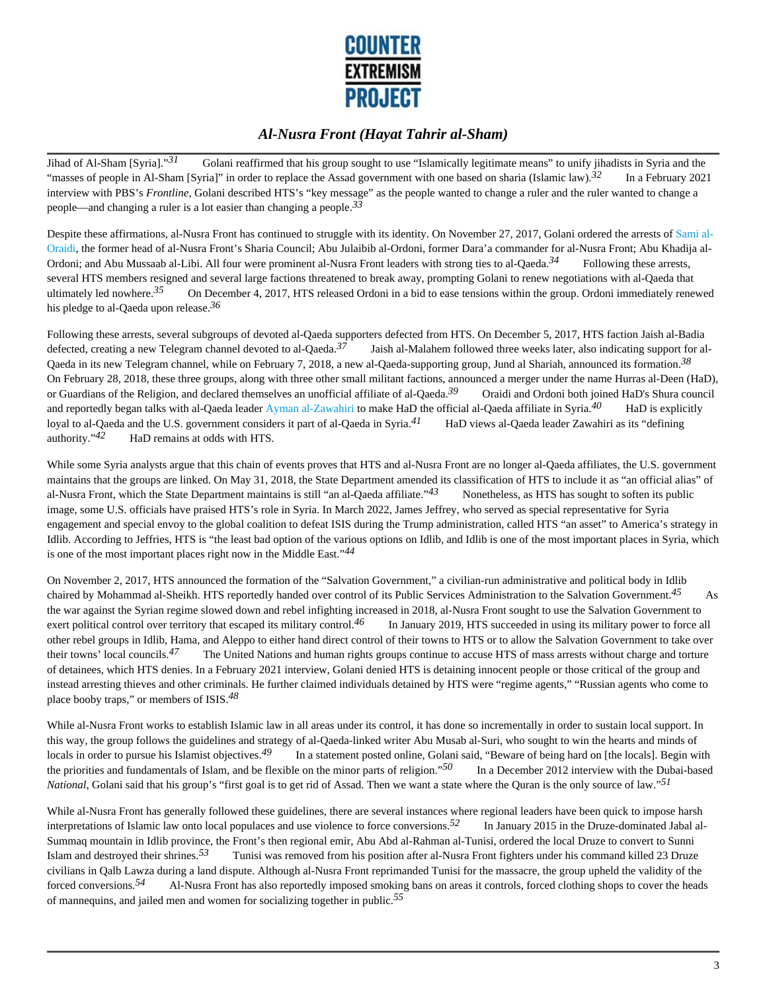

Jihad of Al-Sham [Syria]."<sup>31</sup> Golani reaffirmed that his group sought to use "Islamically legitimate means" to unify jihadists in Syria and the "masses of people in Al-Sham [Syria]" in order to replace the Assad government with one based on sharia (Islamic law).*32* In a February 2021 interview with PBS's *Frontline*, Golani described HTS's "key message" as the people wanted to change a ruler and the ruler wanted to change a people—and changing a ruler is a lot easier than changing a people.*33*

Despite these affirmations, al-Nusra Front has continued to struggle with its identity. On November 27, 2017, Golani ordered the arrests of Sami al-Oraidi, the former head of al-Nusra Front's Sharia Council; Abu Julaibib al-Ordoni, former Dara'a commander for al-Nusra Front; Abu Khadija al-Ordoni; and Abu Mussaab al-Libi. All four were prominent al-Nusra Front leaders with strong ties to al-Qaeda.<sup>34</sup> Following these arrests, several HTS members resigned and several large factions threatened to break away, prompting Golani to renew negotiations with al-Qaeda that ultimately led nowhere.*35* On December 4, 2017, HTS released Ordoni in a bid to ease tensions within the group. Ordoni immediately renewed his pledge to al-Qaeda upon release.*36*

Following these arrests, several subgroups of devoted al-Qaeda supporters defected from HTS. On December 5, 2017, HTS faction Jaish al-Badia defected, creating a new Telegram channel devoted to al-Qaeda.*37* Jaish al-Malahem followed three weeks later, also indicating support for al-Qaeda in its new Telegram channel, while on February 7, 2018, a new al-Qaeda-supporting group, Jund al Shariah, announced its formation.*38*  On February 28, 2018, these three groups, along with three other small militant factions, announced a merger under the name Hurras al-Deen (HaD), or Guardians of the Religion, and declared themselves an unofficial affiliate of al-Qaeda.<sup>39</sup> Oraidi and Ordoni both joined HaD's Shura council and reportedly began talks with al-Qaeda leader Ayman al-Zawahiri to make HaD the official al-Qaeda affiliate in Syria.*40* HaD is explicitly loyal to al-Qaeda and the U.S. government considers it part of al-Qaeda in Syria.*41* HaD views al-Qaeda leader Zawahiri as its "defining authority."*42* HaD remains at odds with HTS.

While some Syria analysts argue that this chain of events proves that HTS and al-Nusra Front are no longer al-Qaeda affiliates, the U.S. government maintains that the groups are linked. On May 31, 2018, the State Department amended its classification of HTS to include it as "an official alias" of al-Nusra Front, which the State Department maintains is still "an al-Qaeda affiliate."<sup>43</sup> Nonetheless, as HTS has sought to soften its public image, some U.S. officials have praised HTS's role in Syria. In March 2022, James Jeffrey, who served as special representative for Syria engagement and special envoy to the global coalition to defeat ISIS during the Trump administration, called HTS "an asset" to America's strategy in Idlib. According to Jeffries, HTS is "the least bad option of the various options on Idlib, and Idlib is one of the most important places in Syria, which is one of the most important places right now in the Middle East."*44*

On November 2, 2017, HTS announced the formation of the "Salvation Government," a civilian-run administrative and political body in Idlib chaired by Mohammad al-Sheikh. HTS reportedly handed over control of its Public Services Administration to the Salvation Government.*45* As the war against the Syrian regime slowed down and rebel infighting increased in 2018, al-Nusra Front sought to use the Salvation Government to exert political control over territory that escaped its military control.*46* In January 2019, HTS succeeded in using its military power to force all other rebel groups in Idlib, Hama, and Aleppo to either hand direct control of their towns to HTS or to allow the Salvation Government to take over their towns' local councils.*47* The United Nations and human rights groups continue to accuse HTS of mass arrests without charge and torture of detainees, which HTS denies. In a February 2021 interview, Golani denied HTS is detaining innocent people or those critical of the group and instead arresting thieves and other criminals. He further claimed individuals detained by HTS were "regime agents," "Russian agents who come to place booby traps," or members of ISIS.*48*

While al-Nusra Front works to establish Islamic law in all areas under its control, it has done so incrementally in order to sustain local support. In this way, the group follows the guidelines and strategy of al-Qaeda-linked writer Abu Musab al-Suri, who sought to win the hearts and minds of locals in order to pursue his Islamist objectives.*49* In a statement posted online, Golani said, "Beware of being hard on [the locals]. Begin with the priorities and fundamentals of Islam, and be flexible on the minor parts of religion."*50* In a December 2012 interview with the Dubai-based *National*, Golani said that his group's "first goal is to get rid of Assad. Then we want a state where the Quran is the only source of law."*51*

While al-Nusra Front has generally followed these guidelines, there are several instances where regional leaders have been quick to impose harsh interpretations of Islamic law onto local populaces and use violence to force conversions.*52* In January 2015 in the Druze-dominated Jabal al-Summaq mountain in Idlib province, the Front's then regional emir, Abu Abd al-Rahman al-Tunisi, ordered the local Druze to convert to Sunni Islam and destroyed their shrines.*53* Tunisi was removed from his position after al-Nusra Front fighters under his command killed 23 Druze civilians in Qalb Lawza during a land dispute. Although al-Nusra Front reprimanded Tunisi for the massacre, the group upheld the validity of the forced conversions.<sup>54</sup> Al-Nusra Front has also reportedly imposed smoking bans on areas it controls, forced clothing shops to cover the heads of mannequins, and jailed men and women for socializing together in public.*55*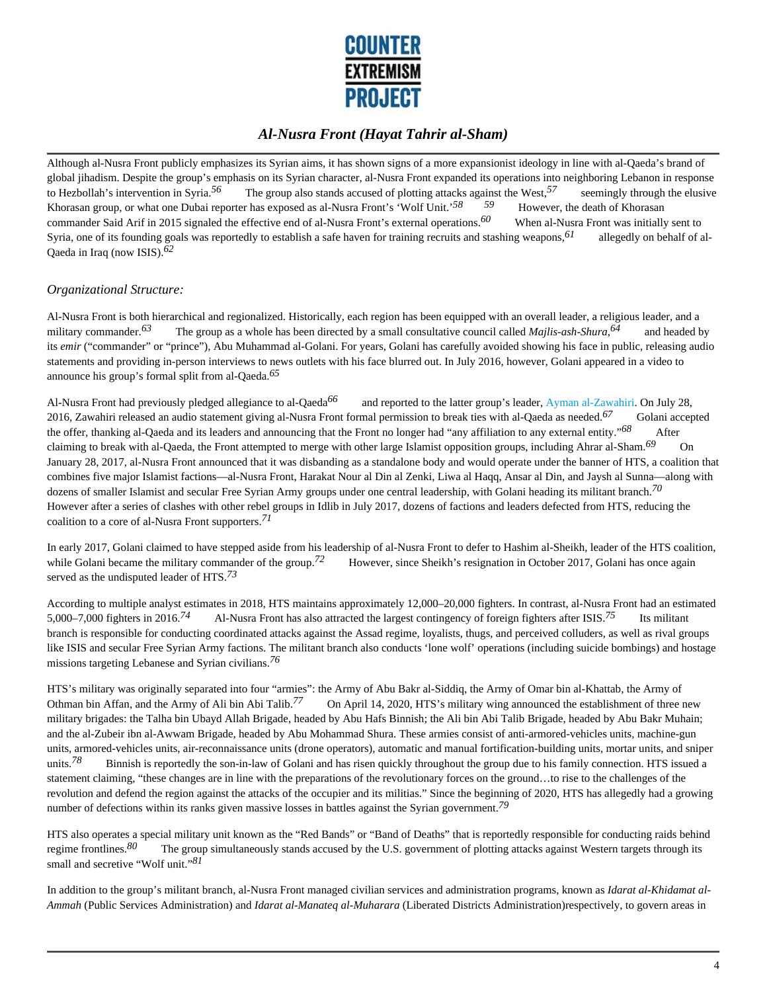

Although al-Nusra Front publicly emphasizes its Syrian aims, it has shown signs of a more expansionist ideology in line with al-Qaeda's brand of global jihadism. Despite the group's emphasis on its Syrian character, al-Nusra Front expanded its operations into neighboring Lebanon in response to Hezbollah's intervention in Syria.<sup>56</sup> The group also stands accused of plotting attacks against the West,<sup>57</sup> seemingly through the elusive Kharasan group or what and Dubai reporter has against the West,<sup>57</sup> and Hugar Khorasan group, or what one Dubai reporter has exposed as al-Nusra Front's 'Wolf Unit.'<sup>58</sup> 59 However, the death of Khorasan commander Said Arif in 2015 signaled the effective end of al-Nusra Front's external operations.*60* When al-Nusra Front was initially sent to Syria, one of its founding goals was reportedly to establish a safe haven for training recruits and stashing weapons,*61* allegedly on behalf of al-Qaeda in Iraq (now ISIS).*62*

#### *Organizational Structure:*

Al-Nusra Front is both hierarchical and regionalized. Historically, each region has been equipped with an overall leader, a religious leader, and a military commander.<sup>63</sup> The group as a whole has been directed by a small consultative council called *Majlis-ash-Shura*,<sup>64</sup> and headed by its *emir* ("commander" or "prince"), Abu Muhammad al-Golani. For years, Golani has carefully avoided showing his face in public, releasing audio statements and providing in-person interviews to news outlets with his face blurred out. In July 2016, however, Golani appeared in a video to announce his group's formal split from al-Qaeda.*65*

Al-Nusra Front had previously pledged allegiance to al-Qaeda*66* and reported to the latter group's leader, Ayman al-Zawahiri. On July 28, 2016, Zawahiri released an audio statement giving al-Nusra Front formal permission to break ties with al-Qaeda as needed.*67* Golani accepted the offer, thanking al-Qaeda and its leaders and announcing that the Front no longer had "any affiliation to any external entity."<sup>68</sup> After claiming to break with al-Qaeda, the Front attempted to merge with other large Islamist opposition groups, including Ahrar al-Sham.*69* On January 28, 2017, al-Nusra Front announced that it was disbanding as a standalone body and would operate under the banner of HTS, a coalition that combines five major Islamist factions—al-Nusra Front, Harakat Nour al Din al Zenki, Liwa al Haqq, Ansar al Din, and Jaysh al Sunna—along with dozens of smaller Islamist and secular Free Syrian Army groups under one central leadership, with Golani heading its militant branch.*70*  However after a series of clashes with other rebel groups in Idlib in July 2017, dozens of factions and leaders defected from HTS, reducing the coalition to a core of al-Nusra Front supporters.*71*

In early 2017, Golani claimed to have stepped aside from his leadership of al-Nusra Front to defer to Hashim al-Sheikh, leader of the HTS coalition, while Golani became the military commander of the group.<sup>72</sup> However, since Sheikh's resignation in October 2017, Golani has once again served as the undisputed leader of HTS.*73*

According to multiple analyst estimates in 2018, HTS maintains approximately 12,000–20,000 fighters. In contrast, al-Nusra Front had an estimated 5,000–7,000 fighters in 2016.*74* Al-Nusra Front has also attracted the largest contingency of foreign fighters after ISIS.*75* Its militant branch is responsible for conducting coordinated attacks against the Assad regime, loyalists, thugs, and perceived colluders, as well as rival groups like ISIS and secular Free Syrian Army factions. The militant branch also conducts 'lone wolf' operations (including suicide bombings) and hostage missions targeting Lebanese and Syrian civilians.*76*

HTS's military was originally separated into four "armies": the Army of Abu Bakr al-Siddiq, the Army of Omar bin al-Khattab, the Army of Othman bin Affan, and the Army of Ali bin Abi Talib.<sup>77</sup> On April 14, 2020, HTS's military wing announced the establishment of three new military brigades: the Talha bin Ubayd Allah Brigade, headed by Abu Hafs Binnish; the Ali bin Abi Talib Brigade, headed by Abu Bakr Muhain; and the al-Zubeir ibn al-Awwam Brigade, headed by Abu Mohammad Shura. These armies consist of anti-armored-vehicles units, machine-gun units, armored-vehicles units, air-reconnaissance units (drone operators), automatic and manual fortification-building units, mortar units, and sniper units.<sup>78</sup> Binnish is reportedly the son-in-law of Golani and has risen quickly throughout the group due to his family connection. HTS issued a statement claiming, "these changes are in line with the preparations of the revolutionary forces on the ground…to rise to the challenges of the revolution and defend the region against the attacks of the occupier and its militias." Since the beginning of 2020, HTS has allegedly had a growing number of defections within its ranks given massive losses in battles against the Syrian government.*79*

HTS also operates a special military unit known as the "Red Bands" or "Band of Deaths" that is reportedly responsible for conducting raids behind regime frontlines.*80* The group simultaneously stands accused by the U.S. government of plotting attacks against Western targets through its small and secretive "Wolf unit."*81*

In addition to the group's militant branch, al-Nusra Front managed civilian services and administration programs, known as *Idarat al-Khidamat al-Ammah* (Public Services Administration) and *Idarat al-Manateq al-Muharara* (Liberated Districts Administration)respectively, to govern areas in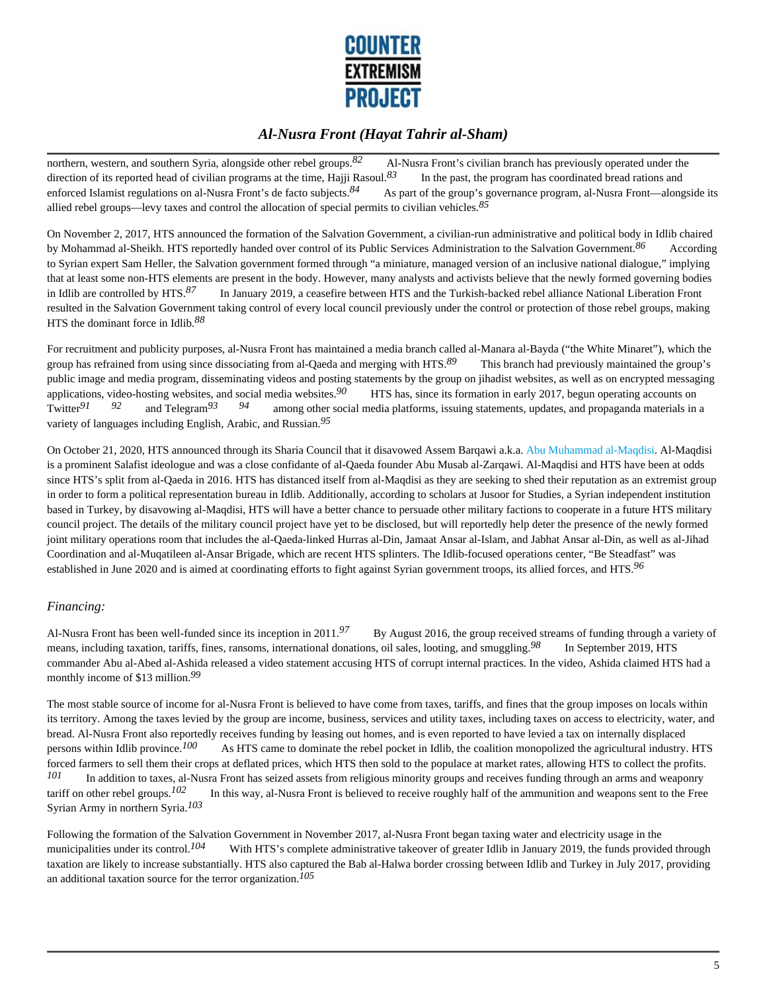

northern, western, and southern Syria, alongside other rebel groups.<sup>82</sup> Al-Nusra Front's civilian branch has previously operated under the direction of its reported head of civilian programs at the time, Hajji Rasoul.<sup>83</sup> In the past, the program has coordinated bread rations and enforced Islamist regulations on al-Nusra Front's de facto subjects.<sup>84</sup> As part of the group's governance program, al-Nusra Front—alongside its allied rebel groups—levy taxes and control the allocation of special permits to civilian vehicles.*85*

On November 2, 2017, HTS announced the formation of the Salvation Government, a civilian-run administrative and political body in Idlib chaired by Mohammad al-Sheikh. HTS reportedly handed over control of its Public Services Administration to the Salvation Government.<sup>86</sup> According to Syrian expert Sam Heller, the Salvation government formed through "a miniature, managed version of an inclusive national dialogue," implying that at least some non-HTS elements are present in the body. However, many analysts and activists believe that the newly formed governing bodies in Idlib are controlled by HTS.*87* In January 2019, a ceasefire between HTS and the Turkish-backed rebel alliance National Liberation Front resulted in the Salvation Government taking control of every local council previously under the control or protection of those rebel groups, making HTS the dominant force in Idlib.*88*

For recruitment and publicity purposes, al-Nusra Front has maintained a media branch called al-Manara al-Bayda ("the White Minaret"), which the group has refrained from using since dissociating from al-Qaeda and merging with HTS.*89* This branch had previously maintained the group's public image and media program, disseminating videos and posting statements by the group on jihadist websites, as well as on encrypted messaging applications, video-hosting websites, and social media websites.*90* HTS has, since its formation in early 2017, begun operating accounts on Twitter*91 92* and Telegram*93 94* among other social media platforms, issuing statements, updates, and propaganda materials in a variety of languages including English, Arabic, and Russian.*95*

On October 21, 2020, HTS announced through its Sharia Council that it disavowed Assem Barqawi a.k.a. Abu Muhammad al-Maqdisi. Al-Maqdisi is a prominent Salafist ideologue and was a close confidante of al-Qaeda founder Abu Musab al-Zarqawi. Al-Maqdisi and HTS have been at odds since HTS's split from al-Qaeda in 2016. HTS has distanced itself from al-Maqdisi as they are seeking to shed their reputation as an extremist group in order to form a political representation bureau in Idlib. Additionally, according to scholars at Jusoor for Studies, a Syrian independent institution based in Turkey, by disavowing al-Maqdisi, HTS will have a better chance to persuade other military factions to cooperate in a future HTS military council project. The details of the military council project have yet to be disclosed, but will reportedly help deter the presence of the newly formed joint military operations room that includes the al-Qaeda-linked Hurras al-Din, Jamaat Ansar al-Islam, and Jabhat Ansar al-Din, as well as al-Jihad Coordination and al-Muqatileen al-Ansar Brigade, which are recent HTS splinters. The Idlib-focused operations center, "Be Steadfast" was established in June 2020 and is aimed at coordinating efforts to fight against Syrian government troops, its allied forces, and HTS.*96*

#### *Financing:*

Al-Nusra Front has been well-funded since its inception in 2011.<sup>97</sup> By August 2016, the group received streams of funding through a variety of means, including taxation, tariffs, fines, ransoms, international donations, oil sales, looting, and smuggling.*98* In September 2019, HTS commander Abu al-Abed al-Ashida released a video statement accusing HTS of corrupt internal practices. In the video, Ashida claimed HTS had a monthly income of \$13 million.*99*

The most stable source of income for al-Nusra Front is believed to have come from taxes, tariffs, and fines that the group imposes on locals within its territory. Among the taxes levied by the group are income, business, services and utility taxes, including taxes on access to electricity, water, and bread. Al-Nusra Front also reportedly receives funding by leasing out homes, and is even reported to have levied a tax on internally displaced persons within Idlib province.*100* As HTS came to dominate the rebel pocket in Idlib, the coalition monopolized the agricultural industry. HTS forced farmers to sell them their crops at deflated prices, which HTS then sold to the populace at market rates, allowing HTS to collect the profits. *101* In addition to taxes, al-Nusra Front has seized assets from religious minority groups and receives funding through an arms and weaponry tariff on other rebel groups.*102* In this way, al-Nusra Front is believed to receive roughly half of the ammunition and weapons sent to the Free Syrian Army in northern Syria.*103*

Following the formation of the Salvation Government in November 2017, al-Nusra Front began taxing water and electricity usage in the municipalities under its control.<sup>104</sup> With HTS's complete administrative takeover of greater Idlib in January 2019, the funds provided through taxation are likely to increase substantially. HTS also captured the Bab al-Halwa border crossing between Idlib and Turkey in July 2017, providing an additional taxation source for the terror organization.*105*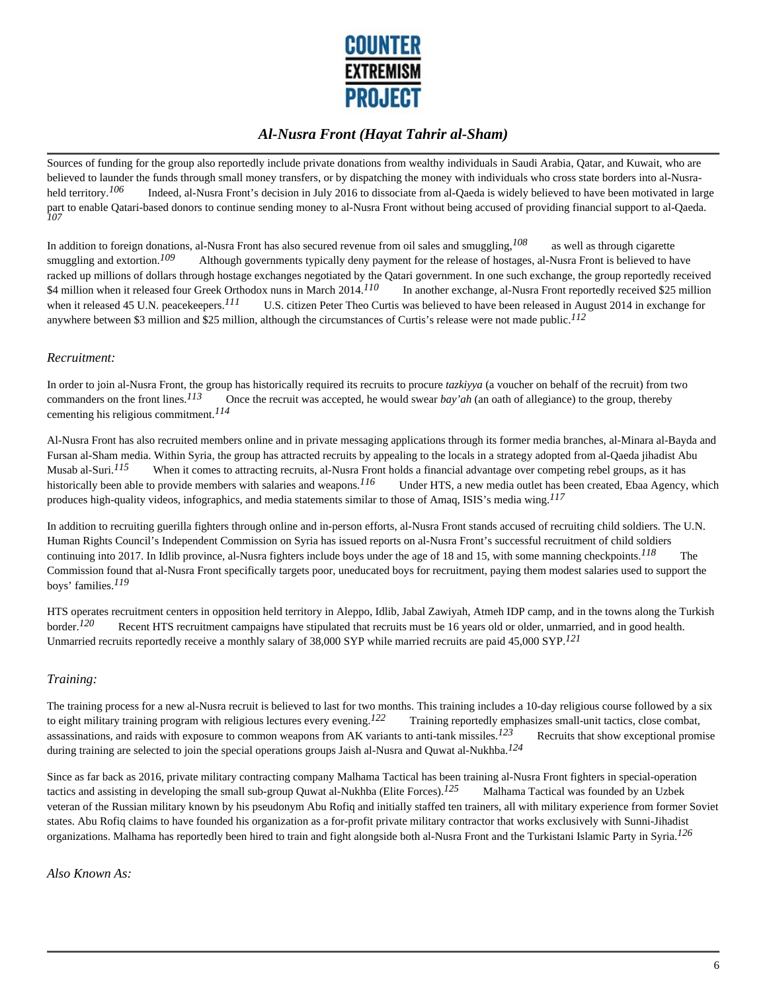

Sources of funding for the group also reportedly include private donations from wealthy individuals in Saudi Arabia, Qatar, and Kuwait, who are believed to launder the funds through small money transfers, or by dispatching the money with individuals who cross state borders into al-Nusraheld territory.<sup>106</sup> Indeed, al-Nusra Front's decision in July 2016 to dissociate from al-Qaeda is widely believed to have been motivated in large part to enable Qatari-based donors to continue sending money to al-Nusra Front without being accused of providing financial support to al-Qaeda. *107*

In addition to foreign donations, al-Nusra Front has also secured revenue from oil sales and smuggling,<sup>108</sup> as well as through cigarette smuggling and extortion.<sup>109</sup> Although governments typically deny payment for the release of hostages, al-Nusra Front is believed to have racked up millions of dollars through hostage exchanges negotiated by the Qatari government. In one such exchange, the group reportedly received \$4 million when it released four Greek Orthodox nuns in March 2014.<sup>110</sup> In another exchange, al-Nusra Front reportedly received \$25 million when it released 45 U.N. peacekeepers.<sup>111</sup> U.S. citizen Peter Theo Curtis was believed to have been released in August 2014 in exchange for anywhere between \$3 million and \$25 million, although the circumstances of Curtis's release were not made public.*112*

#### *Recruitment:*

In order to join al-Nusra Front, the group has historically required its recruits to procure *tazkiyya* (a voucher on behalf of the recruit) from two commanders on the front lines.<sup>113</sup> Once the recruit was accepted, he wo Once the recruit was accepted, he would swear *bay'ah* (an oath of allegiance) to the group, thereby cementing his religious commitment.*114*

Al-Nusra Front has also recruited members online and in private messaging applications through its former media branches, al-Minara al-Bayda and Fursan al-Sham media. Within Syria, the group has attracted recruits by appealing to the locals in a strategy adopted from al-Qaeda jihadist Abu Musab al-Suri.<sup>115</sup> When it comes to attracting recruits, al-Nusra Front holds a financial advantage over competing rebel groups, as it has historically been able to provide members with salaries and weapons.<sup>116</sup> Under HTS, a new media outlet has been created, Ebaa Agency, which produces high-quality videos, infographics, and media statements similar to those of Amaq, ISIS's media wing.*117*

In addition to recruiting guerilla fighters through online and in-person efforts, al-Nusra Front stands accused of recruiting child soldiers. The U.N. Human Rights Council's Independent Commission on Syria has issued reports on al-Nusra Front's successful recruitment of child soldiers continuing into 2017. In Idlib province, al-Nusra fighters include boys under the age of 18 and 15, with some manning checkpoints.*118* The Commission found that al-Nusra Front specifically targets poor, uneducated boys for recruitment, paying them modest salaries used to support the boys' families.*119*

HTS operates recruitment centers in opposition held territory in Aleppo, Idlib, Jabal Zawiyah, Atmeh IDP camp, and in the towns along the Turkish border.<sup>120</sup> Recent HTS recruitment campaigns have stipulated that recruits must be 16 years old or older, unmarried, and in good health. Unmarried recruits reportedly receive a monthly salary of 38,000 SYP while married recruits are paid 45,000 SYP.*121*

#### *Training:*

The training process for a new al-Nusra recruit is believed to last for two months. This training includes a 10-day religious course followed by a six to eight military training program with religious lectures every evening.<sup>122</sup> Training reportedly emphasizes small-unit tactics, close combat, assassinations, and raids with exposure to common weapons from AK variants to anti-tank missiles.<sup>123</sup> Recruits that show exceptional promise during training are selected to join the special operations groups Jaish al-Nusra and Quwat al-Nukhba.*124*

Since as far back as 2016, private military contracting company Malhama Tactical has been training al-Nusra Front fighters in special-operation tactics and assisting in developing the small sub-group Quwat al-Nukhba (Elite Forces).<sup>125</sup> Malhama Tactical was founded by an Uzbek veteran of the Russian military known by his pseudonym Abu Rofiq and initially staffed ten trainers, all with military experience from former Soviet states. Abu Rofiq claims to have founded his organization as a for-profit private military contractor that works exclusively with Sunni-Jihadist organizations. Malhama has reportedly been hired to train and fight alongside both al-Nusra Front and the Turkistani Islamic Party in Syria.*126*

*Also Known As:*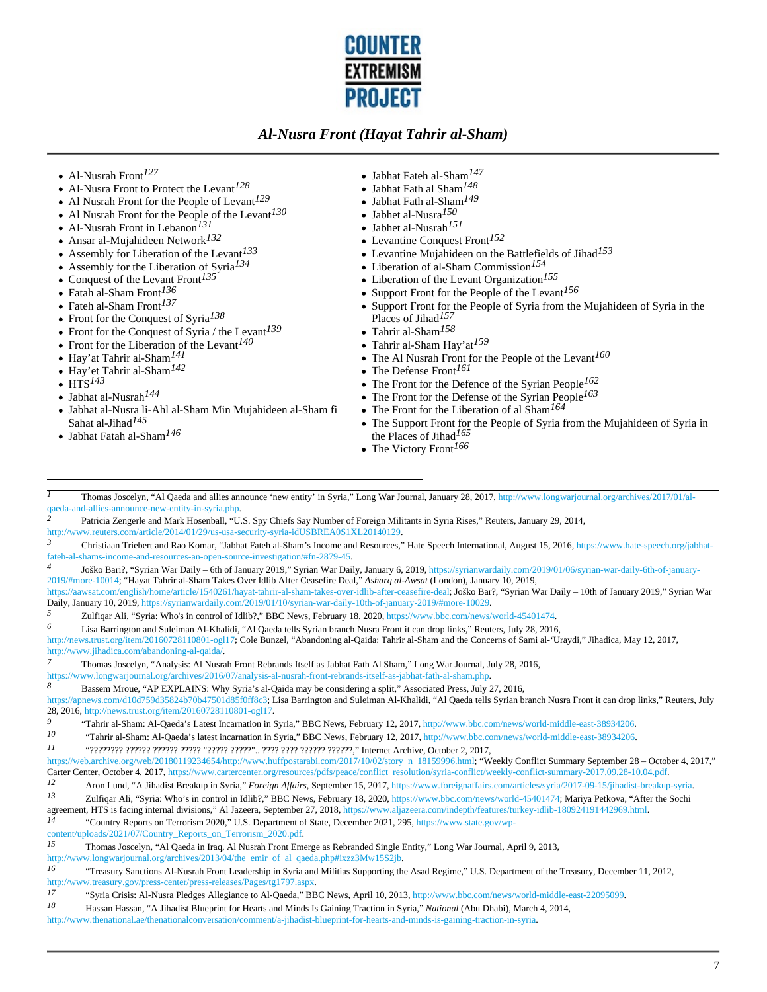

- Al-Nusrah Front*127*
- Al-Nusra Front to Protect the Levant*128*
- Al Nusrah Front for the People of Levant*129*
- Al Nusrah Front for the People of the Levant*130*
- Al-Nusrah Front in Lebanon*131*
- Ansar al-Mujahideen Network*132*
- Assembly for Liberation of the Levant*133*
- Assembly for the Liberation of Syria*134*   $\bullet$
- Conquest of the Levant Front*135*
- Fatah al-Sham Front*136*
- Fateh al-Sham Front*137*
- Front for the Conquest of Syria*138*
- Front for the Conquest of Syria / the Levant*139*
- Front for the Liberation of the Levant*140*
- Hay'at Tahrir al-Sham*141*
- Hay'et Tahrir al-Sham*142*
- $\cdot$  HTS<sup>143</sup>
- Jabhat al-Nusrah*144*
- Jabhat al-Nusra li-Ahl al-Sham Min Mujahideen al-Sham fi Sahat al-Jihad*145*
- Jabhat Fatah al-Sham*146*
- Jabhat Fateh al-Sham*147*
- Jabhat Fath al Sham*148*
- Jabhat Fath al-Sham*149*
- Jabhet al-Nusra*150*
- Jabhet al-Nusrah*151*
- Levantine Conquest Front*152*
- Levantine Mujahideen on the Battlefields of Jihad*153*
- Liberation of al-Sham Commission*154*
- Liberation of the Levant Organization*155*
- Support Front for the People of the Levant*156*
- Support Front for the People of Syria from the Mujahideen of Syria in the Places of Jihad*157*
- Tahrir al-Sham*158*
- Tahrir al-Sham Hay'at*159*
- The Al Nusrah Front for the People of the Levant*160*
- The Defense Front*161*
- The Front for the Defence of the Syrian People*162*
- The Front for the Defense of the Syrian People*163*
- The Front for the Liberation of al Sham*164*
- The Support Front for the People of Syria from the Mujahideen of Syria in the Places of Jihad*165*
- The Victory Front*166*

*1* Thomas Joscelyn, "Al Qaeda and allies announce 'new entity' in Syria," Long War Journal, January 28, 2017, http://www.longwarjournal.org/archives/2017/01/alqaeda-and-allies-announce-new-entity-in-syria.php.

*2* Patricia Zengerle and Mark Hosenball, "U.S. Spy Chiefs Say Number of Foreign Militants in Syria Rises," Reuters, January 29, 2014,

http://www.reuters.com/article/2014/01/29/us-usa-security-syria-idUSBREA0S1XL20140129.

```
3 Christiaan Triebert and Rao Komar, "Jabhat Fateh al-Sham's Income and Resources," Hate Speech International, August 15, 2016, https://www.hate-speech.org/jabhat-
fateh-al-shams-income-and-resources-an-open-source-investigation/#fn-2879-45.
```
*4* Joško Bari?, "Syrian War Daily – 6th of January 2019," Syrian War Daily, January 6, 2019, https://syrianwardaily.com/2019/01/06/syrian-war-daily-6th-of-january-2019/#more-10014; "Hayat Tahrir al-Sham Takes Over Idlib After Ceasefire Deal," *Asharq al-Awsat* (London), January 10, 2019,

https://aawsat.com/english/home/article/1540261/hayat-tahrir-al-sham-takes-over-idlib-after-ceasefire-deal; Joško Bar?, "Syrian War Daily – 10th of January 2019," Syrian War Daily, January 10, 2019, https://syrianwardaily.com/2019/01/10/syrian-war-daily-10th-of-january-2019/#more-10029.

*5* Zulfiqar Ali, "Syria: Who's in control of Idlib?," BBC News, February 18, 2020, https://www.bbc.com/news/world-45401474.

*6* Lisa Barrington and Suleiman Al-Khalidi, "Al Qaeda tells Syrian branch Nusra Front it can drop links," Reuters, July 28, 2016,

http://news.trust.org/item/20160728110801-ogl17; Cole Bunzel, "Abandoning al-Qaida: Tahrir al-Sham and the Concerns of Sami al-'Uraydi," Jihadica, May 12, 2017, http://www.jihadica.com/abandoning-al-qaida/.

*7* Thomas Joscelyn, "Analysis: Al Nusrah Front Rebrands Itself as Jabhat Fath Al Sham," Long War Journal, July 28, 2016,

https://www.longwarjournal.org/archives/2016/07/analysis-al-nusrah-front-rebrands-itself-as-jabhat-fath-al-sham.php.

*8* Bassem Mroue, "AP EXPLAINS: Why Syria's al-Qaida may be considering a split," Associated Press, July 27, 2016,

https://apnews.com/d10d759d35824b70b47501d85f0ff8c3; Lisa Barrington and Suleiman Al-Khalidi, "Al Qaeda tells Syrian branch Nusra Front it can drop links," Reuters, July 28, 2016, http://news.trust.org/item/20160728110801-ogl17.<br>9. explored Shame Al Qaada's Latest Incometies in the

*10* "Tahrir al-Sham: Al-Qaeda's latest incarnation in Syria," BBC News, February 12, 2017, http://www.bbc.com/news/world-middle-east-38934206.

*11* "???????? ?????? ?????? ????? "????? ?????".. ???? ???? ?????? ??????," Internet Archive, October 2, 2017,

https://web.archive.org/web/20180119234654/http://www.huffpostarabi.com/2017/10/02/story\_n\_18159996.html; "Weekly Conflict Summary September 28 – October 4, 2017," Carter Center, October 4, 2017, https://www.cartercenter.org/resources/pdfs/peace/conflict\_resolution/syria-conflict/weekly-conflict-summary-2017.09.28-10.04.pdf.

- *12* Aron Lund, "A Jihadist Breakup in Syria," *Foreign Affairs*, September 15, 2017, https://www.foreignaffairs.com/articles/syria/2017-09-15/jihadist-breakup-syria.
- *13* Zulfiqar Ali, "Syria: Who's in control in Idlib?," BBC News, February 18, 2020, https://www.bbc.com/news/world-45401474; Mariya Petkova, "After the Sochi agreement, HTS is facing internal divisions," Al Jazeera, September 27, 2018, https://www.aljazeera.com/indepth/features/turkey-idlib-180924191442969.html.

*14* "Country Reports on Terrorism 2020," U.S. Department of State, December 2021, 295, https://www.state.gov/wp-

content/uploads/2021/07/Country\_Reports\_on\_Terrorism\_2020.pdf.

*15* Thomas Joscelyn, "Al Qaeda in Iraq, Al Nusrah Front Emerge as Rebranded Single Entity," Long War Journal, April 9, 2013,

http://www.longwarjournal.org/archives/2013/04/the\_emir\_of\_al\_qaeda.php#ixzz3Mw15S2jb.

*16* "Treasury Sanctions Al-Nusrah Front Leadership in Syria and Militias Supporting the Asad Regime," U.S. Department of the Treasury, December 11, 2012, http://www.treasury.gov/press-center/press-releases/Pages/tg1797.aspx.<br>17 "Savis Crisis: Al-Nusra Pladges Alloniance to Al-Qaeda" BB

- *17* "Syria Crisis: Al-Nusra Pledges Allegiance to Al-Qaeda," BBC News, April 10, 2013, http://www.bbc.com/news/world-middle-east-22095099.
- *18* Hassan Hassan, "A Jihadist Blueprint for Hearts and Minds Is Gaining Traction in Syria," *National* (Abu Dhabi), March 4, 2014,

http://www.thenational.ae/thenationalconversation/comment/a-jihadist-blueprint-for-hearts-and-minds-is-gaining-traction-in-syria.

<sup>&</sup>lt;sup>9</sup> <sup>9</sup> <sup>2</sup> **Tahrir al-Sham: Al-Qaeda's Latest Incarnation in Syria," BBC News, February 12, 2017, http://www.bbc.com/news/world-middle-east-38934206.<br><sup>10</sup> <b>"Tahrir al-Sham: Al-Qaeda's latest incarnation in Syria " BBC New**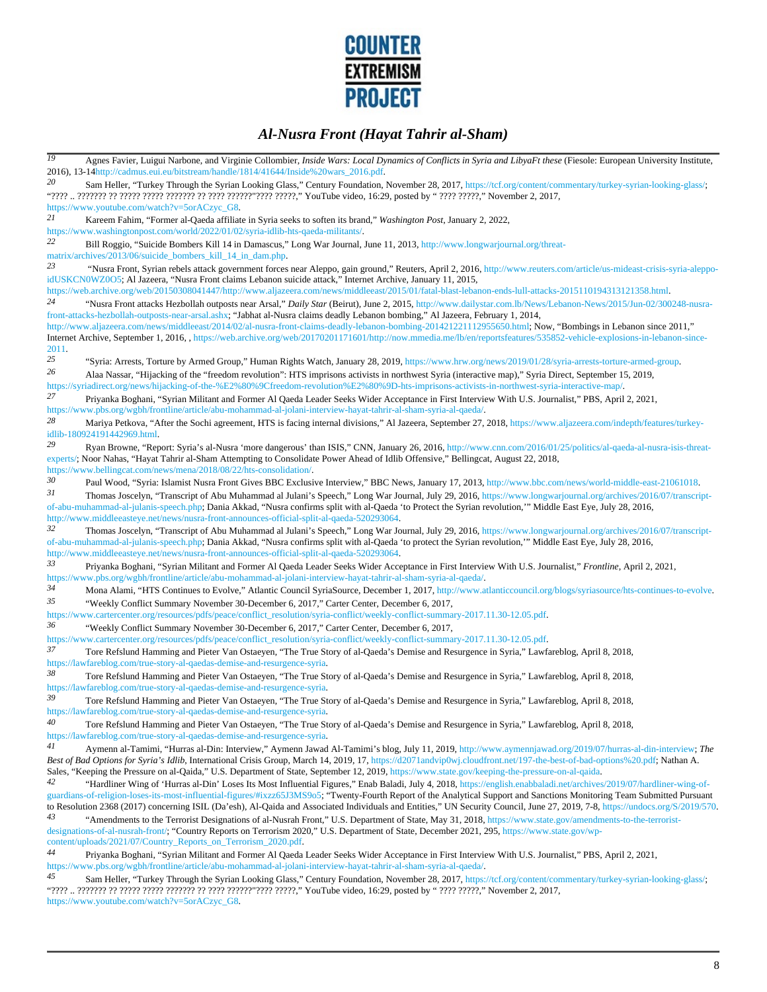

| $\overline{19}$ | Agnes Favier, Luigui Narbone, and Virginie Collombier, Inside Wars: Local Dynamics of Conflicts in Syria and LibyaFt these (Fiesole: European University Institute,                                                                                                                                                                       |
|-----------------|-------------------------------------------------------------------------------------------------------------------------------------------------------------------------------------------------------------------------------------------------------------------------------------------------------------------------------------------|
|                 | 2016), 13-14http://cadmus.eui.eu/bitstream/handle/1814/41644/Inside%20wars_2016.pdf.                                                                                                                                                                                                                                                      |
| 20              | Sam Heller, "Turkey Through the Syrian Looking Glass," Century Foundation, November 28, 2017, https://tcf.org/content/commentary/turkey-syrian-looking-glass/;                                                                                                                                                                            |
|                 | https://www.youtube.com/watch?v=5orACzyc_G8.                                                                                                                                                                                                                                                                                              |
| 21              | Kareem Fahim, "Former al-Qaeda affiliate in Syria seeks to soften its brand," Washington Post, January 2, 2022,                                                                                                                                                                                                                           |
| 22              | https://www.washingtonpost.com/world/2022/01/02/syria-idlib-hts-qaeda-militants/<br>Bill Roggio, "Suicide Bombers Kill 14 in Damascus," Long War Journal, June 11, 2013, http://www.longwarjournal.org/threat-                                                                                                                            |
|                 | matrix/archives/2013/06/suicide_bombers_kill_14_in_dam.php.                                                                                                                                                                                                                                                                               |
| 23              | "Nusra Front, Syrian rebels attack government forces near Aleppo, gain ground," Reuters, April 2, 2016, http://www.reuters.com/article/us-mideast-crisis-syria-aleppo-                                                                                                                                                                    |
|                 | idUSKCN0WZ0O5; Al Jazeera, "Nusra Front claims Lebanon suicide attack," Internet Archive, January 11, 2015,<br>https://web.archive.org/web/20150308041447/http://www.aljazeera.com/news/middleeast/2015/01/fatal-blast-lebanon-ends-lull-attacks-2015110194313121358.html.                                                                |
| 24              | "Nusra Front attacks Hezbollah outposts near Arsal," Daily Star (Beirut), June 2, 2015, http://www.dailystar.com.lb/News/Lebanon-News/2015/Jun-02/300248-nusra-                                                                                                                                                                           |
|                 | front-attacks-hezbollah-outposts-near-arsal.ashx; "Jabhat al-Nusra claims deadly Lebanon bombing," Al Jazeera, February 1, 2014,                                                                                                                                                                                                          |
|                 | http://www.aljazeera.com/news/middleeast/2014/02/al-nusra-front-claims-deadly-lebanon-bombing-201421221112955650.html; Now, "Bombings in Lebanon since 2011,"<br>Internet Archive, September 1, 2016, , https://web.archive.org/web/20170201171601/http://now.mmedia.me/lb/en/reportsfeatures/535852-vehicle-explosions-in-lebanon-since- |
| 2011.           |                                                                                                                                                                                                                                                                                                                                           |
| 25              | "Syria: Arrests, Torture by Armed Group," Human Rights Watch, January 28, 2019, https://www.hrw.org/news/2019/01/28/syria-arrests-torture-armed-group.                                                                                                                                                                                    |
| 26              | Alaa Nassar, "Hijacking of the "freedom revolution": HTS imprisons activists in northwest Syria (interactive map)," Syria Direct, September 15, 2019,<br>https://syriadirect.org/news/hijacking-of-the-%E2%80%9Cfreedom-revolution%E2%80%9D-hts-imprisons-activists-in-northwest-syria-interactive-map/                                   |
| 27              | Priyanka Boghani, "Syrian Militant and Former Al Qaeda Leader Seeks Wider Acceptance in First Interview With U.S. Journalist," PBS, April 2, 2021,                                                                                                                                                                                        |
|                 | https://www.pbs.org/wgbh/frontline/article/abu-mohammad-al-jolani-interview-hayat-tahrir-al-sham-syria-al-qaeda/.                                                                                                                                                                                                                         |
| 28              | Mariya Petkova, "After the Sochi agreement, HTS is facing internal divisions," Al Jazeera, September 27, 2018, https://www.aljazeera.com/indepth/features/turkey-<br>idlib-180924191442969.html.                                                                                                                                          |
| 29              | Ryan Browne, "Report: Syria's al-Nusra 'more dangerous' than ISIS," CNN, January 26, 2016, http://www.cnn.com/2016/01/25/politics/al-qaeda-al-nusra-isis-threat-<br>experts/; Noor Nahas, "Hayat Tahrir al-Sham Attempting to Consolidate Power Ahead of Idlib Offensive," Bellingcat, August 22, 2018,                                   |
|                 | https://www.bellingcat.com/news/mena/2018/08/22/hts-consolidation/.                                                                                                                                                                                                                                                                       |
| 30              | Paul Wood, "Syria: Islamist Nusra Front Gives BBC Exclusive Interview," BBC News, January 17, 2013, http://www.bbc.com/news/world-middle-east-21061018.                                                                                                                                                                                   |
| 31              | Thomas Joscelyn, "Transcript of Abu Muhammad al Julani's Speech," Long War Journal, July 29, 2016, https://www.longwarjournal.org/archives/2016/07/transcript-                                                                                                                                                                            |
|                 | of-abu-muhammad-al-julanis-speech.php; Dania Akkad, "Nusra confirms split with al-Qaeda 'to Protect the Syrian revolution," Middle East Eye, July 28, 2016,                                                                                                                                                                               |
|                 | http://www.middleeasteye.net/news/nusra-front-announces-official-split-al-qaeda-520293064.                                                                                                                                                                                                                                                |
| 32              | Thomas Joscelyn, "Transcript of Abu Muhammad al Julani's Speech," Long War Journal, July 29, 2016, https://www.longwarjournal.org/archives/2016/07/transcript-                                                                                                                                                                            |
|                 | of-abu-muhammad-al-julanis-speech.php; Dania Akkad, "Nusra confirms split with al-Qaeda 'to protect the Syrian revolution," Middle East Eye, July 28, 2016,                                                                                                                                                                               |
|                 | http://www.middleeasteye.net/news/nusra-front-announces-official-split-al-qaeda-520293064.                                                                                                                                                                                                                                                |
| 33              | Priyanka Boghani, "Syrian Militant and Former Al Qaeda Leader Seeks Wider Acceptance in First Interview With U.S. Journalist," Frontline, April 2, 2021,                                                                                                                                                                                  |
|                 | https://www.pbs.org/wgbh/frontline/article/abu-mohammad-al-jolani-interview-hayat-tahrir-al-sham-syria-al-qaeda/.                                                                                                                                                                                                                         |
| 34              | Mona Alami, "HTS Continues to Evolve," Atlantic Council SyriaSource, December 1, 2017, http://www.atlanticcouncil.org/blogs/syriasource/hts-continues-to-evolve                                                                                                                                                                           |
| 35              | "Weekly Conflict Summary November 30-December 6, 2017," Carter Center, December 6, 2017,                                                                                                                                                                                                                                                  |
|                 | https://www.cartercenter.org/resources/pdfs/peace/conflict_resolution/syria-conflict/weekly-conflict-summary-2017.11.30-12.05.pdf.                                                                                                                                                                                                        |
| 36              | "Weekly Conflict Summary November 30-December 6, 2017," Carter Center, December 6, 2017,                                                                                                                                                                                                                                                  |
|                 | https://www.cartercenter.org/resources/pdfs/peace/conflict_resolution/syria-conflict/weekly-conflict-summary-2017.11.30-12.05.pdf.                                                                                                                                                                                                        |
| 37              | Tore Refslund Hamming and Pieter Van Ostaeyen, "The True Story of al-Qaeda's Demise and Resurgence in Syria," Lawfareblog, April 8, 2018,                                                                                                                                                                                                 |
|                 | https://lawfareblog.com/true-story-al-qaedas-demise-and-resurgence-syria.                                                                                                                                                                                                                                                                 |
| 38              | Tore Refslund Hamming and Pieter Van Ostaeyen, "The True Story of al-Qaeda's Demise and Resurgence in Syria," Lawfareblog, April 8, 2018,                                                                                                                                                                                                 |
|                 | https://lawfareblog.com/true-story-al-qaedas-demise-and-resurgence-syria.                                                                                                                                                                                                                                                                 |
| 39              | Tore Refslund Hamming and Pieter Van Ostaeyen, "The True Story of al-Qaeda's Demise and Resurgence in Syria," Lawfareblog, April 8, 2018,                                                                                                                                                                                                 |
| 40              | https://lawfareblog.com/true-story-al-qaedas-demise-and-resurgence-syria.                                                                                                                                                                                                                                                                 |
|                 | Tore Refslund Hamming and Pieter Van Ostaeyen, "The True Story of al-Qaeda's Demise and Resurgence in Syria," Lawfareblog, April 8, 2018,<br>https://lawfareblog.com/true-story-al-qaedas-demise-and-resurgence-syria.                                                                                                                    |
| 41              | Aymenn al-Tamimi, "Hurras al-Din: Interview," Aymenn Jawad Al-Tamimi's blog, July 11, 2019, http://www.aymennjawad.org/2019/07/hurras-al-din-interview, The                                                                                                                                                                               |
|                 | Best of Bad Options for Syria's Idlib, International Crisis Group, March 14, 2019, 17, https://d2071andvip0wj.cloudfront.net/197-the-best-of-bad-options%20.pdf; Nathan A.<br>Sales, "Keeping the Pressure on al-Qaida," U.S. Department of State, September 12, 2019, https://www.state.gov/keeping-the-pressure-on-al-qaida.            |
| 42              | "Hardliner Wing of 'Hurras al-Din' Loses Its Most Influential Figures," Enab Baladi, July 4, 2018, https://english.enabbaladi.net/archives/2019/07/hardliner-wing-of-                                                                                                                                                                     |
|                 | guardians-of-religion-loses-its-most-influential-figures/#ixzz65J3MS9o5; "Twenty-Fourth Report of the Analytical Support and Sanctions Monitoring Team Submitted Pursuant                                                                                                                                                                 |
| 43              | to Resolution 2368 (2017) concerning ISIL (Da'esh), Al-Qaida and Associated Individuals and Entities," UN Security Council, June 27, 2019, 7-8, https://undocs.org/S/2019/570.                                                                                                                                                            |
|                 | "Amendments to the Terrorist Designations of al-Nusrah Front," U.S. Department of State, May 31, 2018, https://www.state.gov/amendments-to-the-terrorist-                                                                                                                                                                                 |
|                 | designations-of-al-nusrah-front/, "Country Reports on Terrorism 2020," U.S. Department of State, December 2021, 295, https://www.state.gov/wp-<br>content/uploads/2021/07/Country_Reports_on_Terrorism_2020.pdf.                                                                                                                          |
| 44              | Priyanka Boghani, "Syrian Militant and Former Al Qaeda Leader Seeks Wider Acceptance in First Interview With U.S. Journalist," PBS, April 2, 2021,                                                                                                                                                                                        |
|                 | https://www.pbs.org/wgbh/frontline/article/abu-mohammad-al-jolani-interview-hayat-tahrir-al-sham-syria-al-qaeda/                                                                                                                                                                                                                          |
| 45              | Sam Heller, "Turkey Through the Syrian Looking Glass," Century Foundation, November 28, 2017, https://tcf.org/content/commentary/turkey-syrian-looking-glass/;                                                                                                                                                                            |
|                 |                                                                                                                                                                                                                                                                                                                                           |

https://www.youtube.com/watch?v=5orACzyc\_G8.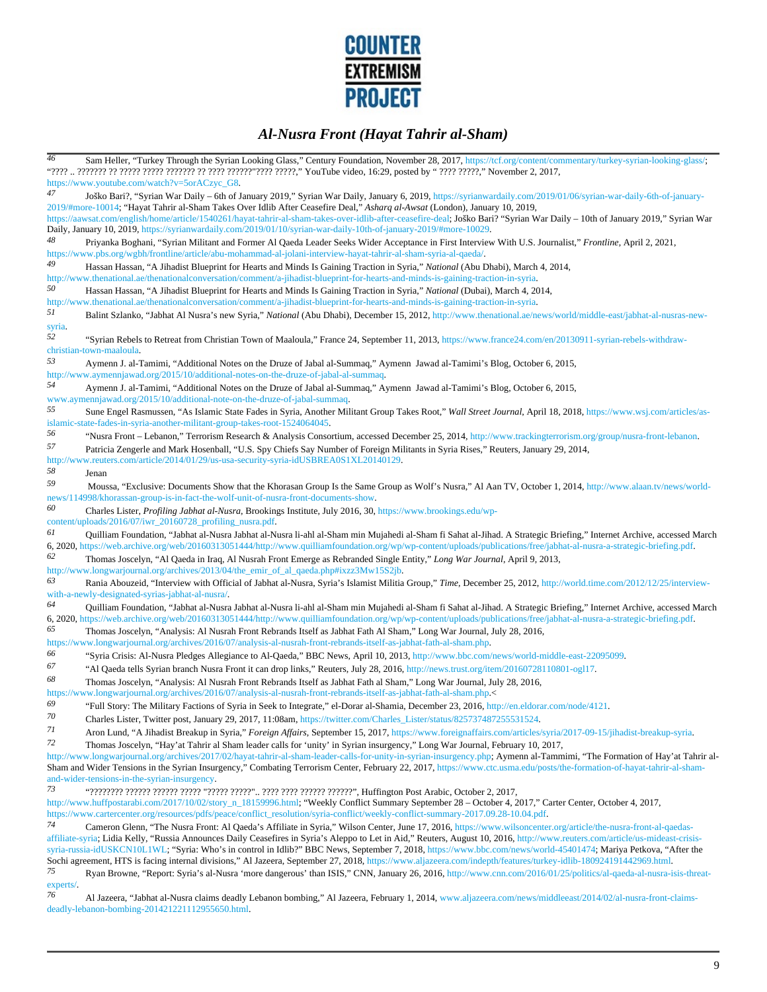

| 46              | Sam Heller, "Turkey Through the Syrian Looking Glass," Century Foundation, November 28, 2017, https://tcf.org/content/commentary/turkey-syrian-looking-glass/;                                                                                                                                                                                                                                                                                                                                                       |
|-----------------|----------------------------------------------------------------------------------------------------------------------------------------------------------------------------------------------------------------------------------------------------------------------------------------------------------------------------------------------------------------------------------------------------------------------------------------------------------------------------------------------------------------------|
|                 | https://www.youtube.com/watch?v=5orACzyc_G8.                                                                                                                                                                                                                                                                                                                                                                                                                                                                         |
| 47              | Joško Bari?, "Syrian War Daily - 6th of January 2019," Syrian War Daily, January 6, 2019, https://syrianwardaily.com/2019/01/06/syrian-war-daily-6th-of-january-<br>2019/#more-10014; "Hayat Tahrir al-Sham Takes Over Idlib After Ceasefire Deal," Asharq al-Awsat (London), January 10, 2019,<br>https://aawsat.com/english/home/article/1540261/hayat-tahrir-al-sham-takes-over-idlib-after-ceasefire-deal; Joško Bari? "Syrian War Daily - 10th of January 2019," Syrian War                                     |
|                 | Daily, January 10, 2019, https://syrianwardaily.com/2019/01/10/syrian-war-daily-10th-of-january-2019/#more-10029.                                                                                                                                                                                                                                                                                                                                                                                                    |
| 48              | Priyanka Boghani, "Syrian Militant and Former Al Qaeda Leader Seeks Wider Acceptance in First Interview With U.S. Journalist," Frontline, April 2, 2021,<br>https://www.pbs.org/wgbh/frontline/article/abu-mohammad-al-jolani-interview-hayat-tahrir-al-sham-syria-al-qaeda/.                                                                                                                                                                                                                                        |
| 49              | Hassan Hassan, "A Jihadist Blueprint for Hearts and Minds Is Gaining Traction in Syria," National (Abu Dhabi), March 4, 2014,                                                                                                                                                                                                                                                                                                                                                                                        |
|                 | http://www.thenational.ae/thenationalconversation/comment/a-jihadist-blueprint-for-hearts-and-minds-is-gaining-traction-in-syria.                                                                                                                                                                                                                                                                                                                                                                                    |
| 50              | Hassan Hassan, "A Jihadist Blueprint for Hearts and Minds Is Gaining Traction in Syria," National (Dubai), March 4, 2014,                                                                                                                                                                                                                                                                                                                                                                                            |
| 51              | http://www.thenational.ae/thenationalconversation/comment/a-jihadist-blueprint-for-hearts-and-minds-is-gaining-traction-in-syria                                                                                                                                                                                                                                                                                                                                                                                     |
| syria.          | Balint Szlanko, "Jabhat Al Nusra's new Syria," National (Abu Dhabi), December 15, 2012, http://www.thenational.ae/news/world/middle-east/jabhat-al-nusras-new-                                                                                                                                                                                                                                                                                                                                                       |
| 52              | "Syrian Rebels to Retreat from Christian Town of Maaloula," France 24, September 11, 2013, https://www.france24.com/en/20130911-syrian-rebels-withdraw-<br>christian-town-maaloula.                                                                                                                                                                                                                                                                                                                                  |
| 53              | Aymenn J. al-Tamimi, "Additional Notes on the Druze of Jabal al-Summaq," Aymenn Jawad al-Tamimi's Blog, October 6, 2015,<br>http://www.aymennjawad.org/2015/10/additional-notes-on-the-druze-of-jabal-al-summaq.                                                                                                                                                                                                                                                                                                     |
| 54              | Aymenn J. al-Tamimi, "Additional Notes on the Druze of Jabal al-Summaq," Aymenn Jawad al-Tamimi's Blog, October 6, 2015,<br>www.aymennjawad.org/2015/10/additional-note-on-the-druze-of-jabal-summaq.                                                                                                                                                                                                                                                                                                                |
| 55              | Sune Engel Rasmussen, "As Islamic State Fades in Syria, Another Militant Group Takes Root," Wall Street Journal, April 18, 2018, https://www.wsj.com/articles/as-                                                                                                                                                                                                                                                                                                                                                    |
| 56              | islamic-state-fades-in-syria-another-militant-group-takes-root-1524064045.<br>"Nusra Front – Lebanon," Terrorism Research & Analysis Consortium, accessed December 25, 2014, http://www.trackingterrorism.org/group/nusra-front-lebanon.                                                                                                                                                                                                                                                                             |
| 57              | Patricia Zengerle and Mark Hosenball, "U.S. Spy Chiefs Say Number of Foreign Militants in Syria Rises," Reuters, January 29, 2014,                                                                                                                                                                                                                                                                                                                                                                                   |
| 58              | http://www.reuters.com/article/2014/01/29/us-usa-security-syria-idUSBREA0S1XL20140129.                                                                                                                                                                                                                                                                                                                                                                                                                               |
|                 | Jenan                                                                                                                                                                                                                                                                                                                                                                                                                                                                                                                |
| 59              | Moussa, "Exclusive: Documents Show that the Khorasan Group Is the Same Group as Wolf's Nusra," Al Aan TV, October 1, 2014, http://www.alaan.tv/news/world-<br>news/114998/khorassan-group-is-in-fact-the-wolf-unit-of-nusra-front-documents-show                                                                                                                                                                                                                                                                     |
| 60              | Charles Lister, Profiling Jabhat al-Nusra, Brookings Institute, July 2016, 30, https://www.brookings.edu/wp-                                                                                                                                                                                                                                                                                                                                                                                                         |
|                 | content/uploads/2016/07/iwr_20160728_profiling_nusra.pdf.                                                                                                                                                                                                                                                                                                                                                                                                                                                            |
| 61<br>62        | Quilliam Foundation, "Jabhat al-Nusra Jabhat al-Nusra li-ahl al-Sham min Mujahedi al-Sham fi Sahat al-Jihad. A Strategic Briefing," Internet Archive, accessed March<br>6, 2020, https://web.archive.org/web/20160313051444/http://www.quilliamfoundation.org/wp/wp-content/uploads/publications/free/jabhat-al-nusra-a-strategic-briefing.pdf.                                                                                                                                                                      |
|                 | Thomas Joscelyn, "Al Qaeda in Iraq, Al Nusrah Front Emerge as Rebranded Single Entity," Long War Journal, April 9, 2013,<br>http://www.longwarjournal.org/archives/2013/04/the_emir_of_al_qaeda.php#ixzz3Mw15S2jb.                                                                                                                                                                                                                                                                                                   |
| 63              | Rania Abouzeid, "Interview with Official of Jabhat al-Nusra, Syria's Islamist Militia Group," Time, December 25, 2012, http://world.time.com/2012/12/25/interview-<br>with-a-newly-designated-syrias-jabhat-al-nusra/.                                                                                                                                                                                                                                                                                               |
| 64              | Quilliam Foundation, "Jabhat al-Nusra Jabhat al-Nusra li-ahl al-Sham min Mujahedi al-Sham fi Sahat al-Jihad. A Strategic Briefing," Internet Archive, accessed March<br>6, 2020, https://web.archive.org/web/20160313051444/http://www.quilliamfoundation.org/wp/wp-content/uploads/publications/free/jabhat-al-nusra-a-strategic-briefing.pdf.                                                                                                                                                                      |
| 65              | Thomas Joscelyn, "Analysis: Al Nusrah Front Rebrands Itself as Jabhat Fath Al Sham," Long War Journal, July 28, 2016,                                                                                                                                                                                                                                                                                                                                                                                                |
|                 | https://www.longwarjournal.org/archives/2016/07/analysis-al-nusrah-front-rebrands-itself-as-jabhat-fath-al-sham.php.                                                                                                                                                                                                                                                                                                                                                                                                 |
| 66              | "Syria Crisis: Al-Nusra Pledges Allegiance to Al-Qaeda," BBC News, April 10, 2013, http://www.bbc.com/news/world-middle-east-22095099.                                                                                                                                                                                                                                                                                                                                                                               |
| 67              | "Al Qaeda tells Syrian branch Nusra Front it can drop links," Reuters, July 28, 2016, http://news.trust.org/item/20160728110801-ogl17.                                                                                                                                                                                                                                                                                                                                                                               |
| 68              | Thomas Joscelyn, "Analysis: Al Nusrah Front Rebrands Itself as Jabhat Fath al Sham," Long War Journal, July 28, 2016,                                                                                                                                                                                                                                                                                                                                                                                                |
|                 | https://www.longwarjournal.org/archives/2016/07/analysis-al-nusrah-front-rebrands-itself-as-jabhat-fath-al-sham.php <                                                                                                                                                                                                                                                                                                                                                                                                |
| 69              | "Full Story: The Military Factions of Syria in Seek to Integrate." el-Dorar al-Shamia, December 23, 2016, http://en.eldorar.com/node/4121.                                                                                                                                                                                                                                                                                                                                                                           |
| 70              | Charles Lister, Twitter post, January 29, 2017, 11:08am, https://twitter.com/Charles_Lister/status/825737487255531524.                                                                                                                                                                                                                                                                                                                                                                                               |
| 71              | Aron Lund, "A Jihadist Breakup in Syria," Foreign Affairs, September 15, 2017, https://www.foreignaffairs.com/articles/syria/2017-09-15/jihadist-breakup-syria.                                                                                                                                                                                                                                                                                                                                                      |
| 72              | Thomas Joscelyn, "Hay'at Tahrir al Sham leader calls for 'unity' in Syrian insurgency," Long War Journal, February 10, 2017,                                                                                                                                                                                                                                                                                                                                                                                         |
|                 | http://www.longwarjournal.org/archives/2017/02/hayat-tahrir-al-sham-leader-calls-for-unity-in-syrian-insurgency.php; Aymenn al-Tammimi, "The Formation of Hay'at Tahrir al-                                                                                                                                                                                                                                                                                                                                          |
|                 | Sham and Wider Tensions in the Syrian Insurgency," Combating Terrorism Center, February 22, 2017, https://www.ctc.usma.edu/posts/the-formation-of-hayat-tahrir-al-sham-                                                                                                                                                                                                                                                                                                                                              |
| 73              | and-wider-tensions-in-the-syrian-insurgency.                                                                                                                                                                                                                                                                                                                                                                                                                                                                         |
|                 | "???????? ?????? ????? ????? "????? ?????" ???? ???? ?????? ??????", Huffington Post Arabic, October 2, 2017,<br>http://www.huffpostarabi.com/2017/10/02/story_n_18159996.html; "Weekly Conflict Summary September 28 - October 4, 2017," Carter Center, October 4, 2017,                                                                                                                                                                                                                                            |
| 74              | https://www.cartercenter.org/resources/pdfs/peace/conflict_resolution/syria-conflict/weekly-conflict-summary-2017.09.28-10.04.pdf.                                                                                                                                                                                                                                                                                                                                                                                   |
|                 | Cameron Glenn, "The Nusra Front: Al Qaeda's Affiliate in Syria," Wilson Center, June 17, 2016, https://www.wilsoncenter.org/article/the-nusra-front-al-qaedas-<br>affiliate-syria; Lidia Kelly, "Russia Announces Daily Ceasefires in Syria's Aleppo to Let in Aid," Reuters, August 10, 2016, http://www.reuters.com/article/us-mideast-crisis-<br>syria-russia-idUSKCN10L1WL; "Syria: Who's in control in Idlib?" BBC News, September 7, 2018, https://www.bbc.com/news/world-45401474; Mariya Petkova, "After the |
|                 | Sochi agreement, HTS is facing internal divisions," Al Jazeera, September 27, 2018, https://www.aljazeera.com/indepth/features/turkey-idlib-180924191442969.html.                                                                                                                                                                                                                                                                                                                                                    |
| 75              | Ryan Browne, "Report: Syria's al-Nusra 'more dangerous' than ISIS," CNN, January 26, 2016, http://www.cnn.com/2016/01/25/politics/al-qaeda-al-nusra-isis-threat-                                                                                                                                                                                                                                                                                                                                                     |
| experts/.<br>76 |                                                                                                                                                                                                                                                                                                                                                                                                                                                                                                                      |

*76* Al Jazeera, "Jabhat al-Nusra claims deadly Lebanon bombing," Al Jazeera, February 1, 2014, www.aljazeera.com/news/middleeast/2014/02/al-nusra-front-claimsdeadly-lebanon-bombing-201421221112955650.html.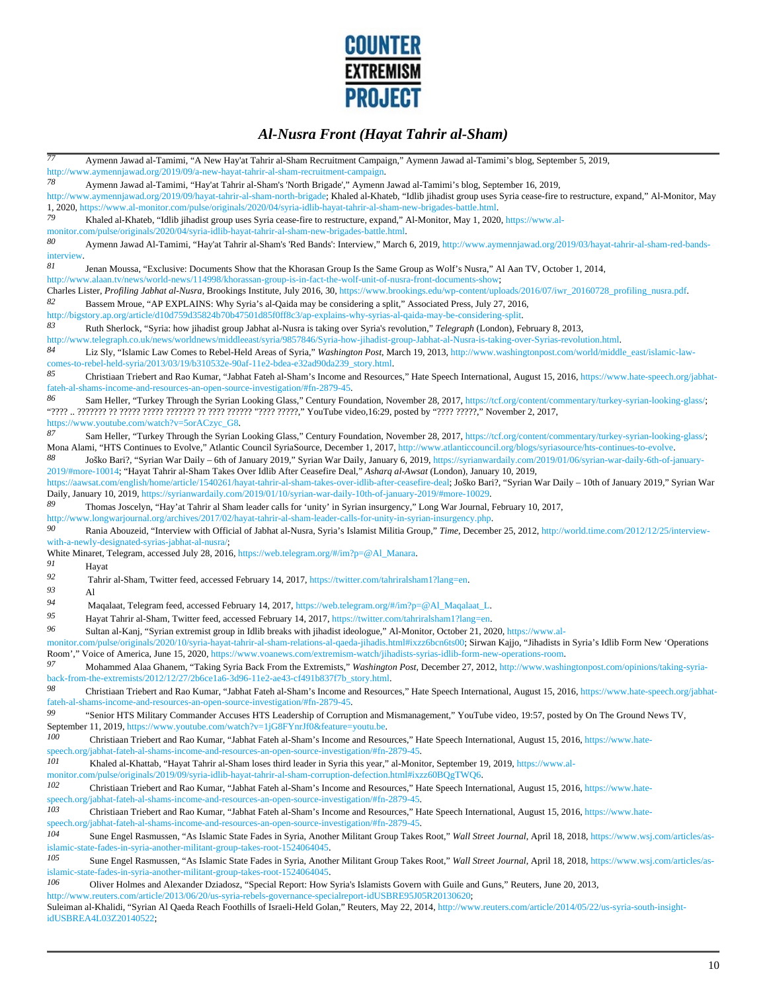

*77* Aymenn Jawad al-Tamimi, "A New Hay'at Tahrir al-Sham Recruitment Campaign," Aymenn Jawad al-Tamimi's blog, September 5, 2019, http://www.aymennjawad.org/2019/09/a-new-hayat-tahrir-al-sham-recruitment-campaign.<br>78 August David al-Tamimi "Hay'at Tahrir al-Sham'a North Prizedal" August *78* Aymenn Jawad al-Tamimi, "Hay'at Tahrir al-Sham's 'North Brigade'," Aymenn Jawad al-Tamimi's blog, September 16, 2019, http://www.aymennjawad.org/2019/09/hayat-tahrir-al-sham-north-brigade; Khaled al-Khateb, "Idlib jihadist group uses Syria cease-fire to restructure, expand," Al-Monitor, May 1, 2020, https://www.al-monitor.com/pulse/originals/2020/04/syria-idlib-hayat-tahrir-al-sham-new-brigades-battle.html. *79* Khaled al-Khateb, "Idlib jihadist group uses Syria cease-fire to restructure, expand," Al-Monitor, May 1, 2020, https://www.almonitor.com/pulse/originals/2020/04/syria-idlib-hayat-tahrir-al-sham-new-brigades-battle.html. *80* Aymenn Jawad Al-Tamimi, "Hay'at Tahrir al-Sham's 'Red Bands': Interview," March 6, 2019, http://www.aymennjawad.org/2019/03/hayat-tahrir-al-sham-red-bandsinterview *81* Jenan Moussa, "Exclusive: Documents Show that the Khorasan Group Is the Same Group as Wolf's Nusra," Al Aan TV, October 1, 2014, http://www.alaan.tv/news/world-news/114998/khorassan-group-is-in-fact-the-wolf-unit-of-nusra-front-documents-show; Charles Lister, *Profiling Jabhat al-Nusra*, Brookings Institute, July 2016, 30, https://www.brookings.edu/wp-content/uploads/2016/07/iwr\_20160728\_profiling\_nusra.pdf. *82* Bassem Mroue, "AP EXPLAINS: Why Syria's al-Qaida may be considering a split," Associated Press, July 27, 2016, http://bigstory.ap.org/article/d10d759d35824b70b47501d85f0ff8c3/ap-explains-why-syrias-al-qaida-may-be-considering-split. *83* Ruth Sherlock, "Syria: how jihadist group Jabhat al-Nusra is taking over Syria's revolution," *Telegraph* (London), February 8, 2013, http://www.telegraph.co.uk/news/worldnews/middleeast/syria/9857846/Syria-how-jihadist-group-Jabhat-al-Nusra-is-taking-over-Syrias-revolution.html.<br>84 Liz Sly "Jelamic Law Comes to Behel-Held Arose of Syria" Washinston Post *84* Liz Sly, "Islamic Law Comes to Rebel-Held Areas of Syria," *Washington Post*, March 19, 2013, http://www.washingtonpost.com/world/middle\_east/islamic-lawcomes-to-rebel-held-syria/2013/03/19/b310532e-90af-11e2-bdea-e32ad90da239\_story.html. *85* Christiaan Triebert and Rao Kumar, "Jabhat Fateh al-Sham's Income and Resources," Hate Speech International, August 15, 2016, https://www.hate-speech.org/jabhatfateh-al-shams-income-and-resources-an-open-source-investigation/#fn-2879-45. 86 Sam Heller, "Turkey Through the Syrian Looking Glass," Century Foundation, November 28, 2017, https://tcf.org/content/commentary/turkey-syrian-looking-glass/; "???? .. ??????? ?? ????? ????? ??????? ?? ???? ?????? "???? ?????," YouTube video,16:29, posted by "???? ?????," November 2, 2017, https://www.youtube.com/watch?v=5orACzyc\_G8. 87 Sam Heller, "Turkey Through the Syrian Looking Glass," Century Foundation, November 28, 2017, https://tcf.org/content/commentary/turkey-syrian-looking-glass/; Mona Alami, "HTS Continues to Evolve," Atlantic Council SyriaSource, December 1, 2017, http://www.atlanticcouncil.org/blogs/syriasource/hts-continues-to-evolve. *88* Joško Bari?, "Syrian War Daily – 6th of January 2019," Syrian War Daily, January 6, 2019, https://syrianwardaily.com/2019/01/06/syrian-war-daily-6th-of-january-2019/#more-10014; "Hayat Tahrir al-Sham Takes Over Idlib After Ceasefire Deal," *Asharq al-Awsat* (London), January 10, 2019, https://aawsat.com/english/home/article/1540261/hayat-tahrir-al-sham-takes-over-idlib-after-ceasefire-deal; Joško Bari?, "Syrian War Daily – 10th of January 2019," Syrian War Daily, January 10, 2019, https://syrianwardaily.com/2019/01/10/syrian-war-daily-10th-of-january-2019/#more-10029. *89* Thomas Joscelyn, "Hay'at Tahrir al Sham leader calls for 'unity' in Syrian insurgency," Long War Journal, February 10, 2017, http://www.longwarjournal.org/archives/2017/02/hayat-tahrir-al-sham-leader-calls-for-unity-in-syrian-insurgency.php.<br>90<br>Paris Akausaid Watamian with Official of Jakkat al Nueva Suria's Islamict Mikie Creux "Time, Desember *90* Rania Abouzeid, "Interview with Official of Jabhat al-Nusra, Syria's Islamist Militia Group," *Time*, December 25, 2012, http://world.time.com/2012/12/25/interviewwith-a-newly-designated-syrias-jabhat-al-nusra/; White Minaret, Telegram, accessed July 28, 2016, https://web.telegram.org/#/im?p=@Al\_Manara. *91* Hayat *92* Tahrir al-Sham, Twitter feed, accessed February 14, 2017, https://twitter.com/tahriralsham1?lang=en. *93* Al *94* Maqalaat, Telegram feed, accessed February 14, 2017, https://web.telegram.org/#/im?p=@Al\_Maqalaat\_L. *95* Hayat Tahrir al-Sham, Twitter feed, accessed February 14, 2017, https://twitter.com/tahriralsham1?lang=en. *96* Sultan al-Kanj, "Syrian extremist group in Idlib breaks with jihadist ideologue," Al-Monitor, October 21, 2020, https://www.almonitor.com/pulse/originals/2020/10/syria-hayat-tahrir-al-sham-relations-al-qaeda-jihadis.html#ixzz6bcn6ts00; Sirwan Kajjo, "Jihadists in Syria's Idlib Form New 'Operations Room'," Voice of America, June 15, 2020, https://www.voanews.com/extremism-watch/jihadists-syrias-idlib-form-new-operations-room. *97* Mohammed Alaa Ghanem, "Taking Syria Back From the Extremists," *Washington Post*, December 27, 2012, http://www.washingtonpost.com/opinions/taking-syriaback-from-the-extremists/2012/12/27/2b6ce1a6-3d96-11e2-ae43-cf491b837f7b\_story.html. *98* Christiaan Triebert and Rao Kumar, "Jabhat Fateh al-Sham's Income and Resources," Hate Speech International, August 15, 2016, https://www.hate-speech.org/jabhatfateh-al-shams-income-and-resources-an-open-source-investigation/#fn-2879-45. *99* "Senior HTS Military Commander Accuses HTS Leadership of Corruption and Mismanagement," YouTube video, 19:57, posted by On The Ground News TV, September 11, 2019, https://www.youtube.com/watch?v=1jG8FYnrJf0&feature=youtu.be.<br>  $100$  Christiaan Trisbert and Rao Kumar, "Jabbat Fateb al-Sham's Income and Reso *100* Christiaan Triebert and Rao Kumar, "Jabhat Fateh al-Sham's Income and Resources," Hate Speech International, August 15, 2016, https://www.hatespeech.org/jabhat-fateh-al-shams-income-and-resources-an-open-source-investigation/#fn-2879-45.<br>101 Ekologia Maria di Khatteh "Havet Tabrir al-Sham locas third loader in Suria this was " al-Maria" *101* Khaled al-Khattab, "Hayat Tahrir al-Sham loses third leader in Syria this year," al-Monitor, September 19, 2019, https://www.almonitor.com/pulse/originals/2019/09/syria-idlib-hayat-tahrir-al-sham-corruption-defection.html#ixzz60BQgTWQ6. *102* Christiaan Triebert and Rao Kumar, "Jabhat Fateh al-Sham's Income and Resources," Hate Speech International, August 15, 2016, https://www.hatespeech.org/jabhat-fateh-al-shams-income-and-resources-an-open-source-investigation/#fn-2879-45. *103* Christiaan Triebert and Rao Kumar, "Jabhat Fateh al-Sham's Income and Resources," Hate Speech International, August 15, 2016, https://www.hatespeech.org/jabhat-fateh-al-shams-income-and-resources-an-open-source-investigation/#fn-2879-45. *104* Sune Engel Rasmussen, "As Islamic State Fades in Syria, Another Militant Group Takes Root," *Wall Street Journal*, April 18, 2018, https://www.wsj.com/articles/asislamic-state-fades-in-syria-another-militant-group-takes-root-1524064045. *105* Sune Engel Rasmussen, "As Islamic State Fades in Syria, Another Militant Group Takes Root," *Wall Street Journal*, April 18, 2018, https://www.wsj.com/articles/asislamic-state-fades-in-syria-another-militant-group-takes-root-1524064045. *106* Oliver Holmes and Alexander Dziadosz, "Special Report: How Syria's Islamists Govern with Guile and Guns," Reuters, June 20, 2013, http://www.reuters.com/article/2013/06/20/us-syria-rebels-governance-specialreport-idUSBRE95J05R20130620; Suleiman al-Khalidi, "Syrian Al Qaeda Reach Foothills of Israeli-Held Golan," Reuters, May 22, 2014, http://www.reuters.com/article/2014/05/22/us-syria-south-insight-

idUSBREA4L03Z20140522;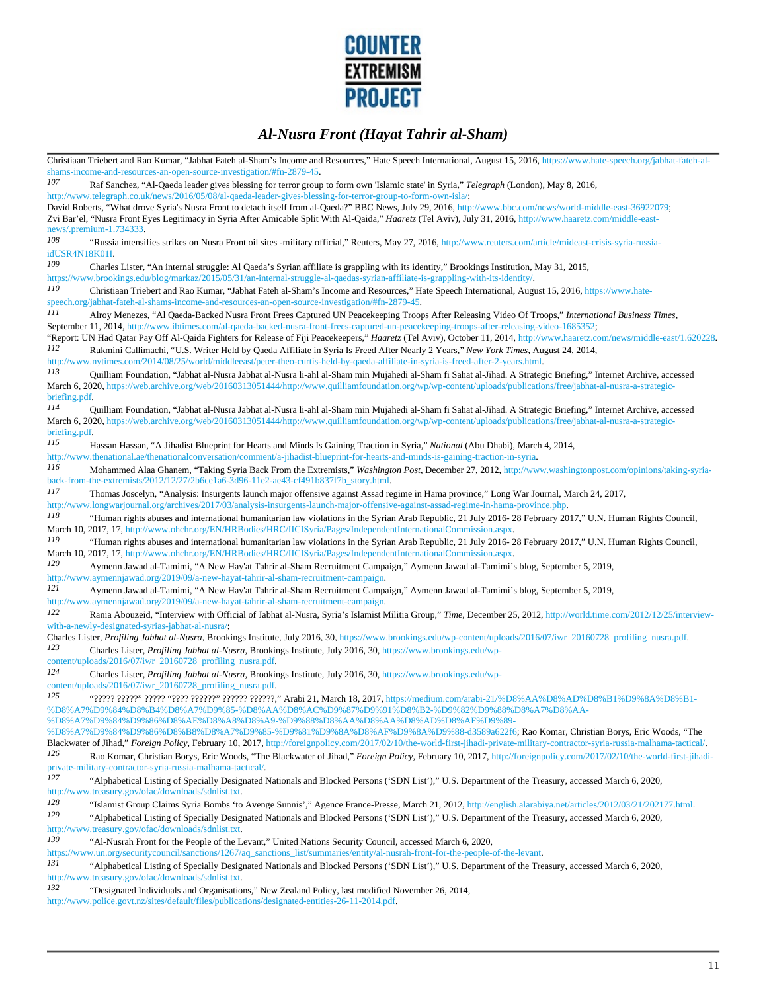

Christiaan Triebert and Rao Kumar, "Jabhat Fateh al-Sham's Income and Resources," Hate Speech International, August 15, 2016, https://www.hate-speech.org/jabhat-fateh-alshams-income-and-resources-an-open-source-investigation/#fn-2879-45.<br>107 Bef Sanghar "Al Qoada looder gives blogging for tower area *107* Raf Sanchez, "Al-Qaeda leader gives blessing for terror group to form own 'Islamic state' in Syria," *Telegraph* (London), May 8, 2016, http://www.telegraph.co.uk/news/2016/05/08/al-qaeda-leader-gives-blessing-for-terror-group-to-form-own-isla/; David Roberts, "What drove Syria's Nusra Front to detach itself from al-Qaeda?" BBC News, July 29, 2016, http://www.bbc.com/news/world-middle-east-36922079; Zvi Bar'el, "Nusra Front Eyes Legitimacy in Syria After Amicable Split With Al-Qaida," *Haaretz* (Tel Aviv), July 31, 2016, http://www.haaretz.com/middle-eastnews/.premium-1.734333. *108* "Russia intensifies strikes on Nusra Front oil sites -military official," Reuters, May 27, 2016, http://www.reuters.com/article/mideast-crisis-syria-russiaidUSR4N18K01I. *109* Charles Lister, "An internal struggle: Al Qaeda's Syrian affiliate is grappling with its identity," Brookings Institution, May 31, 2015, https://www.brookings.edu/blog/markaz/2015/05/31/an-internal-struggle-al-qaedas-syrian-affiliate-is-grappling-with-its-identity/.<br>110 Christiaan Trisbort and Bao Kumar, "Johat Fotoh al-Sham's Income and Bosources" Hate Spe *110* Christiaan Triebert and Rao Kumar, "Jabhat Fateh al-Sham's Income and Resources," Hate Speech International, August 15, 2016, https://www.hatespeech.org/jabhat-fateh-al-shams-income-and-resources-an-open-source-investigation/#fn-2879-45. *111* Alroy Menezes, "Al Qaeda-Backed Nusra Front Frees Captured UN Peacekeeping Troops After Releasing Video Of Troops," *International Business Times*, September 11, 2014, http://www.ibtimes.com/al-qaeda-backed-nusra-front-frees-captured-un-peacekeeping-troops-after-releasing-video-1685352; "Report: UN Had Qatar Pay Off Al-Qaida Fighters for Release of Fiji Peacekeepers," *Haaretz* (Tel Aviv), October 11, 2014, http://www.haaretz.com/news/middle-east/1.620228.<br>112 Perlemini Callimeghi "U.S. Writer Hald by Qoo *112* Rukmini Callimachi, "U.S. Writer Held by Qaeda Affiliate in Syria Is Freed After Nearly 2 Years," *New York Times*, August 24, 2014, http://www.nytimes.com/2014/08/25/world/middleeast/peter-theo-curtis-held-by-qaeda-affiliate-in-syria-is-freed-after-2-years.html. *113* Quilliam Foundation, "Jabhat al-Nusra Jabhat al-Nusra li-ahl al-Sham min Mujahedi al-Sham fi Sahat al-Jihad. A Strategic Briefing," Internet Archive, accessed March 6, 2020, https://web.archive.org/web/20160313051444/http://www.quilliamfoundation.org/wp/wp-content/uploads/publications/free/jabhat-al-nusra-a-strategicbriefing.pdf. *114* Quilliam Foundation, "Jabhat al-Nusra Jabhat al-Nusra li-ahl al-Sham min Mujahedi al-Sham fi Sahat al-Jihad. A Strategic Briefing," Internet Archive, accessed March 6, 2020, https://web.archive.org/web/20160313051444/http://www.quilliamfoundation.org/wp/wp-content/uploads/publications/free/jabhat-al-nusra-a-strategicbriefing.pdf. *115* Hassan Hassan, "A Jihadist Blueprint for Hearts and Minds Is Gaining Traction in Syria," *National* (Abu Dhabi), March 4, 2014, http://www.thenational.ae/thenationalconversation/comment/a-jihadist-blueprint-for-hearts-and-minds-is-gaining-traction-in-syria.<br>
116 Mohammed Alaa Ghanem "Taking Syria Back From the Extremists" Washington Post December 2 *116* Mohammed Alaa Ghanem, "Taking Syria Back From the Extremists," *Washington Post*, December 27, 2012, http://www.washingtonpost.com/opinions/taking-syriaback-from-the-extremists/2012/12/27/2b6ce1a6-3d96-11e2-ae43-cf491b837f7b\_story.html. *117* Thomas Joscelyn, "Analysis: Insurgents launch major offensive against Assad regime in Hama province," Long War Journal, March 24, 2017, http://www.longwarjournal.org/archives/2017/03/analysis-insurgents-launch-major-offensive-against-assad-regime-in-hama-province.php.<br>118 **The Contract of the contract of interpretional hypopitations** law violations in the *118* "Human rights abuses and international humanitarian law violations in the Syrian Arab Republic, 21 July 2016- 28 February 2017," U.N. Human Rights Council, March 10, 2017, 17, http://www.ohchr.org/EN/HRBodies/HRC/IICISyria/Pages/IndependentInternationalCommission.aspx. *119* "Human rights abuses and international humanitarian law violations in the Syrian Arab Republic, 21 July 2016- 28 February 2017," U.N. Human Rights Council, March 10, 2017, 17, http://www.ohchr.org/EN/HRBodies/HRC/IICISyria/Pages/IndependentInternationalCommission.aspx. *120* Aymenn Jawad al-Tamimi, "A New Hay'at Tahrir al-Sham Recruitment Campaign," Aymenn Jawad al-Tamimi's blog, September 5, 2019, http://www.aymennjawad.org/2019/09/a-new-hayat-tahrir-al-sham-recruitment-campaign.<br>121 Avmenn Jawad al-Tamimi "A New Hay'at Tahrir al-Sham Recruitment Camp *121* Aymenn Jawad al-Tamimi, "A New Hay'at Tahrir al-Sham Recruitment Campaign," Aymenn Jawad al-Tamimi's blog, September 5, 2019, http://www.aymennjawad.org/2019/09/a-new-hayat-tahrir-al-sham-recruitment-campaign.<br>
122 Danie Abouzoid "Interview with Official of Johnet al Nueva Syrie's Islamist N Rania Abouzeid, "Interview with Official of Jabhat al-Nusra, Syria's Islamist Militia Group," *Time*, December 25, 2012, http://world.time.com/2012/12/25/interviewwith-a-newly-designated-syrias-jabhat-al-nusra/; Charles Lister, *Profiling Jabhat al-Nusra*, Brookings Institute, July 2016, 30, https://www.brookings.edu/wp-content/uploads/2016/07/iwr\_20160728\_profiling\_nusra.pdf. *123* Charles Lister, *Profiling Jabhat al-Nusra*, Brookings Institute, July 2016, 30, https://www.brookings.edu/wpcontent/uploads/2016/07/iwr\_20160728\_profiling\_nusra.pdf. *124* Charles Lister, *Profiling Jabhat al-Nusra*, Brookings Institute, July 2016, 30, https://www.brookings.edu/wpcontent/uploads/2016/07/iwr\_20160728\_profiling\_nusra.pdf. *125* "????? ?????" ????? "???? ??????" ?????? ??????," Arabi 21, March 18, 2017, https://medium.com/arabi-21/%D8%AA%D8%AD%D8%B1%D9%8A%D8%B1- %D8%A7%D9%84%D8%B4%D8%A7%D9%85-%D8%AA%D8%AC%D9%87%D9%91%D8%B2-%D9%82%D9%88%D8%A7%D8%AA- %D8%A7%D9%84%D9%86%D8%AE%D8%A8%D8%A9-%D9%88%D8%AA%D8%AA%D8%AD%D8%AF%D9%89- %D8%A7%D9%84%D9%86%D8%B8%D8%A7%D9%85-%D9%81%D9%8A%D8%AF%D9%8A%D9%88-d3589a622f6; Rao Komar, Christian Borys, Eric Woods, "The Blackwater of Jihad," *Foreign Policy*, February 10, 2017, http://foreignpolicy.com/2017/02/10/the-world-first-jihadi-private-military-contractor-syria-russia-malhama-tactical/. *126* Rao Komar, Christian Borys, Eric Woods, "The Blackwater of Jihad," *Foreign Policy*, February 10, 2017, http://foreignpolicy.com/2017/02/10/the-world-first-jihadiprivate-military-contractor-syria-russia-malhama-tactical/. *127* "Alphabetical Listing of Specially Designated Nationals and Blocked Persons ('SDN List')," U.S. Department of the Treasury, accessed March 6, 2020, http://www.treasury.gov/ofac/downloads/sdnlist.txt. *128* "Islamist Group Claims Syria Bombs 'to Avenge Sunnis'," Agence France-Presse, March 21, 2012, http://english.alarabiya.net/articles/2012/03/21/202177.html. *129* "Alphabetical Listing of Specially Designated Nationals and Blocked Persons ('SDN List')," U.S. Department of the Treasury, accessed March 6, 2020, http://www.treasury.gov/ofac/downloads/sdnlist.txt.<br>130 <br>
"Al-Nusrah Front for the People of the L *130* "Al-Nusrah Front for the People of the Levant," United Nations Security Council, accessed March 6, 2020, https://www.un.org/securitycouncil/sanctions/1267/aq\_sanctions\_list/summaries/entity/al-nusrah-front-for-the-people-of-the-levant.<br>
131 "Alphabetical Listing of Specially Designated Nationals and Blocked Persons ('SDN List *131* "Alphabetical Listing of Specially Designated Nationals and Blocked Persons ('SDN List')," U.S. Department of the Treasury, accessed March 6, 2020, http://www.treasury.gov/ofac/downloads/sdnlist.txt. *132* "Designated Individuals and Organisations," New Zealand Policy, last modified November 26, 2014, http://www.police.govt.nz/sites/default/files/publications/designated-entities-26-11-2014.pdf.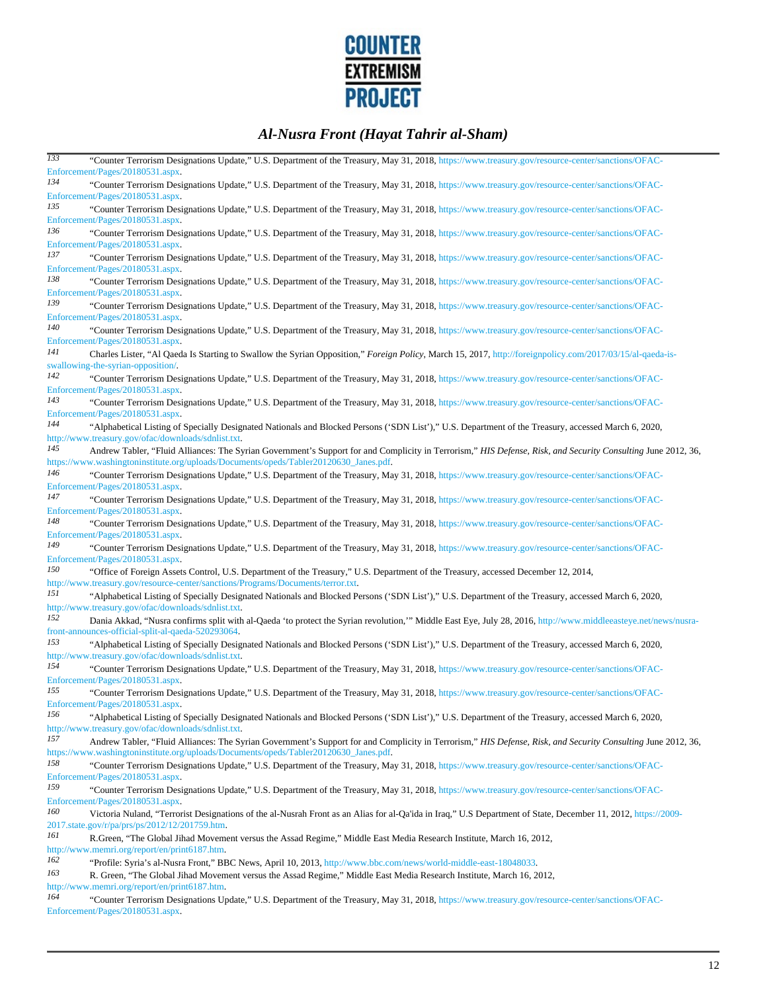

| $\overline{133}$ | "Counter Terrorism Designations Update," U.S. Department of the Treasury, May 31, 2018, https://www.treasury.gov/resource-center/sanctions/OFAC-                                     |
|------------------|--------------------------------------------------------------------------------------------------------------------------------------------------------------------------------------|
|                  | Enforcement/Pages/20180531.aspx.                                                                                                                                                     |
| 134              | "Counter Terrorism Designations Update," U.S. Department of the Treasury, May 31, 2018, https://www.treasury.gov/resource-center/sanctions/OFAC-                                     |
|                  | Enforcement/Pages/20180531.aspx.                                                                                                                                                     |
| 135              | "Counter Terrorism Designations Update," U.S. Department of the Treasury, May 31, 2018, https://www.treasury.gov/resource-center/sanctions/OFAC-                                     |
|                  | Enforcement/Pages/20180531.aspx.                                                                                                                                                     |
| 136              | "Counter Terrorism Designations Update," U.S. Department of the Treasury, May 31, 2018, https://www.treasury.gov/resource-center/sanctions/OFAC-                                     |
|                  | Enforcement/Pages/20180531.aspx.                                                                                                                                                     |
| 137              | "Counter Terrorism Designations Update," U.S. Department of the Treasury, May 31, 2018, https://www.treasury.gov/resource-center/sanctions/OFAC-                                     |
|                  | Enforcement/Pages/20180531.aspx.                                                                                                                                                     |
| 138              |                                                                                                                                                                                      |
|                  | "Counter Terrorism Designations Update," U.S. Department of the Treasury, May 31, 2018, https://www.treasury.gov/resource-center/sanctions/OFAC-<br>Enforcement/Pages/20180531.aspx. |
| 139              |                                                                                                                                                                                      |
|                  | "Counter Terrorism Designations Update," U.S. Department of the Treasury, May 31, 2018, https://www.treasury.gov/resource-center/sanctions/OFAC-                                     |
| 140              | Enforcement/Pages/20180531.aspx.                                                                                                                                                     |
|                  | "Counter Terrorism Designations Update," U.S. Department of the Treasury, May 31, 2018, https://www.treasury.gov/resource-center/sanctions/OFAC-                                     |
|                  | Enforcement/Pages/20180531.aspx.                                                                                                                                                     |
| 141              | Charles Lister, "Al Qaeda Is Starting to Swallow the Syrian Opposition," Foreign Policy, March 15, 2017, http://foreignpolicy.com/2017/03/15/al-qaeda-is-                            |
|                  | swallowing-the-syrian-opposition/.                                                                                                                                                   |
| 142              | "Counter Terrorism Designations Update," U.S. Department of the Treasury, May 31, 2018, https://www.treasury.gov/resource-center/sanctions/OFAC-                                     |
|                  | Enforcement/Pages/20180531.aspx.                                                                                                                                                     |
| 143              | "Counter Terrorism Designations Update," U.S. Department of the Treasury, May 31, 2018, https://www.treasury.gov/resource-center/sanctions/OFAC-                                     |
|                  | Enforcement/Pages/20180531.aspx.                                                                                                                                                     |
| 144              | "Alphabetical Listing of Specially Designated Nationals and Blocked Persons ('SDN List')," U.S. Department of the Treasury, accessed March 6, 2020,                                  |
|                  | http://www.treasury.gov/ofac/downloads/sdnlist.txt.                                                                                                                                  |
| 145              | Andrew Tabler, "Fluid Alliances: The Syrian Government's Support for and Complicity in Terrorism," HIS Defense, Risk, and Security Consulting June 2012, 36,                         |
|                  | https://www.washingtoninstitute.org/uploads/Documents/opeds/Tabler20120630_Janes.pdf.                                                                                                |
| 146              | "Counter Terrorism Designations Update," U.S. Department of the Treasury, May 31, 2018, https://www.treasury.gov/resource-center/sanctions/OFAC-                                     |
|                  | Enforcement/Pages/20180531.aspx.                                                                                                                                                     |
| 147              | "Counter Terrorism Designations Update," U.S. Department of the Treasury, May 31, 2018, https://www.treasury.gov/resource-center/sanctions/OFAC-                                     |
|                  | Enforcement/Pages/20180531.aspx.                                                                                                                                                     |
| 148              | "Counter Terrorism Designations Update," U.S. Department of the Treasury, May 31, 2018, https://www.treasury.gov/resource-center/sanctions/OFAC-                                     |
|                  | Enforcement/Pages/20180531.aspx.                                                                                                                                                     |
| 149              | "Counter Terrorism Designations Update," U.S. Department of the Treasury, May 31, 2018, https://www.treasury.gov/resource-center/sanctions/OFAC-                                     |
|                  | Enforcement/Pages/20180531.aspx.                                                                                                                                                     |
| 150              | "Office of Foreign Assets Control, U.S. Department of the Treasury," U.S. Department of the Treasury, accessed December 12, 2014,                                                    |
|                  | http://www.treasury.gov/resource-center/sanctions/Programs/Documents/terror.txt.                                                                                                     |
| 151              | "Alphabetical Listing of Specially Designated Nationals and Blocked Persons ('SDN List')," U.S. Department of the Treasury, accessed March 6, 2020,                                  |
|                  | http://www.treasury.gov/ofac/downloads/sdnlist.txt.                                                                                                                                  |
| 152              |                                                                                                                                                                                      |
|                  | Dania Akkad, "Nusra confirms split with al-Qaeda 'to protect the Syrian revolution," Middle East Eye, July 28, 2016, http://www.middleeasteye.net/news/nusra-                        |
| 153              | front-announces-official-split-al-qaeda-520293064.                                                                                                                                   |
|                  | "Alphabetical Listing of Specially Designated Nationals and Blocked Persons ('SDN List')," U.S. Department of the Treasury, accessed March 6, 2020,                                  |
|                  | http://www.treasury.gov/ofac/downloads/sdnlist.txt.                                                                                                                                  |
| 154              | "Counter Terrorism Designations Update," U.S. Department of the Treasury, May 31, 2018, https://www.treasury.gov/resource-center/sanctions/OFAC-                                     |
|                  | Enforcement/Pages/20180531.aspx.                                                                                                                                                     |
| 155              | "Counter Terrorism Designations Update," U.S. Department of the Treasury, May 31, 2018, https://www.treasury.gov/resource-center/sanctions/OFAC-                                     |
|                  | Enforcement/Pages/20180531.aspx.                                                                                                                                                     |
| 156              | "Alphabetical Listing of Specially Designated Nationals and Blocked Persons ('SDN List')," U.S. Department of the Treasury, accessed March 6, 2020,                                  |
|                  | http://www.treasury.gov/ofac/downloads/sdnlist.txt.                                                                                                                                  |
| 157              | Andrew Tabler, "Fluid Alliances: The Syrian Government's Support for and Complicity in Terrorism," HIS Defense, Risk, and Security Consulting June 2012, 36,                         |
|                  | https://www.washingtoninstitute.org/uploads/Documents/opeds/Tabler20120630_Janes.pdf.                                                                                                |
| 158              | "Counter Terrorism Designations Update," U.S. Department of the Treasury, May 31, 2018, https://www.treasury.gov/resource-center/sanctions/OFAC-                                     |
|                  | Enforcement/Pages/20180531.aspx.                                                                                                                                                     |
| 159              | "Counter Terrorism Designations Update," U.S. Department of the Treasury, May 31, 2018, https://www.treasury.gov/resource-center/sanctions/OFAC-                                     |
|                  | Enforcement/Pages/20180531.aspx.                                                                                                                                                     |
| 160              | Victoria Nuland, "Terrorist Designations of the al-Nusrah Front as an Alias for al-Qa'ida in Iraq," U.S Department of State, December 11, 2012, https://2009-                        |
|                  | 2017.state.gov/r/pa/prs/ps/2012/12/201759.htm.                                                                                                                                       |
| 161              | R. Green, "The Global Jihad Movement versus the Assad Regime," Middle East Media Research Institute, March 16, 2012,                                                                 |
|                  | http://www.memri.org/report/en/print6187.htm.                                                                                                                                        |
| 162              | "Profile: Syria's al-Nusra Front," BBC News, April 10, 2013, http://www.bbc.com/news/world-middle-east-18048033.                                                                     |
| 163              |                                                                                                                                                                                      |
|                  | R. Green, "The Global Jihad Movement versus the Assad Regime," Middle East Media Research Institute, March 16, 2012,<br>http://www.memri.org/report/en/print6187.htm.                |
| 164              |                                                                                                                                                                                      |
|                  | "Counter Terrorism Designations Update," U.S. Department of the Treasury, May 31, 2018, https://www.treasury.gov/resource-center/sanctions/OFAC-<br>Enforcement/Pages/20180531.aspx. |
|                  |                                                                                                                                                                                      |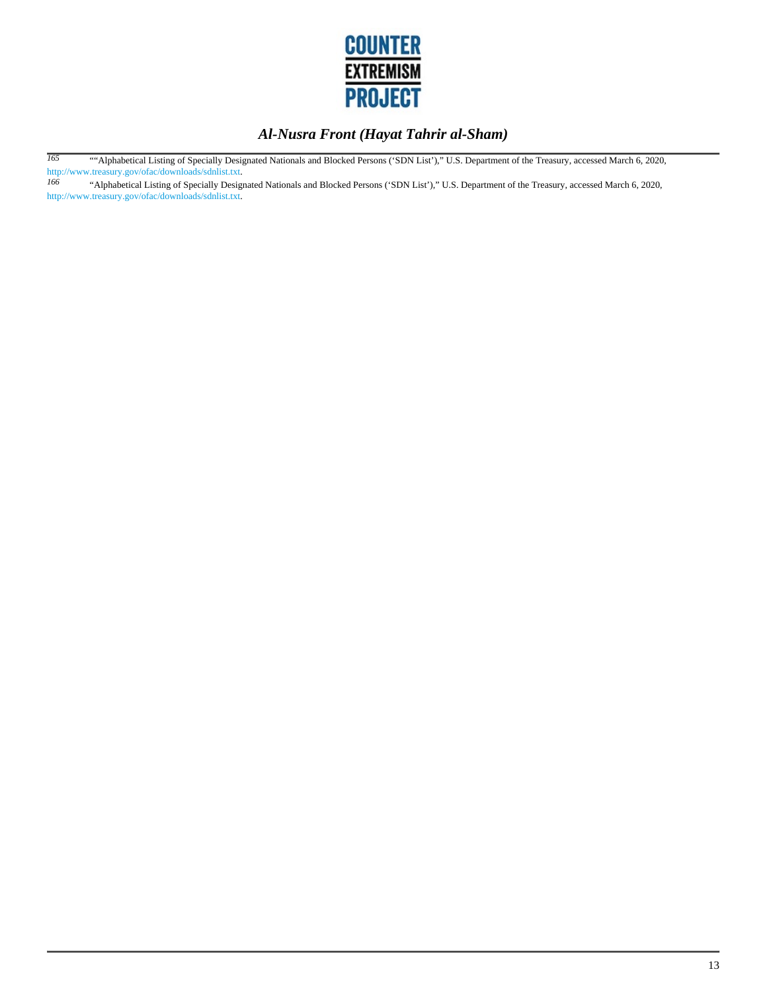

*165* ""Alphabetical Listing of Specially Designated Nationals and Blocked Persons ('SDN List')," U.S. Department of the Treasury, accessed March 6, 2020, http://www.treasury.gov/ofac/downloads/sdnlist.txt.<br>166 (Alphabetical Listing of Specially Design

*166* "Alphabetical Listing of Specially Designated Nationals and Blocked Persons ('SDN List')," U.S. Department of the Treasury, accessed March 6, 2020, http://www.treasury.gov/ofac/downloads/sdnlist.txt.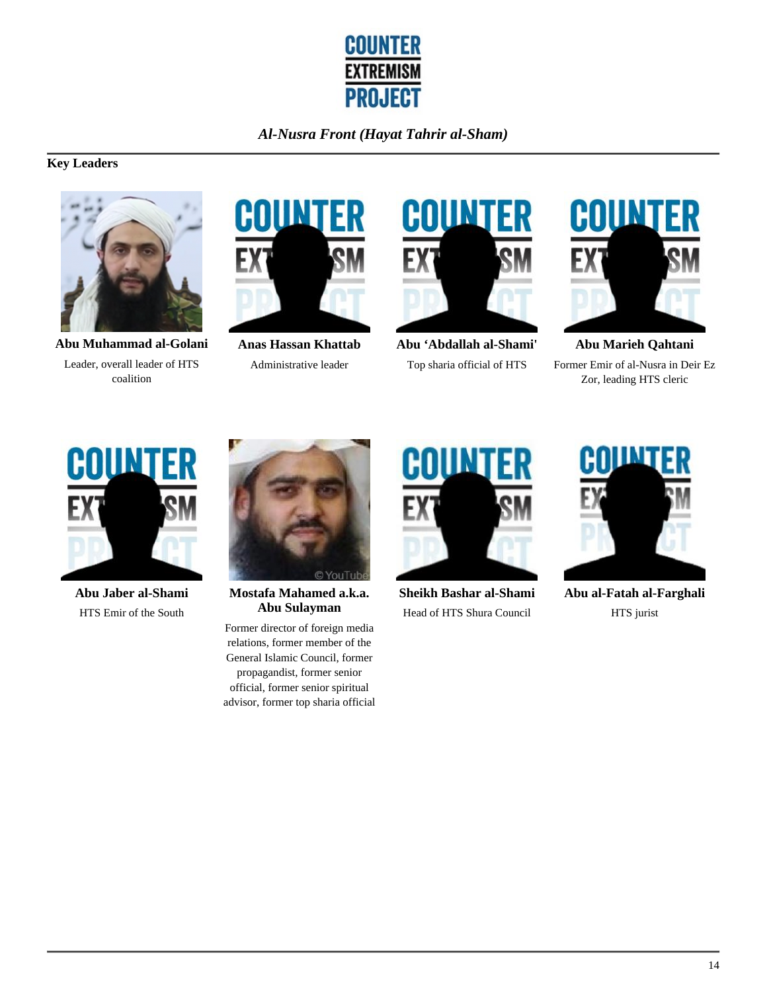

# **Key Leaders**



**Abu Muhammad al-Golani** Leader, overall leader of HTS coalition



**Anas Hassan Khattab** Administrative leader



**Abu 'Abdallah al-Shami'** Top sharia official of HTS



**Abu Marieh Qahtani** Former Emir of al-Nusra in Deir Ez Zor, leading HTS cleric



**Abu Jaber al-Shami** HTS Emir of the South



**Mostafa Mahamed a.k.a. Abu Sulayman**

Former director of foreign media relations, former member of the General Islamic Council, former propagandist, former senior official, former senior spiritual advisor, former top sharia official



**Sheikh Bashar al-Shami** Head of HTS Shura Council



**Abu al-Fatah al-Farghali** HTS jurist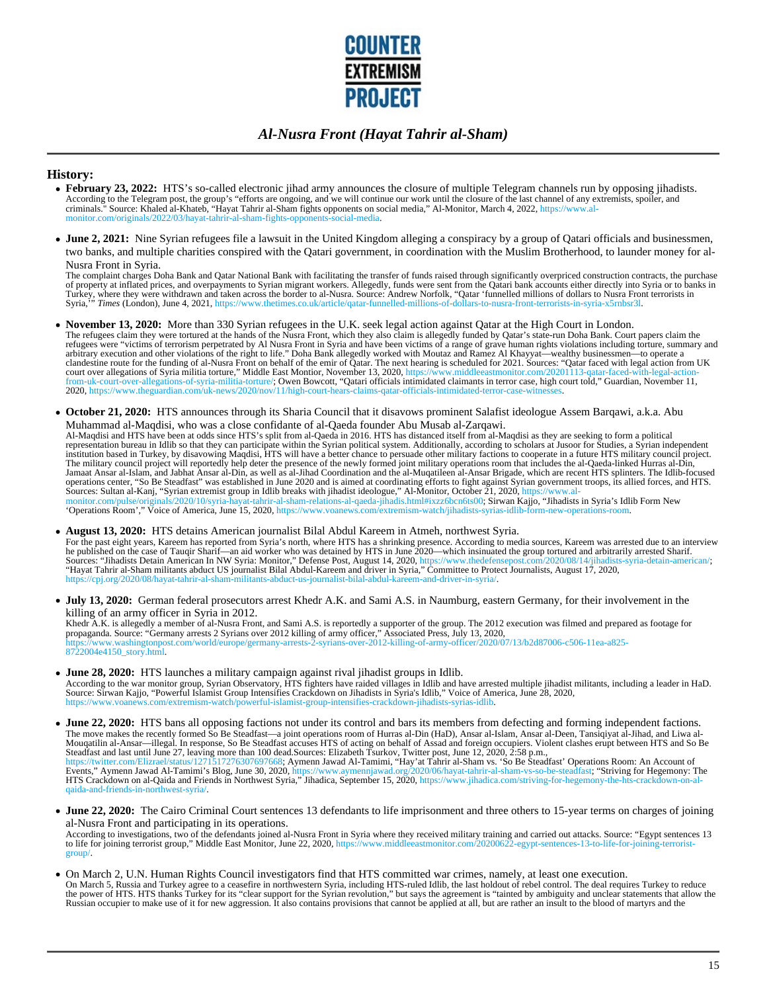

#### **History:**

- **February 23, 2022:** HTS's so-called electronic jihad army announces the closure of multiple Telegram channels run by opposing jihadists. According to the Telegram post, the group's "efforts are ongoing, and we will continue our work until the closure of the last channel of any extremists, spoiler, and<br>criminals." Source: Khaled al-Khateb, "Hayat Tahrir al-S monitor.com/originals/2022/03/hayat-tahrir-al-sham-fights-opponents-social-media.
- **June 2, 2021:** Nine Syrian refugees file a lawsuit in the United Kingdom alleging a conspiracy by a group of Qatari officials and businessmen, two banks, and multiple charities conspired with the Qatari government, in coordination with the Muslim Brotherhood, to launder money for al-Nusra Front in Syria.

The complaint charges Doha Bank and Qatar National Bank with facilitating the transfer of funds raised through significantly overpriced construction contracts, the purchase<br>of property at inflated prices, and overpayments

- **November 13, 2020:** More than 330 Syrian refugees in the U.K. seek legal action against Qatar at the High Court in London. The refugees claim they were tortured at the hands of the Nusra Front, which they also claim is allegedly funded by Qatar's state-run Doha Bank. Court papers claim the refugees were "victims of terrorism perpetrated by Al Nusra Front in Syria and have been victims of a range of grave human rights violations including torture, summary and arbitrary execution and other violations of the right to life." Doha Bank allegedly worked with Moutaz and Ramez Al Khayyat—wealthy businessmen—to operate a<br>clandestine route for the funding of al-Nusra Front on behalf of from-uk-court-over-allegations-of-syria-militia-torture/; Owen Bowcott, "Qatari officials intimidated claimants in terror case, high court told," Guardian, November 11,<br>2020, https://www.theguardian.com/uk-news/2020/nov/11
- **October 21, 2020:** HTS announces through its Sharia Council that it disavows prominent Salafist ideologue Assem Barqawi, a.k.a. Abu Muhammad al-Maqdisi, who was a close confidante of al-Qaeda founder Abu Musab al-Zarqawi. Al-Maqdisi and HTS have been at odds since HTS's split from al-Qaeda in 2016. HTS has distanced itself from al-Maqdisi as they are seeking to form a political representation bureau in Idlib so that they can participate within the Syrian political system. Additionally, according to scholars at Jusoor for Studies, a Syrian independent<br>Institution based in Turkey, by disavowing Maq operations center, "So Be Steadfast" was established in June 2020 and is aimed at coordinating efforts to fight against Syrian government troops, its allied forces, and HTS.

Sources: Sultan al-Kanj, "Syrian extremist group in Idlib breaks with jihadist ideologue," Al-Monitor, October 21, 2020, https://www.al-<br>monitor.com/pulse/originals/2020/10/syria-hayat-tahrir-al-sham-relations-al-qaeda-jih

**August 13, 2020:** HTS detains American journalist Bilal Abdul Kareem in Atmeh, northwest Syria.

For the past eight years, Kareem has reported from Syria's north, where HTS has a shrinking presence. According to media sources, Kareem was arrested due to an interview he published on the case of Tauqir Sharif—an aid worker who was detained by HTS in June 2020—which insinuated the group tortured and arbitrarily arrested Sharif.<br>Sources: "Jihadists Detain American In NW Syria: Monitor," D

**July 13, 2020:** German federal prosecutors arrest Khedr A.K. and Sami A.S. in Naumburg, eastern Germany, for their involvement in the killing of an army officer in Syria in 2012.

Khedr A.K. is allegedly a member of al-Nusra Front, and Sami A.S. is reportedly a supporter of the group. The 2012 execution was filmed and prepared as footage for<br>propaganda. Source: "Germany arrests 2 Syrians over 2012 k 8722004e4150\_story.html.

**June 28, 2020:** HTS launches a military campaign against rival jihadist groups in Idlib. According to the war monitor group, Syrian Observatory, HTS fighters have raided villages in Idlib and have arrested multiple jihadist militants, including a leader in HaD.<br>Source: Sirwan Kajjo, "Powerful Islamist Group In https://www.voanews.com/extremism-watch/powerful-islamist-group-intensifies-crackdown-jihadists-syrias-idlib.

**June 22, 2020:** HTS bans all opposing factions not under its control and bars its members from defecting and forming independent factions.<br>The move makes the recently formed So Be Steadfast—a joint operations room of Hurr qaida-and-friends-in-northwest-syria/.

**June 22, 2020:** The Cairo Criminal Court sentences 13 defendants to life imprisonment and three others to 15-year terms on charges of joining al-Nusra Front and participating in its operations.

According to investigations, two of the defendants joined al-Nusra Front in Syria where they received military training and carried out attacks. Source: "Egypt sentences 13 to life for joining terrorist group," Middle East Monitor, June 22, 2020, https://www.middleeastmonitor.com/20200622-egypt-sentences-13-to-life-for-joining-terroristgroup/.

On March 2, U.N. Human Rights Council investigators find that HTS committed war crimes, namely, at least one execution. On March 5, Russia and Turkey agree to a ceasefire in northwestern Syria, including HTS-ruled Idlib, the last holdout of rebel control. The deal requires Turkey to reduce<br>the power of HTS. HTS thanks Turkey for its "clear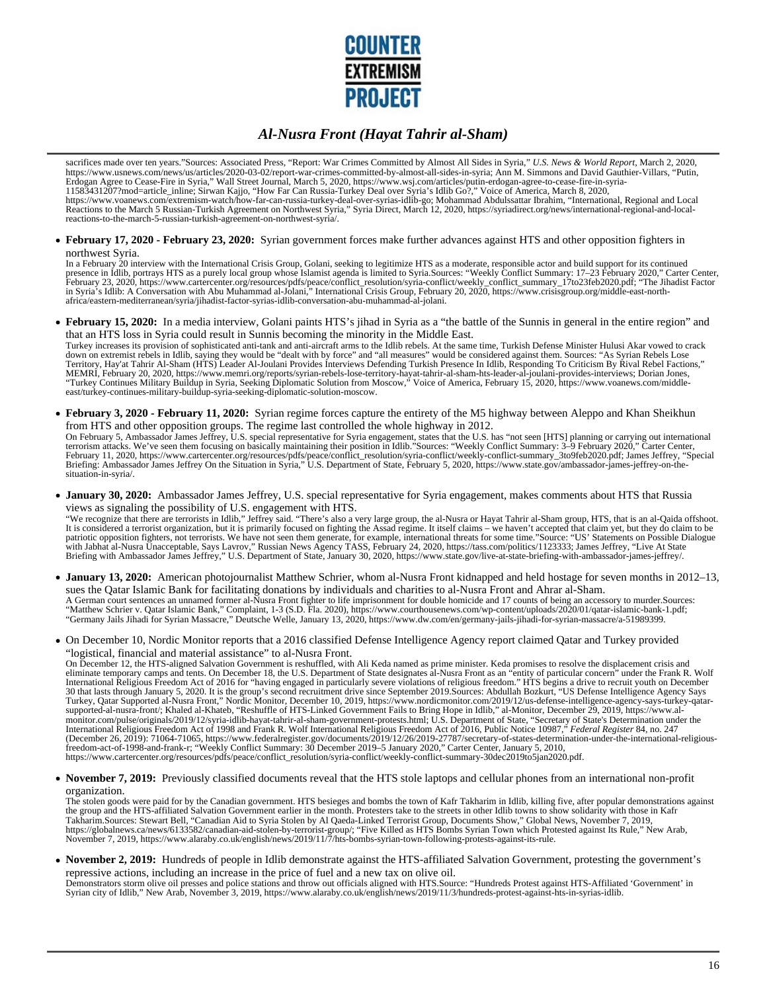

sacrifices made over ten years."Sources: Associated Press, "Report: War Crimes Committed by Almost All Sides in Syria," *U.S. News & World Report*, March 2, 2020, https://www.usnews.com/news/us/articles/2020-03-02/report-war-crimes-committed-by-almost-all-sides-in-syria; Ann M. Simmons and David Gauthier-Villars, "Putin, Erdogan Agree to Cease-Fire in Syria," Wall Street Journal, March 5, 2020, https://www.wsj.com/articles/putin-erdogan-agree-to-cease-fire-in-syria-<br>11583431207?mod=article\_inline; Sirwan Kajjo, "How Far Can Russia-Turkey D reactions-to-the-march-5-russian-turkish-agreement-on-northwest-syria/.

**February 17, 2020 - February 23, 2020:** Syrian government forces make further advances against HTS and other opposition fighters in northwest Syria.

In a February 20 interview with the International Crisis Group, Golani, seeking to legitimize HTS as a moderate, responsible actor and build support for its continued<br>presence in Idlib, portrays HTS as a purely local group

**February 15, 2020:** In a media interview, Golani paints HTS's jihad in Syria as a "the battle of the Sunnis in general in the entire region" and that an HTS loss in Syria could result in Sunnis becoming the minority in the Middle East.

Turkey increases its provision of sophisticated anti-tank and anti-aircraft arms to the Idlib rebels. At the same time, Turkish Defense Minister Hulusi Akar vowed to crack<br>down on extremist rebels in Idlib, saying they wou Territory, Hay'at Tahrir Al-Sham (HTS) Leader Al-Joulani Provides Interviews Defending Turkish Presence In Idlib, Responding To Criticism By Rival Rebel Factions," MEMRI, February 20, 2020, https://www.memri.org/reports/syrian-rebels-lose-territory-hayat-tahrir-al-sham-hts-leader-al-joulani-provides-interviews; Dorian Jones,<br>"Turkey Continues Military Buildup in Syria, Seeking Diplom east/turkey-continues-military-buildup-syria-seeking-diplomatic-solution-moscow.

**February 3, 2020 - February 11, 2020:** Syrian regime forces capture the entirety of the M5 highway between Aleppo and Khan Sheikhun from HTS and other opposition groups. The regime last controlled the whole highway in 2012.

On February 5, Ambassador James Jeffrey, U.S. special representative for Syria engagement, states that the U.S. has "not seen [HTS] planning or carrying out international<br>terrorism attacks. We've seen them focusing on basi February 11, 2020, https://www.cartercenter.org/resources/pdfs/peace/conflict\_resolution/syria-conflict/weekly-conflict-summary\_3to9feb2020.pdf; James Jeffrey, "Special<br>Briefing: Ambassador James Jeffrey On the Situation i situation-in-syria/.

**January 30, 2020:** Ambassador James Jeffrey, U.S. special representative for Syria engagement, makes comments about HTS that Russia views as signaling the possibility of U.S. engagement with HTS.

"We recognize that there are terrorists in Idlib," Jeffrey said. "There's also a very large group, the al-Nusra or Hayat Tahrir al-Sham group, HTS, that is an al-Qaida offshoot. It is considered a terrorist organization, but it is primarily focused on fighting the Assad regime. It itself claims – we haven't accepted that claim yet, but they do claim to be<br>patriotic opposition fighters, not terrori Briefing with Ambassador James Jeffrey," U.S. Department of State, January 30, 2020, https://www.state.gov/live-at-state-briefing-with-ambassador-james-jeffrey/.

**January 13, 2020:** American photojournalist Matthew Schrier, whom al-Nusra Front kidnapped and held hostage for seven months in 2012–13, sues the Qatar Islamic Bank for facilitating donations by individuals and charities to al-Nusra Front and Ahrar al-Sham.

A German court sentences an unnamed former al-Nusra Front fighter to life imprisonment for double homicide and 17 counts of being an accessory to murder.Sources: "Matthew Schrier v. Qatar Islamic Bank," Complaint, 1-3 (S.D. Fla. 2020), https://www.courthousenews.com/wp-content/uploads/2020/01/qatar-islamic-bank-1.pdf;<br>"Germany Jails Jihadi for Syrian Massacre," Deutsche Welle, Janu

On December 10, Nordic Monitor reports that a 2016 classified Defense Intelligence Agency report claimed Qatar and Turkey provided "logistical, financial and material assistance" to al-Nusra Front.

On December 12, the HTS-aligned Salvation Government is reshuffled, with Ali Keda named as prime minister. Keda promises to resolve the displacement crisis and<br>International Religious Freedom Act of 2016 for "having engage Turkey, Qatar Supported al-Nusra Front," Nordic Monitor, December 10, 2019, https://www.nordicmonitor.com/2019/12/us-defense-intelligence-agency-says-turkey-qatarsupported-al-nusra-front/; Khaled al-Khateb, "Reshuffle of HTS-Linked Government Fails to Bring Hope in Idlib," al-Monitor, December 29, 2019, https://www.al-<br>monitor.com/pulse/originals/2019/12/syria-idlib-hayat-tahrir-al https://www.cartercenter.org/resources/pdfs/peace/conflict\_resolution/syria-conflict/weekly-conflict-summary-30dec2019to5jan2020.pdf.

**November 7, 2019:** Previously classified documents reveal that the HTS stole laptops and cellular phones from an international non-profit organization.

The stolen goods were paid for by the Canadian government. HTS besieges and bombs the town of Kafr Takharim in Idlib, killing five, after popular demonstrations against the group and the HTS-affiliated Salvation Government earlier in the month. Protesters take to the streets in other Idlib towns to show solidarity with those in Kafr<br>Takharim.Sources: Stewart Bell, "Canadian Aid to Syria S

**November 2, 2019:** Hundreds of people in Idlib demonstrate against the HTS-affiliated Salvation Government, protesting the government's repressive actions, including an increase in the price of fuel and a new tax on olive oil.

Demonstrators storm olive oil presses and police stations and throw out officials aligned with HTS.Source: "Hundreds Protest against HTS-Affiliated 'Government' in Syrian city of Idlib," New Arab, November 3, 2019, https://www.alaraby.co.uk/english/news/2019/11/3/hundreds-protest-against-hts-in-syrias-idlib.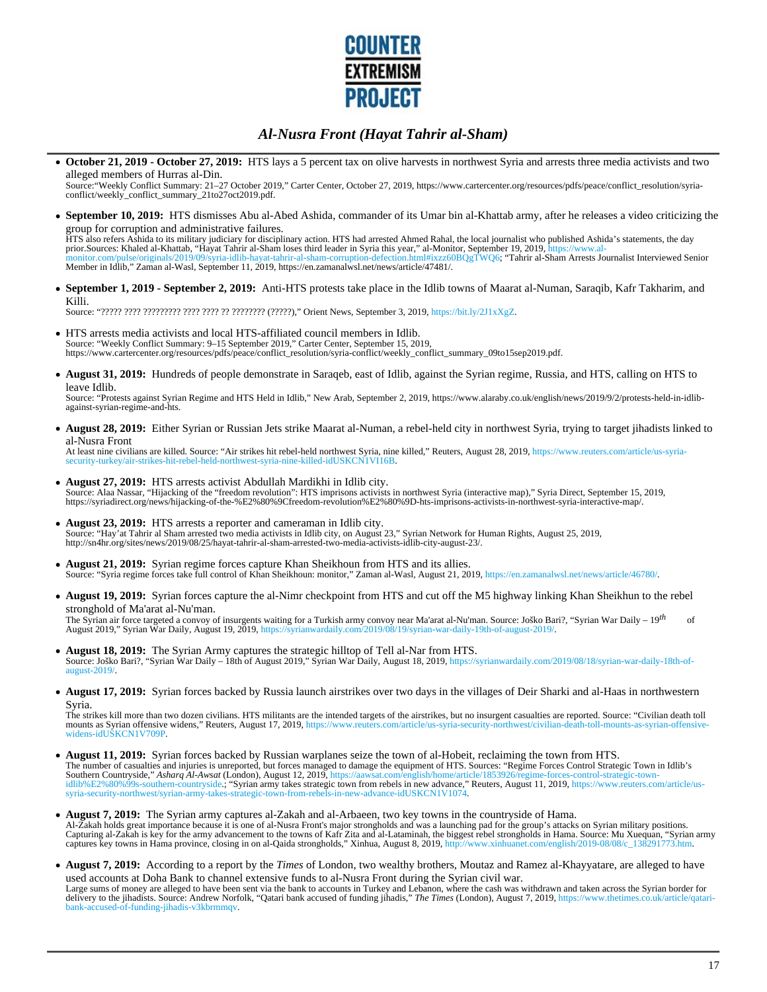

**October 21, 2019 - October 27, 2019:** HTS lays a 5 percent tax on olive harvests in northwest Syria and arrests three media activists and two alleged members of Hurras al-Din.

Source:"Weekly Conflict Summary: 21–27 October 2019," Carter Center, October 27, 2019, https://www.cartercenter.org/resources/pdfs/peace/conflict\_resolution/syria-conflict/weekly\_conflict\_summary\_21to27oct2019.pdf.

**September 10, 2019:** HTS dismisses Abu al-Abed Ashida, commander of its Umar bin al-Khattab army, after he releases a video criticizing the group for corruption and administrative failures.

HTS also refers Ashida to its military judiciary for disciplinary action. HTS had arrested Ahmed Rahal, the local journalist who published Ashida's statements, the day<br>prior.Sources: Khaled al-Khattab, "Hayat Tahrir al-Sha Member in Idlib," Zaman al-Wasl, September 11, 2019, https://en.zamanalwsl.net/news/article/47481/.

**September 1, 2019 - September 2, 2019:** Anti-HTS protests take place in the Idlib towns of Maarat al-Numan, Saraqib, Kafr Takharim, and Killi.

Source: "????? ???? ????????? ???? ???? ?? ???????? (?????)," Orient News, September 3, 2019, https://bit.ly/2J1xXgZ.

- HTS arrests media activists and local HTS-affiliated council members in Idlib. Source: "Weekly Conflict Summary: 9–15 September 2019," Carter Center, September 15, 2019, https://www.cartercenter.org/resources/pdfs/peace/conflict\_resolution/syria-conflict/weekly\_conflict\_summary\_09to15sep2019.pdf.
- **August 31, 2019:** Hundreds of people demonstrate in Saraqeb, east of Idlib, against the Syrian regime, Russia, and HTS, calling on HTS to leave Idlib.

Source: "Protests against Syrian Regime and HTS Held in Idlib," New Arab, September 2, 2019, https://www.alaraby.co.uk/english/news/2019/9/2/protests-held-in-idlibagainst-syrian-regime-and-hts.

**August 28, 2019:** Either Syrian or Russian Jets strike Maarat al-Numan, a rebel-held city in northwest Syria, trying to target jihadists linked to al-Nusra Front

At least nine civilians are killed. Source: "Air strikes hit rebel-held northwest Syria, nine killed," Reuters, August 28, 2019, https://www.reuters.com/article/us-syria-<br>security-turkey/air-strikes-hit-rebel-held-northwes security-turkey/air-strikes-hit-rebel-held-northwest-syria-nine-killed-idUSKCN1

- **August 27, 2019:** HTS arrests activist Abdullah Mardikhi in Idlib city. Source: Alaa Nassar, "Hijacking of the "freedom revolution": HTS imprisons activists in northwest Syria (interactive map)," Syria Direct, September 15, 2019, https://syriadirect.org/news/hijacking-of-the-%E2%80%9Cfreedom-revolution%E2%80%9D-hts-imprisons-activists-in-northwest-syria-interactive-map/.
- **August 23, 2019:** HTS arrests a reporter and cameraman in Idlib city. Source: "Hay'at Tahrir al Sham arrested two media activists in Idlib city, on August 23," Syrian Network for Human Rights, August 25, 2019, http://sn4hr.org/sites/news/2019/08/25/hayat-tahrir-al-sham-arrested-two-media-activists-idlib-city-august-23/.
- **August 21, 2019:** Syrian regime forces capture Khan Sheikhoun from HTS and its allies. Source: "Syria regime forces take full control of Khan Sheikhoun: monitor," Zaman al-Wasl, August 21, 2019, https://en.zamanalwsl.net/news/article/46780/.
- **August 19, 2019:** Syrian forces capture the al-Nimr checkpoint from HTS and cut off the M5 highway linking Khan Sheikhun to the rebel stronghold of Ma'arat al-Nu'man.

The Syrian air force targeted a convoy of insurgents waiting for a Turkish army convoy near Ma'arat al-Nu'man. Source: Joško Bari?, "Syrian War Daily – 19<sup>th</sup>of<br>August 2019," Syrian War Daily, August 19, 2019, https://syri

- **August 18, 2019:** The Syrian Army captures the strategic hilltop of Tell al-Nar from HTS. Source: Joško Bari?, "Syrian War Daily – 18th of August 2019," Syrian War Daily, August 18, 2019, https://syrianwardaily.com/2019/08/18/syrian-war-daily-18th-ofaugust-2019/.
- **August 17, 2019:** Syrian forces backed by Russia launch airstrikes over two days in the villages of Deir Sharki and al-Haas in northwestern Syria.

The strikes kill more than two dozen civilians. HTS militants are the intended targets of the airstrikes, but no insurgent casualties are reported. Source: "Civilian death toll<br>mounts as Syrian offensive widens," Reuters, widens-idUSKCN1V709P.

- **August 11, 2019:** Syrian forces backed by Russian warplanes seize the town of al-Hobeit, reclaiming the town from HTS. The number of casualties and injuries is unreported, but forces managed to damage the equipment of HTS. Sources: "Regime Forces Control Strategic Town in Idlib's<br>Southern Countryside," Asharq Al-Awsat (London), August 12,
- **August 7, 2019:** The Syrian army captures al-Zakah and al-Arbaeen, two key towns in the countryside of Hama. Al-Zakah holds great importance because it is one of al-Nusra Front's major strongholds and was a launching pad for the group's attacks on Syrian military positions. Capturing al-Zakah is key for the army advancement to the towns of Kafr Zita and al-Lataminah, the biggest rebel strongholds in Hama. Source: Mu Xuequan, "Syrian army<br>captures key towns in Hama province, closing in on al-Q
- **August 7, 2019:** According to a report by the *Times* of London, two wealthy brothers, Moutaz and Ramez al-Khayyatare, are alleged to have used accounts at Doha Bank to channel extensive funds to al-Nusra Front during the Syrian civil war. Large sums of money are alleged to have been sent via the bank to accounts in Turkey and Lebanon, where the cash was withdrawn and taken across the Syrian border for<br>delivery to the jihadists. Source: Andrew Norfolk, "Qata cused-of-funding-jihadis-v3kbrmmqv.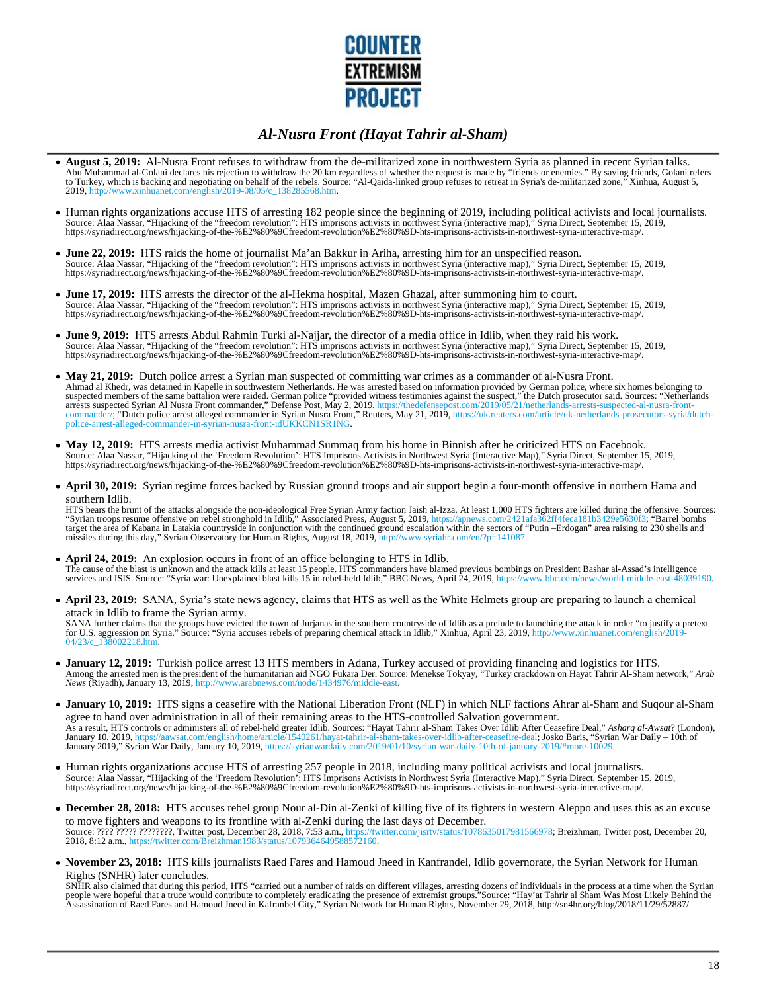

- **August 5, 2019:** Al-Nusra Front refuses to withdraw from the de-militarized zone in northwestern Syria as planned in recent Syrian talks. Abu Muhammad al-Golani declares his rejection to withdraw the 20 km regardless of whether the request is made by "friends or enemies." By saying friends, Golani refers<br>to Turkey, which is backing and negotiating on behalf 2019, http://www.xinhuanet.com/english/2019-08/05/c\_138285568.htm.
- Human rights organizations accuse HTS of arresting 182 people since the beginning of 2019, including political activists and local journalists.<br>Source: Alaa Nassar, "Hijacking of the "freedom revolution": HTS imprisons act
- **June 22, 2019:** HTS raids the home of journalist Ma'an Bakkur in Ariha, arresting him for an unspecified reason. Source: Alaa Nassar, "Hijacking of the "freedom revolution": HTS imprisons activists in northwest Syria (interactive map)," Syria Direct, September 15, 2019,<br>https://syriadirect.org/news/hijacking-of-the-%E2%80%9Cfreedom-r
- **June 17, 2019:** HTS arrests the director of the al-Hekma hospital, Mazen Ghazal, after summoning him to court. Source: Alaa Nassar, "Hijacking of the "freedom revolution": HTS imprisons activists in northwest Syria (interactive map)," Syria Direct, September 15, 2019,<br>https://syriadirect.org/news/hijacking-of-the-%E2%80%9Cfreedom-r
- **June 9, 2019:** HTS arrests Abdul Rahmin Turki al-Najjar, the director of a media office in Idlib, when they raid his work.<br>Source: Alaa Nassar, "Hijacking of the "freedom revolution": HTS imprisons activists in northwest
- **May 21, 2019:** Dutch police arrest a Syrian man suspected of committing war crimes as a commander of al-Nusra Front. Ahmad al Khedr, was detained in Kapelle in southwestern Netherlands. He was arrested based on information provided by German police, where six homes belonging to suspected members of the same battalion were raided. German police "provided witness testimonies against the suspect," the Dutch prosecutor said. Sources: "Netherlands<br>arrests suspected Syrian Al Nusra Front commander," De police-arrest-alleged-commander-in-syrian-nusra-front-idUKKCN1SR1NG.
- **May 12, 2019:** HTS arrests media activist Muhammad Summaq from his home in Binnish after he criticized HTS on Facebook. Source: Alaa Nassar, "Hijacking of the 'Freedom Revolution': HTS Imprisons Activists in Northwest Syria (Interactive Map)," Syria Direct, September 15, 2019,<br>https://syriadirect.org/news/hijacking-of-the-%E2%80%9Cfreedom-r
- **April 30, 2019:** Syrian regime forces backed by Russian ground troops and air support begin a four-month offensive in northern Hama and southern Idlib.

HTS bears the brunt of the attacks alongside the non-ideological Free Syrian Army faction Jaish al-Izza. At least 1,000 HTS fighters are killed during the offensive. Sources:<br>"Syrian troops resume offensive on rebel strong target the area of Kabana in Latakia countryside in conjunction with the continued ground escalation within the sectors of "Putin –Erdogan" area raising to 230 shells and missiles during this day," Syrian Observatory for Human Rights, August 18, 2019, http://www.syriahr.com/en/?p=141087.

- **April 24, 2019:** An explosion occurs in front of an office belonging to HTS in Idlib.<br>The cause of the blast is unknown and the attack kills at least 15 people. HTS commanders have blamed previous bombings on President Ba
- **April 23, 2019:** SANA, Syria's state news agency, claims that HTS as well as the White Helmets group are preparing to launch a chemical attack in Idlib to frame the Syrian army.

SANA further claims that the groups have evicted the town of Jurjanas in the southern countryside of Idlib as a prelude to launching the attack in order "to justify a pretext<br>for U.S. aggression on Syria." Source: "Syria a 04/23/c\_138002218.htm.

- **January 12, 2019:** Turkish police arrest 13 HTS members in Adana, Turkey accused of providing financing and logistics for HTS. Among the arrested men is the president of the humanitarian aid NGO Fukara Der. Source: Menekse Tokyay, "Turkey crackdown on Hayat Tahrir Al-Sham network," Arab<br>News (Riyadh), January 13, 2019, http://www.arabnews.com/node
- **January 10, 2019:** HTS signs a ceasefire with the National Liberation Front (NLF) in which NLF factions Ahrar al-Sham and Suqour al-Sham agree to hand over administration in all of their remaining areas to the HTS-controlled Salvation government. As a result, HTS controls or administers all of rebel-held greater Idlib. Sources: "Hayat Tahrir al-Sham Takes Over Idlib After Ceasefire Deal," *Asharq al-Awsat*? (London), sat.com/english/home/article/1540261/hayat-tahrir-al-sham-takes-over-idlib-after-ceasefire-deal; Josko Baris, "Syrian War Daily – 10th of January 2019," Syrian War Daily, January 10, 2019, https://syrianwardaily.com/2019/01/10/syrian-war-daily-10th-of-january-2019/#more-10029.
- Human rights organizations accuse HTS of arresting 257 people in 2018, including many political activists and local journalists.<br>Source: Alaa Nassar, "Hijacking of the 'Freedom Revolution': HTS Imprisons Activists in North https://syriadirect.org/news/hijacking-of-the-%E2%80%9Cfreedom-revolution%E2%80%9D-hts-imprisons-activists-in-northwest-syria-interactive-map/.
- **December 28, 2018:** HTS accuses rebel group Nour al-Din al-Zenki of killing five of its fighters in western Aleppo and uses this as an excuse to move fighters and weapons to its frontline with al-Zenki during the last days of December. Source: ???? ????? ????????, Twitter post, December 28, 2018, 7:53 a.m., https://twitter.com/jisrtv/status/1078635017981566978; Breizhman, Twitter post, December 20,<br>2018, 8:12 a.m., https://twitter.com/Breizhman1983/statu
- **November 23, 2018:** HTS kills journalists Raed Fares and Hamoud Jneed in Kanfrandel, Idlib governorate, the Syrian Network for Human Rights (SNHR) later concludes.

SNHR also claimed that during this period, HTS "carried out a number of raids on different villages, arresting dozens of individuals in the process at a time when the Syrian<br>people were hopeful that a truce would contribut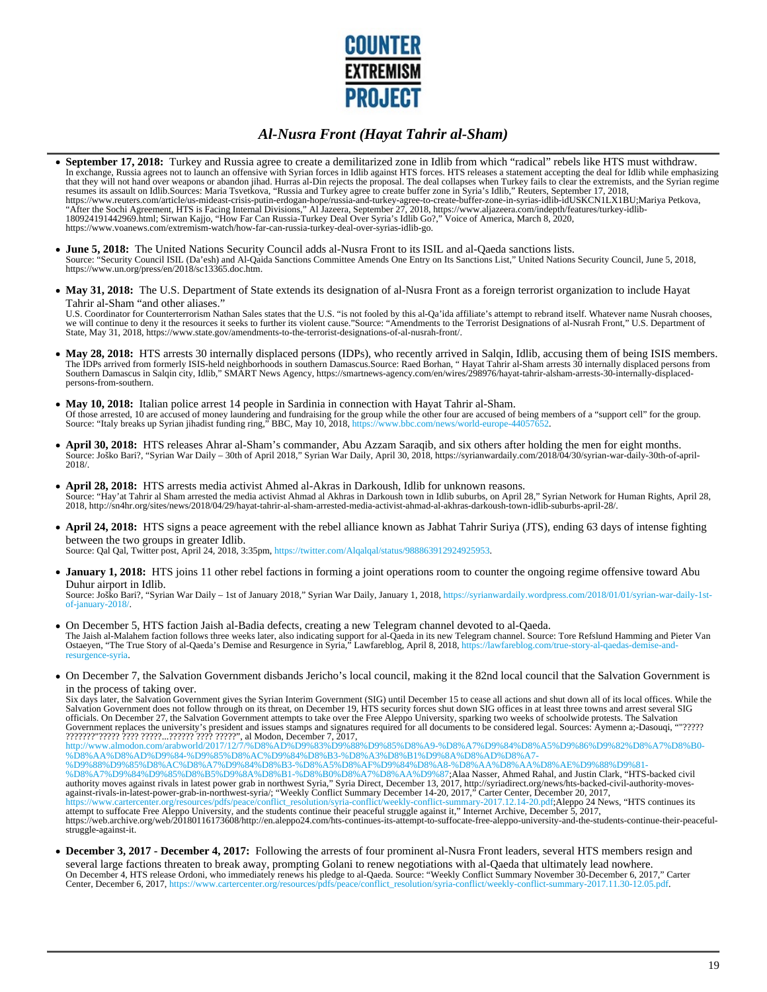

- **September 17, 2018:** Turkey and Russia agree to create a demilitarized zone in Idlib from which "radical" rebels like HTS must withdraw. In exchange, Russia agrees not to launch an offensive with Syrian forces in Idlib against HTS forces. HTS releases a statement accepting the deal for Idlib while emphasizing that they will not hand over weapons or abandon jihad. Hurras al-Din rejects the proposal. The deal collapses when Turkey fails to clear the extremists, and the Syrian regime resumes its assault on Idlib.Sources: Maria Tsvetkova, "Russia and Turkey agree to create buffer zone in Syria's Idlib," Reuters, September 17, 2018,<br>https://www.reuters.com/article/us-mideast-crisis-putin-erdogan-hope/rus https://www.voanews.com/extremism-watch/how-far-can-russia-turkey-deal-over-syrias-idlib-go.
- **June 5, 2018:** The United Nations Security Council adds al-Nusra Front to its ISIL and al-Qaeda sanctions lists. Source: "Security Council ISIL (Da'esh) and Al-Qaida Sanctions Committee Amends One Entry on Its Sanctions List," United Nations Security Council, June 5, 2018, https://www.un.org/press/en/2018/sc13365.doc.htm.
- May 31, 2018: The U.S. Department of State extends its designation of al-Nusra Front as a foreign terrorist organization to include Hayat Tahrir al-Sham "and other aliases."

U.S. Coordinator for Counterterrorism Nathan Sales states that the U.S. "is not fooled by this al-Qa'ida affiliate's attempt to rebrand itself. Whatever name Nusrah chooses, we will continue to deny it the resources it seeks to further its violent cause."Source: "Amendments to the Terrorist Designations of al-Nusrah Front," U.S. Department of State, May 31, 2018, https://www.state.gov/amendments-to-the-terrorist-designations-of-al-nusrah-front/.

- May 28, 2018: HTS arrests 30 internally displaced persons (IDPs), who recently arrived in Salgin, Idlib, accusing them of being ISIS members. The IDPs arrived from formerly ISIS-held neighborhoods in southern Damascus.Source: Raed Borhan, " Hayat Tahrir al-Sham arrests 30 internally displaced persons from Southern Damascus in Salqin city, Idlib," SMART News Agency, https://smartnews-agency.com/en/wires/298976/hayat-tahrir-alsham-arrests-30-internally-displacedpersons-from-southern.
- **May 10, 2018:** Italian police arrest 14 people in Sardinia in connection with Hayat Tahrir al-Sham. Of those arrested, 10 are accused of money laundering and fundraising for the group while the other four are accused of being members of a "support cell" for the group.<br>Source: "Italy breaks up Syrian jihadist funding ring
- **April 30, 2018:** HTS releases Ahrar al-Sham's commander, Abu Azzam Saraqib, and six others after holding the men for eight months. Source: Joško Bari?, "Syrian War Daily – 30th of April 2018," Syrian War Daily, April 30, 2018, https://syrianwardaily.com/2018/04/30/syrian-war-daily-30th-of-april-2018/.
- **April 28, 2018:** HTS arrests media activist Ahmed al-Akras in Darkoush, Idlib for unknown reasons. Source: "Hay'at Tahrir al Sham arrested the media activist Ahmad al Akhras in Darkoush town in Idlib suburbs, on April 28," Syrian Network for Human Rights, April 28, 2018, http://sn4hr.org/sites/news/2018/04/29/hayat-tahrir-al-sham-arrested-media-activist-ahmad-al-akhras-darkoush-town-idlib-suburbs-april-28/.
- **April 24, 2018:** HTS signs a peace agreement with the rebel alliance known as Jabhat Tahrir Suriya (JTS), ending 63 days of intense fighting between the two groups in greater Idlib.

Source: Qal Qal, Twitter post, April 24, 2018, 3:35pm, https://twitter.com/Alqalqal/status/988863912924925953.

**January 1, 2018:** HTS joins 11 other rebel factions in forming a joint operations room to counter the ongoing regime offensive toward Abu Duhur airport in Idlib.

Source: Joško Bari?, "Syrian War Daily – 1st of January 2018," Syrian War Daily, January 1, 2018, https://syrianwardaily.wordpress.com/2018/01/01/syrian-war-daily-1stof-january-2018/.

- On December 5, HTS faction Jaish al-Badia defects, creating a new Telegram channel devoted to al-Qaeda. The Jaish al-Malahem faction follows three weeks later, also indicating support for al-Qaeda in its new Telegram channel. Source: Tore Refslund Hamming and Pieter Van<br>Ostaeyen, "The True Story of al-Qaeda's Demise and Resu resurgence-syria.
- On December 7, the Salvation Government disbands Jericho's local council, making it the 82nd local council that the Salvation Government is in the process of taking over.

Six days later, the Salvation Government gives the Syrian Interim Government (SIG) until December 15 to cease all actions and shut down all of its local offices. While the Salvation Government does not follow through on its threat, on December 19, HTS security forces shut down SIG offices in at least three towns and arrest several SIG<br>officials. On December 27, the Salvation Government attem

Government replaces the university's president and issues stamps and signatures required for all documents to be considered legal. Sources: Aymenn a;-Dasouqi, ""????? ???????"????? ???? ?????...?????? ???? ?????", al Modon, December 7, 2017, http://www.almodon.com/arabworld/2017/12/7/%D8%AD%D9%83%D9%88%D9%85%D8%A9-%D8%A7%D9%84%D8%A5%D9%86%D9%82%D8%A7%D8%B0- %D8%AA%D8%AD%D9%84-%D9%85%D8%AC%D9%84%D8%B3-%D8%A3%D8%B1%D9%8A%D8%AD%D8%A7- %D9%88%D9%85%D8%AC%D8%A7%D9%84%D8%B3-%D8%A5%D8%AF%D9%84%D8%A8-%D8%AA%D8%AA%D8%AE%D9%88%D9%81- %D8%A7%D9%84%D9%85%D8%B5%D9%8A%D8%B1-%D8%B0%D8%A7%D8%AA%D9%87;Alaa Nasser, Ahmed Rahal, and Justin Clark, "HTS-backed civil authority moves against rivals in latest power grab in northwest Syria," Syria Direct, December 13, 2017, http://syriadirect.org/news/hts-backed-civil-authority-moves-against-rivals-in-latest-power-grab-in-northwest-syria/; "Weekly Conflict Summary December 14-20, 2017," Carter Center, December 20, 2017, https://www.cartercenter.org/resources/pdfs/peace/conflict\_resolution/syria-conflict/weekly-conflict-summary-2017.12.14-20.pdf;Aleppo 24 News, "HTS continues its attempt to suffocate Free Aleppo University, and the students continue their peaceful struggle against it," Internet Archive, December 5, 2017, https://web.archive.org/web/20180116173608/http://en.aleppo24.com/hts-continues-its-attempt-to-suffocate-free-aleppo-university-and-the-students-continue-their-peacefulstruggle-against-it.

**December 3, 2017 - December 4, 2017:** Following the arrests of four prominent al-Nusra Front leaders, several HTS members resign and several large factions threaten to break away, prompting Golani to renew negotiations with al-Qaeda that ultimately lead nowhere. On December 4, HTS release Ordoni, who immediately renews his pledge to al-Qaeda. Source: "Weekly Conflict Summary November 30-December 6, 2017," Carter<br>Center, December 6, 2017, https://www.cartercenter.org/resources/pdfs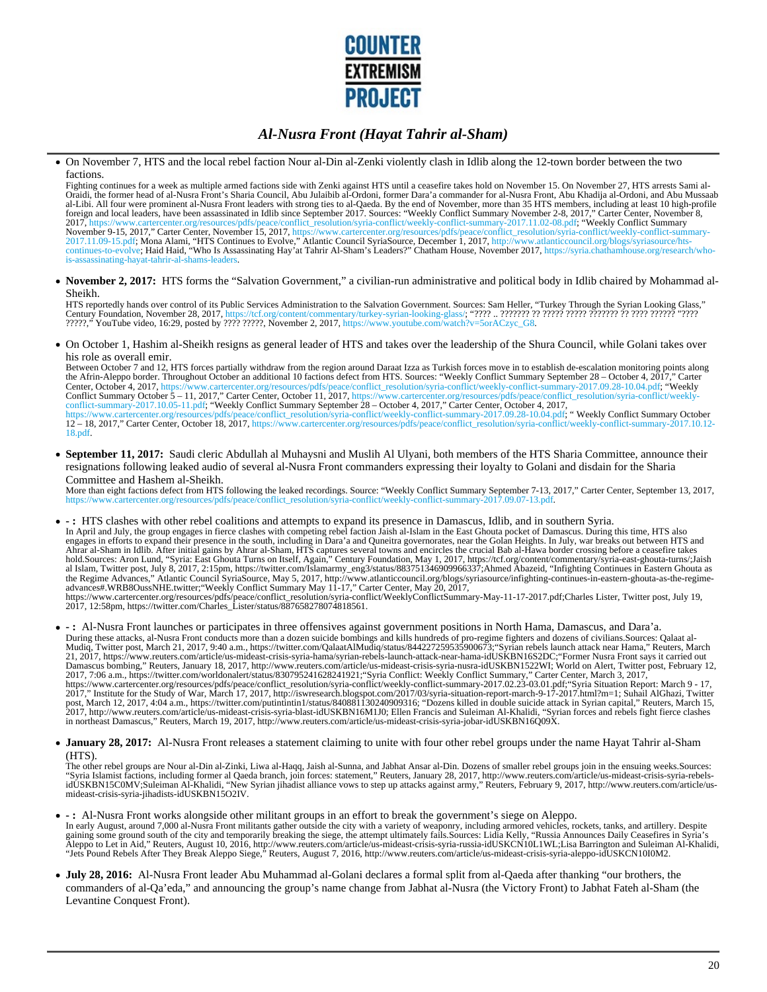

On November 7, HTS and the local rebel faction Nour al-Din al-Zenki violently clash in Idlib along the 12-town border between the two factions.

Fighting continues for a week as multiple armed factions side with Zenki against HTS until a ceasefire takes hold on November 15. On November 27, HTS arrests Sami al-Oraidi, the former head of al-Nusra Front's Sharia Council, Abu Julaibib al-Ordoni, former Dara'a commander for al-Nusra Front, Abu Khadija al-Ordoni, and Abu Mussaab al-Libi. All four were prominent al-Nusra Front leaders with strong ties to al-Qaeda. By the end of November, more than 35 HTS members, including at least 10 high-profile<br>foreign and local leaders, have been assassinated i 2017.11.09-15.pdf; Mona Alami, "HTS Continues to Evolve," Atlantic Council SyriaSource, December 1, 2017, http://www.atlanticcouncil.org/blogs/syriasource/hts-<br>continues-to-evolve; Haid Haid, "Who Is Assassinating Hay'at T is-assassinating-hayat-tahrir-al-shams-leaders.

**November 2, 2017:** HTS forms the "Salvation Government," a civilian-run administrative and political body in Idlib chaired by Mohammad al-Sheikh.

HTS reportedly hands over control of its Public Services Administration to the Salvation Government. Sources: Sam Heller, "Turkey Through the Syrian Looking Glass,"<br>Century Foundation, November 28, 2017, https://tcf.org/co 2. The video of the Video of the Video of the Video of the Video of the Video of the Video of the Video of the<br>2. 2017, https://www.youtube.com/watch?v=5orACzyc\_G8.<br>2022????? "YouTube video, 16:29, posted by ???? ?????, No

On October 1, Hashim al-Sheikh resigns as general leader of HTS and takes over the leadership of the Shura Council, while Golani takes over his role as overall emir.

Between October 7 and 12, HTS forces partially withdraw from the region around Daraat Izza as Turkish forces move in to establish de-escalation monitoring points along the Afrin-Aleppo border. Throughout October an additional 10 factions defect from HTS. Sources: "Weekly Conflict Summary September 28 – October 4, 2017," Carter Center, October 4, 2017, https://www.cartercenter.org/resources/pdfs/peace/conflict\_resolution/syria-conflict/weekly-conflict-summary-2017.09.28-10.04.pdf; "Weekly<br>Conflict Summary October 5 – 11, 2017," Carter Center, Oct 18.pdf.

**September 11, 2017:** Saudi cleric Abdullah al Muhaysni and Muslih Al Ulyani, both members of the HTS Sharia Committee, announce their resignations following leaked audio of several al-Nusra Front commanders expressing their loyalty to Golani and disdain for the Sharia Committee and Hashem al-Sheikh.

More than eight factions defect from HTS following the leaked recordings. Source: "Weekly Conflict Summary September 7-13, 2017," Carter Center, September 13, 2017, artercenter.org/resources/pdfs/peace/conflict\_resolution/syria-conflict/weekly-conflict-summary-2017.09.07-13.pdf.

- **:** HTS clashes with other rebel coalitions and attempts to expand its presence in Damascus, Idlib, and in southern Syria. In April and July, the group engages in fierce clashes with competing rebel faction Jaish al-Islam in the East Ghouta pocket of Damascus. During this time, HTS also engages in efforts to expand their presence in the south, including in Dara'a and Quneitra governorates, near the Golan Heights. In July, war breaks out between HTS and Ahrar al-Sham in Idlib. After initial gains by Ahrar al-Sham, HTS captures several towns and encircles the crucial Bab al-Hawa border crossing before a ceasefire takes<br>hold.Sources: Aron Lund, "Syria: East Ghouta Turns on the Regime Advances," Atlantic Council SyriaSource, May 5, 2017, http://www.atlanticcouncil.org/blogs/syriasource/infighting-continues-in-eastern-ghouta-as-the-regime-<br>advances#.WRB8OussNHE.twitter;"Weekly Conflict Summary https://www.cartercenter.org/resources/pdfs/peace/conflict\_resolution/syria-conflict/WeeklyConflictSummary-May-11-17-2017.pdf;Charles Lister, Twitter post, July 19,<br>2017, 12:58pm, https://twitter.com/Charles\_Lister/status/
- **:** Al-Nusra Front launches or participates in three offensives against government positions in North Hama, Damascus, and Dara'a. During these attacks, al-Nusra Front conducts more than a dozen suicide bombings and kills hundreds of pro-regime fighters and dozens of civilians.Sources: Qalaat al-<br>Mudiq, Twitter post, March 21, 2017, 9:40 a.m., https:/ post, March 12, 2017, 4:04 a.m., https://twitter.com/putintintin1/status/840881130240909316; "Dozens killed in double suicide attack in Syrian capital," Reuters, March 15,<br>2017, http://www.reuters.com/article/us-mideast-cr in northeast Damascus," Reuters, March 19, 2017, http://www.reuters.com/article/us-mideast-crisis-syria-jobar-idUSKBN16Q09X.
- **January 28, 2017:** Al-Nusra Front releases a statement claiming to unite with four other rebel groups under the name Hayat Tahrir al-Sham (HTS).

The other rebel groups are Nour al-Din al-Zinki, Liwa al-Haqq, Jaish al-Sunna, and Jabhat Ansar al-Din. Dozens of smaller rebel groups join in the ensuing weeks.Sources: "Syria Islamist factions, including former al Qaeda branch, join forces: statement," Reuters, January 28, 2017, http://www.reuters.com/article/us-mideast-crisis-syria-rebels-<br>idUSKBN15C0MV;Suleiman Al-Khalidi, "New Syrian

- **:** Al-Nusra Front works alongside other militant groups in an effort to break the government's siege on Aleppo. In early August, around 7,000 al-Nusra Front militants gather outside the city with a variety of weaponry, including armored vehicles, rockets, tanks, and artillery. Despite<br>Aleppo to Let in Aid," Reuters, August 10, 2016,
- **July 28, 2016:** Al-Nusra Front leader Abu Muhammad al-Golani declares a formal split from al-Qaeda after thanking "our brothers, the commanders of al-Qa'eda," and announcing the group's name change from Jabhat al-Nusra (the Victory Front) to Jabhat Fateh al-Sham (the Levantine Conquest Front).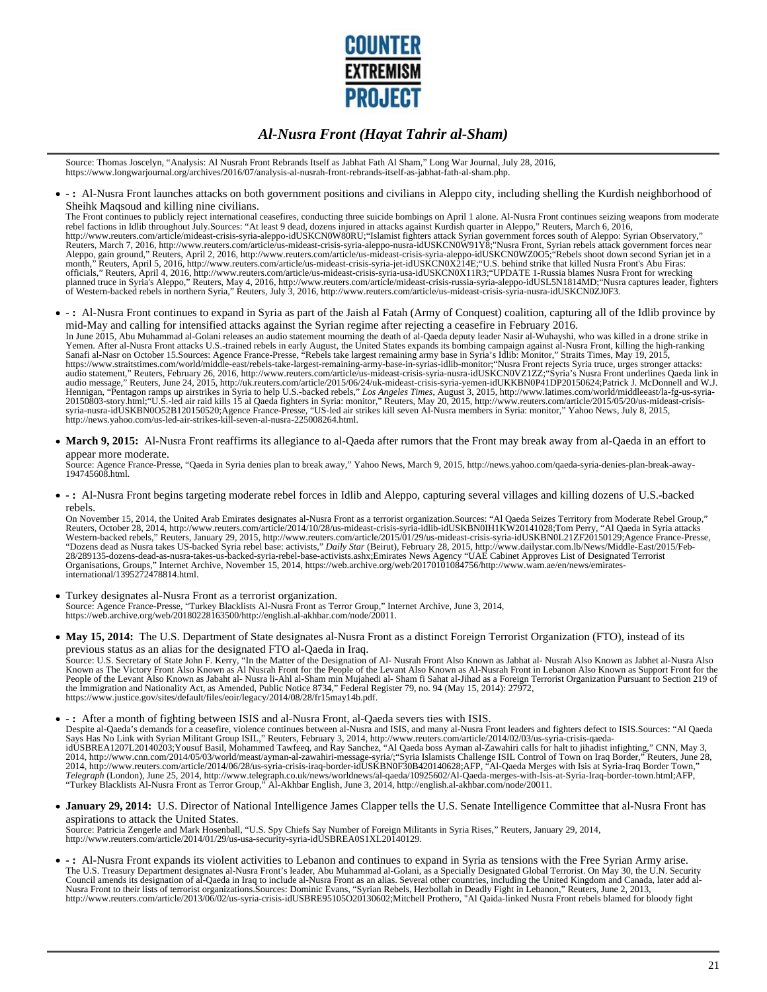

Source: Thomas Joscelyn, "Analysis: Al Nusrah Front Rebrands Itself as Jabhat Fath Al Sham," Long War Journal, July 28, 2016, https://www.longwarjournal.org/archives/2016/07/analysis-al-nusrah-front-rebrands-itself-as-jabhat-fath-al-sham.php.

**- :** Al-Nusra Front launches attacks on both government positions and civilians in Aleppo city, including shelling the Kurdish neighborhood of Sheihk Maqsoud and killing nine civilians.

The Front continues to publicly reject international ceasefires, conducting three suicide bombings on April 1 alone. Al-Nusra Front continues seizing weapons from moderate rebel factions in Idlib throughout July Sources: "At least 9 dead, dozens injured in attacks against Kurdish quarter in Aleppo," Reuters, March 6, 2016,<br>http://www.reuters.com/article/mideast-crisis-syria-aleppo-idUSKCN0W8 Reuters, March 7, 2016, http://www.reuters.com/article/us-mideast-crisis-syria-aleppo-nusra-idUSKCN0W91Y8;"Nusra Front, Syrian rebels attack government forces near Aleppo, gain ground," Reuters, April 2, 2016, http://www.reuters.com/article/us-mideast-crisis-syria-aleppo-idUSKCN0WZ0O5;"Rebels shoot down second Syrian jet in a<br>month," Reuters, April 5, 2016, http://www.reuters.com/art officials," Reuters, April 4, 2016, http://www.reuters.com/article/us-mideast-crisis-syria-usa-idUSKCN0X11R3;"UPDATE 1-Russia blames Nusra Front for wrecking<br>planned truce in Syria's Aleppo," Reuters, May 4, 2016, http://w

**- :** Al-Nusra Front continues to expand in Syria as part of the Jaish al Fatah (Army of Conquest) coalition, capturing all of the Idlib province by mid-May and calling for intensified attacks against the Syrian regime after rejecting a ceasefire in February 2016.

In June 2015, Abu Muhammad al-Golani releases an audio statement mourning the death of al-Qaeda deputy leader Nasir al-Wuhayshi, who was killed in a drone strike in<br>Yemen. After al-Nusra Front attacks U.S.-trained rebels i

**March 9, 2015:** Al-Nusra Front reaffirms its allegiance to al-Qaeda after rumors that the Front may break away from al-Qaeda in an effort to appear more moderate.

Source: Agence France-Presse, "Qaeda in Syria denies plan to break away," Yahoo News, March 9, 2015, http://news.yahoo.com/qaeda-syria-denies-plan-break-away-194745608.html.

**- :** Al-Nusra Front begins targeting moderate rebel forces in Idlib and Aleppo, capturing several villages and killing dozens of U.S.-backed rebels.

On November 15, 2014, the United Arab Emirates designates al-Nusra Front as a terrorist organization.Sources: "Al Qaeda Seizes Territory from Moderate Rebel Group," Reuters, October 28, 2014, http://www.reuters.com/article/2014/10/28/us-mideast-crisis-syria-idlib-idUSKBN0IH1KW20141028;Tom Perry, "Al Qaeda in Syria attacks<br>Western-backed rebels," Reuters, January 29, 2015, http://www.r 28/289135-dozens-dead-as-nusra-takes-us-backed-syria-rebel-base-activists.ashx;Emirates News Agency "UAE Cabinet Approves List of Designated Terrorist Organisations, Groups," Internet Archive, November 15, 2014, https://web.archive.org/web/20170101084756/http://www.wam.ae/en/news/emiratesinternational/1395272478814.html.

- Turkey designates al-Nusra Front as a terrorist organization. Source: Agence France-Presse, "Turkey Blacklists Al-Nusra Front as Terror Group," Internet Archive, June 3, 2014, https://web.archive.org/web/20180228163500/http://english.al-akhbar.com/node/20011.
- May 15, 2014: The U.S. Department of State designates al-Nusra Front as a distinct Foreign Terrorist Organization (FTO), instead of its previous status as an alias for the designated FTO al-Qaeda in Iraq. Source: U.S. Secretary of State John F. Kerry, ''In the Matter of the Designation of Al- Nusrah Front Also Known as Jabhat al- Nusrah Also Known as Jabhet al-Nusra Also<br>Known as The Victory Front Also Known as Al Nusrah Fr the Immigration and Nationality Act, as Amended, Public Notice 8734," Federal Register 79, no. 94 (May 15, 2014): 27972, https://www.justice.gov/sites/default/files/eoir/legacy/2014/08/28/fr15may14b.pdf.
- **:** After a month of fighting between ISIS and al-Nusra Front, al-Qaeda severs ties with ISIS. Despite al-Qaeda's demands for a ceasefire, violence continues between al-Nusra and ISIS, and many al-Nusra Front leaders and fighters defect to ISIS.Sources: "Al Qaeda<br>Says Has No Link with Syrian Militant Group ISIL," Re Telegraph (London), June 25, 2014, http://www.telegraph.co.uk/news/worldnews/al-qaeda/10925602/Al-Qaeda-merges-with-Isis-at-Syria-Iraq-border-town.html;AFP,<br>"Turkey Blacklists Al-Nusra Front as Terror Group," Al-Akhbar En
- **January 29, 2014:** U.S. Director of National Intelligence James Clapper tells the U.S. Senate Intelligence Committee that al-Nusra Front has aspirations to attack the United States. Source: Patricia Zengerle and Mark Hosenball, "U.S. Spy Chiefs Say Number of Foreign Militants in Syria Rises," Reuters, January 29, 2014,<br>http://www.reuters.com/article/2014/01/29/us-usa-security-syria-idUSBREA0S1XL201401
- **:** Al-Nusra Front expands its violent activities to Lebanon and continues to expand in Syria as tensions with the Free Syrian Army arise. The U.S. Treasury Department designates al-Nusra Front's leader, Abu Muhammad al-Golani, as a Specially Designated Global Terrorist. On May 30, the U.N. Security<br>Council amends its designation of al-Qaeda in Iraq to includ http://www.reuters.com/article/2013/06/02/us-syria-crisis-idUSBRE95105O20130602;Mitchell Prothero, "Al Qaida-linked Nusra Front rebels blamed for bloody fight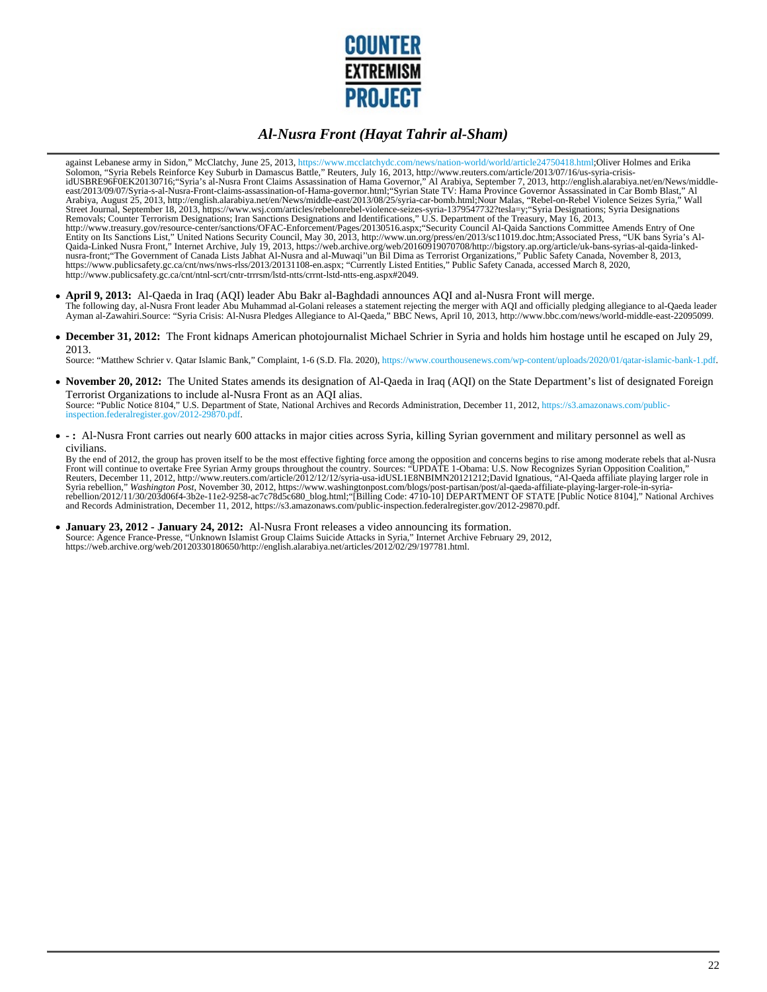

against Lebanese army in Sidon," McClatchy, June 25, 2013, https://www.mcclatchydc.com/news/nation-world/world/article24750418.html;Oliver Holmes and Erika Solomon, "Syria Rebels Reinforce Key Suburb in Damascus Battle," Reuters, July 16, 2013, http://www.reuters.com/article/2013/07/16/us-syria-crisisidUSBRE96F0EK20130716;"Syria's al-Nusra Front Claims Assassination of Hama Governor," Al Arabiya, September 7, 2013, http://english.alarabiya.net/en/News/middleeast/2013/09/07/Syria-s-al-Nusra-Front-claims-assassination-of-Hama-governor.html;"Syrian State TV: Hama Province Governor Assassinated in Car Bomb Blast," Al<br>Arabiya, August 25, 2013, http://english.alarabiya.net/en/News/ Removals; Counter Terrorism Designations; Iran Sanctions Designations and Identifications," U.S. Department of the Treasury, May 16, 2013, http://www.treasury.gov/resource-center/sanctions/OFAC-Enforcement/Pages/20130516.aspx;"Security Council Al-Qaida Sanctions Committee Amends Entry of One Entity on Its Sanctions List," United Nations Security Council, May 30, 2013, http://www.un.org/press/en/2013/sc11019.doc.htm;Associated Press, "UK bans Syria's Al-Qaida-Linked Nusra Front," Internet Archive, July 19, 2013

- **April 9, 2013:** Al-Qaeda in Iraq (AQI) leader Abu Bakr al-Baghdadi announces AQI and al-Nusra Front will merge. The following day, al-Nusra Front leader Abu Muhammad al-Golani releases a statement rejecting the merger with AQI and officially pledging allegiance to al-Qaeda leader<br>Ayman al-Zawahiri.Source: "Syria Crisis: Al-Nusra Ple
- **December 31, 2012:** The Front kidnaps American photojournalist Michael Schrier in Syria and holds him hostage until he escaped on July 29, 2013.

Source: "Matthew Schrier v. Qatar Islamic Bank," Complaint, 1-6 (S.D. Fla. 2020), https://www.courthousenews.com/wp-content/uploads/2020/01/qatar-islamic-bank-1.pdf.

- November 20, 2012: The United States amends its designation of Al-Qaeda in Iraq (AQI) on the State Department's list of designated Foreign Terrorist Organizations to include al-Nusra Front as an AQI alias. Source: "Public Notice 8104," U.S. Department of State, National Archives and Records Administration, December 11, 2012, https://s3.amazonaws.com/public-inspection.federalregister.gov/2012-29870.pdf.
- **:** Al-Nusra Front carries out nearly 600 attacks in major cities across Syria, killing Syrian government and military personnel as well as civilians.

By the end of 2012, the group has proven itself to be the most effective fighting force among the opposition and concerns begins to rise among moderate rebels that al-Nusra<br>Front will continue to overtake Free Syrian Army and Records Administration, December 11, 2012, https://s3.amazonaws.com/public-inspection.federalregister.gov/2012-29870.pdf.

**January 23, 2012 - January 24, 2012:** Al-Nusra Front releases a video announcing its formation. Source: Agence France-Presse, "Unknown Islamist Group Claims Suicide Attacks in Syria," Internet Archive February 29, 2012,<br>https://web.archive.org/web/20120330180650/http://english.alarabiya.net/articles/2012/02/29/197781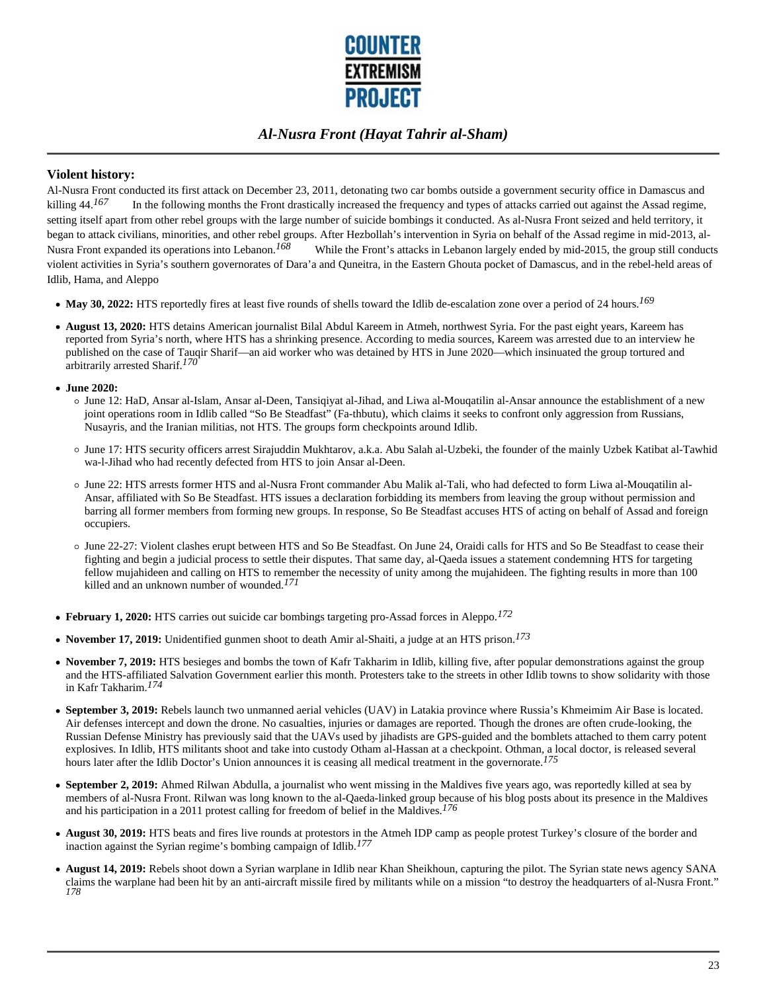

#### **Violent history:**

Al-Nusra Front conducted its first attack on December 23, 2011, detonating two car bombs outside a government security office in Damascus and killing 44.<sup>167</sup> In the following months the Front drastically increased the frequency and types of attacks carried out against the Assad regime, setting itself apart from other rebel groups with the large number of suicide bombings it conducted. As al-Nusra Front seized and held territory, it began to attack civilians, minorities, and other rebel groups. After Hezbollah's intervention in Syria on behalf of the Assad regime in mid-2013, al-Nusra Front expanded its operations into Lebanon.<sup>168</sup> While the Front's attacks in Lebanon largely ended by mid-2015, the group still conducts violent activities in Syria's southern governorates of Dara'a and Quneitra, in the Eastern Ghouta pocket of Damascus, and in the rebel-held areas of Idlib, Hama, and Aleppo

- **May 30, 2022:** HTS reportedly fires at least five rounds of shells toward the Idlib de-escalation zone over a period of 24 hours.*169*
- **August 13, 2020:** HTS detains American journalist Bilal Abdul Kareem in Atmeh, northwest Syria. For the past eight years, Kareem has reported from Syria's north, where HTS has a shrinking presence. According to media sources, Kareem was arrested due to an interview he published on the case of Tauqir Sharif—an aid worker who was detained by HTS in June 2020—which insinuated the group tortured and arbitrarily arrested Sharif.*170*
- **June 2020:**
	- June 12: HaD, Ansar al-Islam, Ansar al-Deen, Tansiqiyat al-Jihad, and Liwa al-Mouqatilin al-Ansar announce the establishment of a new joint operations room in Idlib called "So Be Steadfast" (Fa-thbutu), which claims it seeks to confront only aggression from Russians, Nusayris, and the Iranian militias, not HTS. The groups form checkpoints around Idlib.
	- June 17: HTS security officers arrest Sirajuddin Mukhtarov, a.k.a. Abu Salah al-Uzbeki, the founder of the mainly Uzbek Katibat al-Tawhid wa-l-Jihad who had recently defected from HTS to join Ansar al-Deen.
	- June 22: HTS arrests former HTS and al-Nusra Front commander Abu Malik al-Tali, who had defected to form Liwa al-Mouqatilin al-Ansar, affiliated with So Be Steadfast. HTS issues a declaration forbidding its members from leaving the group without permission and barring all former members from forming new groups. In response, So Be Steadfast accuses HTS of acting on behalf of Assad and foreign occupiers.
	- June 22-27: Violent clashes erupt between HTS and So Be Steadfast. On June 24, Oraidi calls for HTS and So Be Steadfast to cease their fighting and begin a judicial process to settle their disputes. That same day, al-Qaeda issues a statement condemning HTS for targeting fellow mujahideen and calling on HTS to remember the necessity of unity among the mujahideen. The fighting results in more than 100 killed and an unknown number of wounded.*171*
- **February 1, 2020:** HTS carries out suicide car bombings targeting pro-Assad forces in Aleppo.*172*
- **November 17, 2019:** Unidentified gunmen shoot to death Amir al-Shaiti, a judge at an HTS prison.*173*
- **November 7, 2019:** HTS besieges and bombs the town of Kafr Takharim in Idlib, killing five, after popular demonstrations against the group and the HTS-affiliated Salvation Government earlier this month. Protesters take to the streets in other Idlib towns to show solidarity with those in Kafr Takharim.*174*
- **September 3, 2019:** Rebels launch two unmanned aerial vehicles (UAV) in Latakia province where Russia's Khmeimim Air Base is located. Air defenses intercept and down the drone. No casualties, injuries or damages are reported. Though the drones are often crude-looking, the Russian Defense Ministry has previously said that the UAVs used by jihadists are GPS-guided and the bomblets attached to them carry potent explosives. In Idlib, HTS militants shoot and take into custody Otham al-Hassan at a checkpoint. Othman, a local doctor, is released several hours later after the Idlib Doctor's Union announces it is ceasing all medical treatment in the governorate.*175*
- **September 2, 2019:** Ahmed Rilwan Abdulla, a journalist who went missing in the Maldives five years ago, was reportedly killed at sea by members of al-Nusra Front. Rilwan was long known to the al-Qaeda-linked group because of his blog posts about its presence in the Maldives and his participation in a 2011 protest calling for freedom of belief in the Maldives.*176*
- **August 30, 2019:** HTS beats and fires live rounds at protestors in the Atmeh IDP camp as people protest Turkey's closure of the border and inaction against the Syrian regime's bombing campaign of Idlib.*177*
- **August 14, 2019:** Rebels shoot down a Syrian warplane in Idlib near Khan Sheikhoun, capturing the pilot. The Syrian state news agency SANA claims the warplane had been hit by an anti-aircraft missile fired by militants while on a mission "to destroy the headquarters of al-Nusra Front." *178*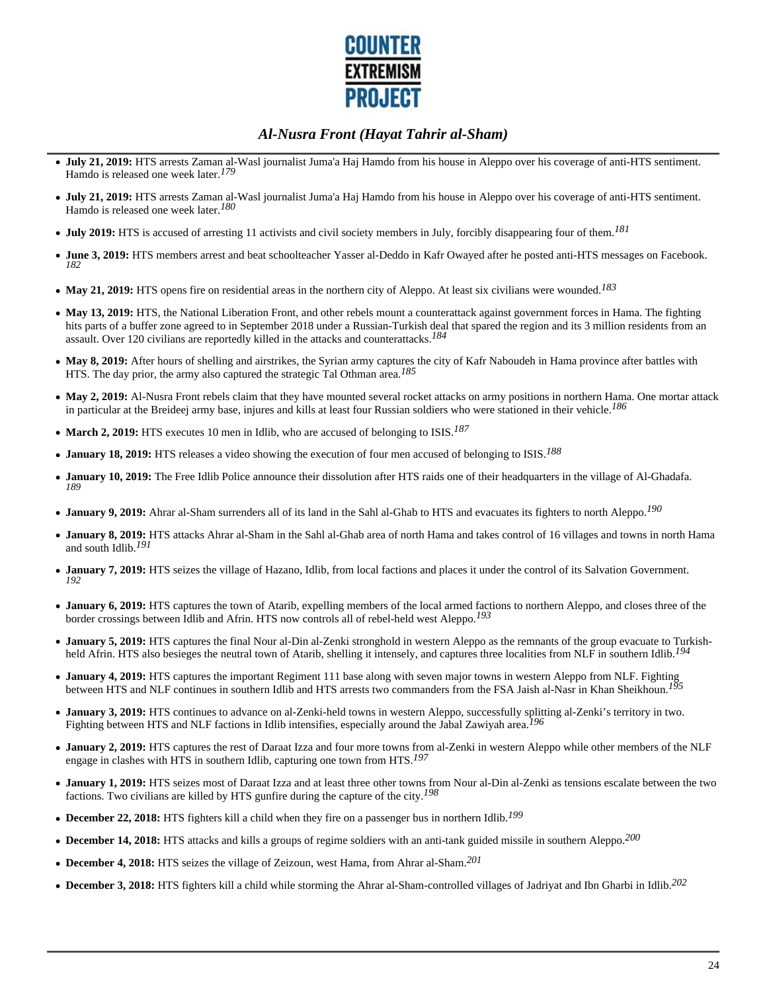

- **July 21, 2019:** HTS arrests Zaman al-Wasl journalist Juma'a Haj Hamdo from his house in Aleppo over his coverage of anti-HTS sentiment. Hamdo is released one week later.*179*
- **July 21, 2019:** HTS arrests Zaman al-Wasl journalist Juma'a Haj Hamdo from his house in Aleppo over his coverage of anti-HTS sentiment. Hamdo is released one week later.*180*
- **July 2019:** HTS is accused of arresting 11 activists and civil society members in July, forcibly disappearing four of them.*181*
- **June 3, 2019:** HTS members arrest and beat schoolteacher Yasser al-Deddo in Kafr Owayed after he posted anti-HTS messages on Facebook. *182*
- **May 21, 2019:** HTS opens fire on residential areas in the northern city of Aleppo. At least six civilians were wounded.*183*
- May 13, 2019: HTS, the National Liberation Front, and other rebels mount a counterattack against government forces in Hama. The fighting hits parts of a buffer zone agreed to in September 2018 under a Russian-Turkish deal that spared the region and its 3 million residents from an assault. Over 120 civilians are reportedly killed in the attacks and counterattacks.*184*
- May 8, 2019: After hours of shelling and airstrikes, the Syrian army captures the city of Kafr Naboudeh in Hama province after battles with HTS. The day prior, the army also captured the strategic Tal Othman area.*185*
- **May 2, 2019:** Al-Nusra Front rebels claim that they have mounted several rocket attacks on army positions in northern Hama. One mortar attack in particular at the Breideej army base, injures and kills at least four Russian soldiers who were stationed in their vehicle.*186*
- **March 2, 2019:** HTS executes 10 men in Idlib, who are accused of belonging to ISIS.*187*
- **January 18, 2019:** HTS releases a video showing the execution of four men accused of belonging to ISIS.*188*
- **January 10, 2019:** The Free Idlib Police announce their dissolution after HTS raids one of their headquarters in the village of Al-Ghadafa. *189*
- **January 9, 2019:** Ahrar al-Sham surrenders all of its land in the Sahl al-Ghab to HTS and evacuates its fighters to north Aleppo.*190*
- **January 8, 2019:** HTS attacks Ahrar al-Sham in the Sahl al-Ghab area of north Hama and takes control of 16 villages and towns in north Hama and south Idlib.*191*
- **January 7, 2019:** HTS seizes the village of Hazano, Idlib, from local factions and places it under the control of its Salvation Government. *192*
- **January 6, 2019:** HTS captures the town of Atarib, expelling members of the local armed factions to northern Aleppo, and closes three of the border crossings between Idlib and Afrin. HTS now controls all of rebel-held west Aleppo.*193*
- **January 5, 2019:** HTS captures the final Nour al-Din al-Zenki stronghold in western Aleppo as the remnants of the group evacuate to Turkishheld Afrin. HTS also besieges the neutral town of Atarib, shelling it intensely, and captures three localities from NLF in southern Idlib.*194*
- **January 4, 2019:** HTS captures the important Regiment 111 base along with seven major towns in western Aleppo from NLF. Fighting between HTS and NLF continues in southern Idlib and HTS arrests two commanders from the FSA Jaish al-Nasr in Khan Sheikhoun.*195*
- **January 3, 2019:** HTS continues to advance on al-Zenki-held towns in western Aleppo, successfully splitting al-Zenki's territory in two. Fighting between HTS and NLF factions in Idlib intensifies, especially around the Jabal Zawiyah area.*196*
- **January 2, 2019:** HTS captures the rest of Daraat Izza and four more towns from al-Zenki in western Aleppo while other members of the NLF engage in clashes with HTS in southern Idlib, capturing one town from HTS.*197*
- **January 1, 2019:** HTS seizes most of Daraat Izza and at least three other towns from Nour al-Din al-Zenki as tensions escalate between the two factions. Two civilians are killed by HTS gunfire during the capture of the city.*198*
- **December 22, 2018:** HTS fighters kill a child when they fire on a passenger bus in northern Idlib.*199*
- **December 14, 2018:** HTS attacks and kills a groups of regime soldiers with an anti-tank guided missile in southern Aleppo.*200*
- **December 4, 2018:** HTS seizes the village of Zeizoun, west Hama, from Ahrar al-Sham.*201*
- **December 3, 2018:** HTS fighters kill a child while storming the Ahrar al-Sham-controlled villages of Jadriyat and Ibn Gharbi in Idlib.*202*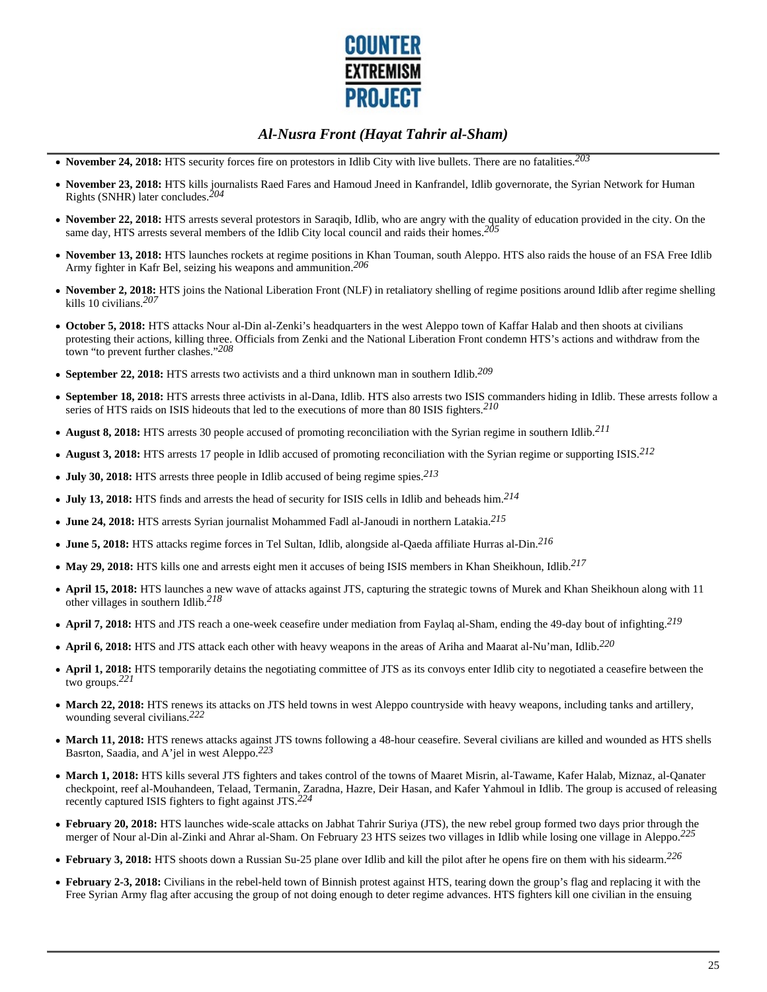

- **November 24, 2018:** HTS security forces fire on protestors in Idlib City with live bullets. There are no fatalities.*203*
- **November 23, 2018:** HTS kills journalists Raed Fares and Hamoud Jneed in Kanfrandel, Idlib governorate, the Syrian Network for Human Rights (SNHR) later concludes.*204*
- **November 22, 2018:** HTS arrests several protestors in Saraqib, Idlib, who are angry with the quality of education provided in the city. On the same day, HTS arrests several members of the Idlib City local council and raids their homes.*205*
- **November 13, 2018:** HTS launches rockets at regime positions in Khan Touman, south Aleppo. HTS also raids the house of an FSA Free Idlib Army fighter in Kafr Bel, seizing his weapons and ammunition.*206*
- **November 2, 2018:** HTS joins the National Liberation Front (NLF) in retaliatory shelling of regime positions around Idlib after regime shelling kills 10 civilians.*207*
- **October 5, 2018:** HTS attacks Nour al-Din al-Zenki's headquarters in the west Aleppo town of Kaffar Halab and then shoots at civilians protesting their actions, killing three. Officials from Zenki and the National Liberation Front condemn HTS's actions and withdraw from the town "to prevent further clashes."*208*
- **September 22, 2018:** HTS arrests two activists and a third unknown man in southern Idlib.*209*
- **September 18, 2018:** HTS arrests three activists in al-Dana, Idlib. HTS also arrests two ISIS commanders hiding in Idlib. These arrests follow a series of HTS raids on ISIS hideouts that led to the executions of more than 80 ISIS fighters.*210*
- **August 8, 2018:** HTS arrests 30 people accused of promoting reconciliation with the Syrian regime in southern Idlib.*211*
- **August 3, 2018:** HTS arrests 17 people in Idlib accused of promoting reconciliation with the Syrian regime or supporting ISIS.*212*
- **July 30, 2018:** HTS arrests three people in Idlib accused of being regime spies.*213*
- **July 13, 2018:** HTS finds and arrests the head of security for ISIS cells in Idlib and beheads him.*214*
- **June 24, 2018:** HTS arrests Syrian journalist Mohammed Fadl al-Janoudi in northern Latakia.*215*
- **June 5, 2018:** HTS attacks regime forces in Tel Sultan, Idlib, alongside al-Qaeda affiliate Hurras al-Din.*216*
- **May 29, 2018:** HTS kills one and arrests eight men it accuses of being ISIS members in Khan Sheikhoun, Idlib.*217*
- **April 15, 2018:** HTS launches a new wave of attacks against JTS, capturing the strategic towns of Murek and Khan Sheikhoun along with 11 other villages in southern Idlib.*218*
- **April 7, 2018:** HTS and JTS reach a one-week ceasefire under mediation from Faylaq al-Sham, ending the 49-day bout of infighting.*219*
- **April 6, 2018:** HTS and JTS attack each other with heavy weapons in the areas of Ariha and Maarat al-Nu'man, Idlib.*220*
- **April 1, 2018:** HTS temporarily detains the negotiating committee of JTS as its convoys enter Idlib city to negotiated a ceasefire between the two groups.*221*
- March 22, 2018: HTS renews its attacks on JTS held towns in west Aleppo countryside with heavy weapons, including tanks and artillery, wounding several civilians.*222*
- **March 11, 2018:** HTS renews attacks against JTS towns following a 48-hour ceasefire. Several civilians are killed and wounded as HTS shells Basrton, Saadia, and A'jel in west Aleppo.*223*
- **March 1, 2018:** HTS kills several JTS fighters and takes control of the towns of Maaret Misrin, al-Tawame, Kafer Halab, Miznaz, al-Qanater checkpoint, reef al-Mouhandeen, Telaad, Termanin, Zaradna, Hazre, Deir Hasan, and Kafer Yahmoul in Idlib. The group is accused of releasing recently captured ISIS fighters to fight against JTS.*224*
- **February 20, 2018:** HTS launches wide-scale attacks on Jabhat Tahrir Suriya (JTS), the new rebel group formed two days prior through the merger of Nour al-Din al-Zinki and Ahrar al-Sham. On February 23 HTS seizes two villages in Idlib while losing one village in Aleppo.*225*
- **February 3, 2018:** HTS shoots down a Russian Su-25 plane over Idlib and kill the pilot after he opens fire on them with his sidearm.*226*
- **February 2-3, 2018:** Civilians in the rebel-held town of Binnish protest against HTS, tearing down the group's flag and replacing it with the Free Syrian Army flag after accusing the group of not doing enough to deter regime advances. HTS fighters kill one civilian in the ensuing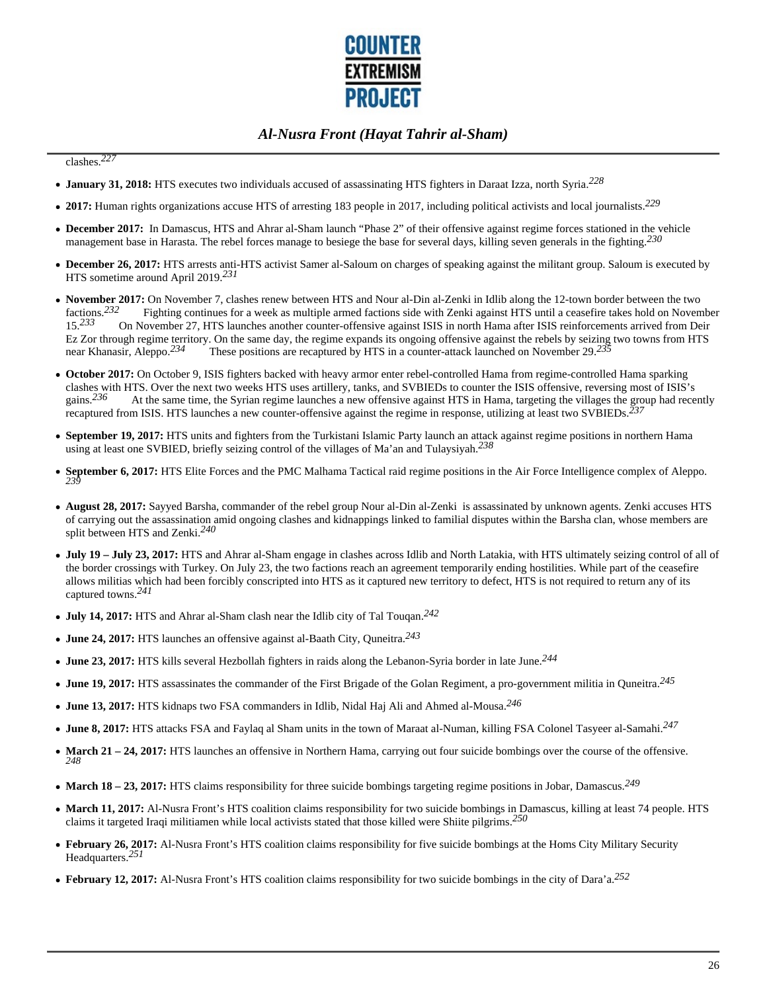

### clashes.*227*

- **January 31, 2018:** HTS executes two individuals accused of assassinating HTS fighters in Daraat Izza, north Syria.*228*
- **2017:** Human rights organizations accuse HTS of arresting 183 people in 2017, including political activists and local journalists.*229*
- **December 2017:** In Damascus, HTS and Ahrar al-Sham launch "Phase 2" of their offensive against regime forces stationed in the vehicle management base in Harasta. The rebel forces manage to besiege the base for several days, killing seven generals in the fighting.*230*
- **December 26, 2017:** HTS arrests anti-HTS activist Samer al-Saloum on charges of speaking against the militant group. Saloum is executed by HTS sometime around April 2019.*231*
- November 2017: On November 7, clashes renew between HTS and Nour al-Din al-Zenki in Idlib along the 12-town border between the two factions.<sup>232</sup> Fighting continues for a week as multiple armed factions side with Zenki a factions.<sup>232</sup> Fighting continues for a week as multiple armed factions side with Zenki against HTS until a ceasefire takes hold on November 15.<sup>233</sup> On November 27, HTS launches another counter-offensive against ISIS in n 15.*233* On November 27, HTS launches another counter-offensive against ISIS in north Hama after ISIS reinforcements arrived from Deir Ez Zor through regime territory. On the same day, the regime expands its ongoing offensive against the rebels by seizing two towns from HTS near Khanasir, Aleppo.<sup>234</sup> These positions are recaptured by HTS in a counter-at These positions are recaptured by HTS in a counter-attack launched on November 29.<sup>231</sup>
- **October 2017:** On October 9, ISIS fighters backed with heavy armor enter rebel-controlled Hama from regime-controlled Hama sparking clashes with HTS. Over the next two weeks HTS uses artillery, tanks, and SVBIEDs to counter the ISIS offensive, reversing most of ISIS's gains.<sup>236</sup> At the same time, the Syrian regime launches a new offensive against HTS At the same time, the Syrian regime launches a new offensive against HTS in Hama, targeting the villages the group had recently recaptured from ISIS. HTS launches a new counter-offensive against the regime in response, utilizing at least two SVBIEDs.*237*
- **September 19, 2017:** HTS units and fighters from the Turkistani Islamic Party launch an attack against regime positions in northern Hama using at least one SVBIED, briefly seizing control of the villages of Ma'an and Tulaysiyah.*238*
- **September 6, 2017:** HTS Elite Forces and the PMC Malhama Tactical raid regime positions in the Air Force Intelligence complex of Aleppo. *239*
- **August 28, 2017:** Sayyed Barsha, commander of the rebel group Nour al-Din al-Zenki is assassinated by unknown agents. Zenki accuses HTS of carrying out the assassination amid ongoing clashes and kidnappings linked to familial disputes within the Barsha clan, whose members are split between HTS and Zenki.*240*
- **July 19 July 23, 2017:** HTS and Ahrar al-Sham engage in clashes across Idlib and North Latakia, with HTS ultimately seizing control of all of the border crossings with Turkey. On July 23, the two factions reach an agreement temporarily ending hostilities. While part of the ceasefire allows militias which had been forcibly conscripted into HTS as it captured new territory to defect, HTS is not required to return any of its captured towns.*241*
- **July 14, 2017:** HTS and Ahrar al-Sham clash near the Idlib city of Tal Touqan.*242*
- **June 24, 2017:** HTS launches an offensive against al-Baath City, Quneitra.*243*
- **June 23, 2017:** HTS kills several Hezbollah fighters in raids along the Lebanon-Syria border in late June.*244*
- **June 19, 2017:** HTS assassinates the commander of the First Brigade of the Golan Regiment, a pro-government militia in Quneitra.*245*
- **June 13, 2017:** HTS kidnaps two FSA commanders in Idlib, Nidal Haj Ali and Ahmed al-Mousa.*246*
- **June 8, 2017:** HTS attacks FSA and Faylaq al Sham units in the town of Maraat al-Numan, killing FSA Colonel Tasyeer al-Samahi.*247*
- **March 21 24, 2017:** HTS launches an offensive in Northern Hama, carrying out four suicide bombings over the course of the offensive.  $\bullet$ *248*
- **March 18 23, 2017:** HTS claims responsibility for three suicide bombings targeting regime positions in Jobar, Damascus.*249*
- March 11, 2017: Al-Nusra Front's HTS coalition claims responsibility for two suicide bombings in Damascus, killing at least 74 people. HTS claims it targeted Iraqi militiamen while local activists stated that those killed were Shiite pilgrims.*250*
- **February 26, 2017:** Al-Nusra Front's HTS coalition claims responsibility for five suicide bombings at the Homs City Military Security Headquarters.*251*
- **February 12, 2017:** Al-Nusra Front's HTS coalition claims responsibility for two suicide bombings in the city of Dara'a.*252*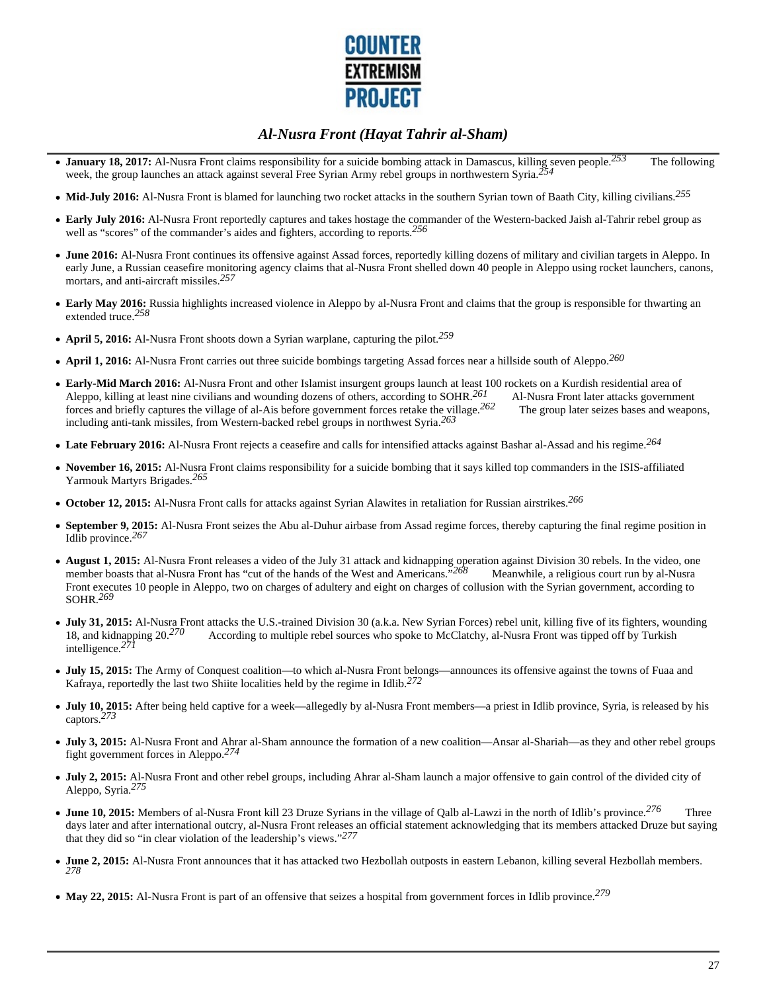

- **January 18, 2017:** Al-Nusra Front claims responsibility for a suicide bombing attack in Damascus, killing seven people.*253* The following week, the group launches an attack against several Free Syrian Army rebel groups in northwestern Syria.*254*
- **Mid-July 2016:** Al-Nusra Front is blamed for launching two rocket attacks in the southern Syrian town of Baath City, killing civilians.*255*
- **Early July 2016:** Al-Nusra Front reportedly captures and takes hostage the commander of the Western-backed Jaish al-Tahrir rebel group as well as "scores" of the commander's aides and fighters, according to reports.*256*
- **June 2016:** Al-Nusra Front continues its offensive against Assad forces, reportedly killing dozens of military and civilian targets in Aleppo. In early June, a Russian ceasefire monitoring agency claims that al-Nusra Front shelled down 40 people in Aleppo using rocket launchers, canons, mortars, and anti-aircraft missiles.*257*
- **Early May 2016:** Russia highlights increased violence in Aleppo by al-Nusra Front and claims that the group is responsible for thwarting an extended truce.*258*
- **April 5, 2016:** Al-Nusra Front shoots down a Syrian warplane, capturing the pilot.*259*
- **April 1, 2016:** Al-Nusra Front carries out three suicide bombings targeting Assad forces near a hillside south of Aleppo.*260*
- **Early-Mid March 2016:** Al-Nusra Front and other Islamist insurgent groups launch at least 100 rockets on a Kurdish residential area of Aleppo, killing at least nine civilians and wounding dozens of others, according to SOHR.<sup>261</sup> Al-Nusra Front later attacks government forces and briefly captures the village of al-Ais before government forces retake the village.<sup>262</sup> The group later seizes bases and weapons, including anti-tank missiles, from Western-backed rebel groups in northwest Syria.*263*
- **Late February 2016:** Al-Nusra Front rejects a ceasefire and calls for intensified attacks against Bashar al-Assad and his regime.*264*
- **November 16, 2015:** Al-Nusra Front claims responsibility for a suicide bombing that it says killed top commanders in the ISIS-affiliated Yarmouk Martyrs Brigades.*265*
- **October 12, 2015:** Al-Nusra Front calls for attacks against Syrian Alawites in retaliation for Russian airstrikes.*266*
- **September 9, 2015:** Al-Nusra Front seizes the Abu al-Duhur airbase from Assad regime forces, thereby capturing the final regime position in Idlib province.*267*
- **August 1, 2015:** Al-Nusra Front releases a video of the July 31 attack and kidnapping operation against Division 30 rebels. In the video, one member boasts that al-Nusra Front has "cut of the hands of the West and Americans."<sup>268</sup> Meanwhile, a religious court run by al-Nusra Front executes 10 people in Aleppo, two on charges of adultery and eight on charges of collusion with the Syrian government, according to SOHR.*269*
- **July 31, 2015:** Al-Nusra Front attacks the U.S.-trained Division 30 (a.k.a. New Syrian Forces) rebel unit, killing five of its fighters, wounding According to multiple rebel sources who spoke to McClatchy, al-Nusra Front was tipped off by Turkish 18, and kidnapping 20.<sup>270</sup> intelligence.<sup>271</sup>
- **July 15, 2015:** The Army of Conquest coalition—to which al-Nusra Front belongs—announces its offensive against the towns of Fuaa and Kafraya, reportedly the last two Shiite localities held by the regime in Idlib.*272*
- **July 10, 2015:** After being held captive for a week—allegedly by al-Nusra Front members—a priest in Idlib province, Syria, is released by his captors.*273*
- **July 3, 2015:** Al-Nusra Front and Ahrar al-Sham announce the formation of a new coalition—Ansar al-Shariah—as they and other rebel groups fight government forces in Aleppo.*274*
- **July 2, 2015:** Al-Nusra Front and other rebel groups, including Ahrar al-Sham launch a major offensive to gain control of the divided city of Aleppo, Syria.*275*
- **June 10, 2015:** Members of al-Nusra Front kill 23 Druze Syrians in the village of Qalb al-Lawzi in the north of Idlib's province.*276* Three days later and after international outcry, al-Nusra Front releases an official statement acknowledging that its members attacked Druze but saying that they did so "in clear violation of the leadership's views."*277*
- **June 2, 2015:** Al-Nusra Front announces that it has attacked two Hezbollah outposts in eastern Lebanon, killing several Hezbollah members. *278*
- **May 22, 2015:** Al-Nusra Front is part of an offensive that seizes a hospital from government forces in Idlib province.*279*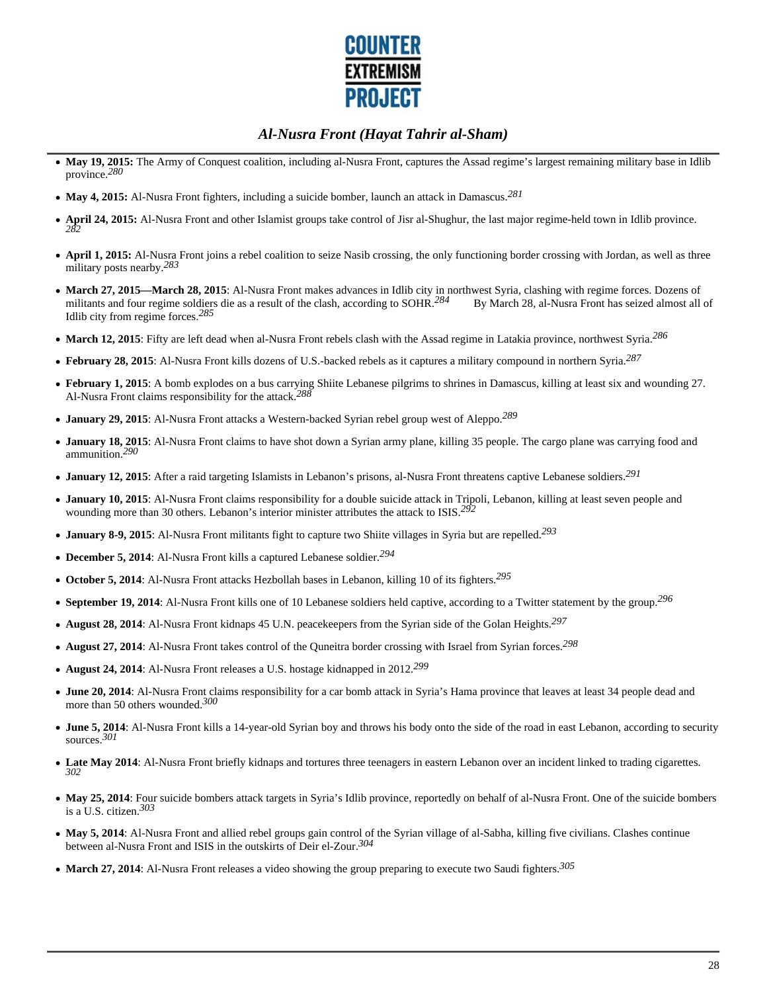

- May 19, 2015: The Army of Conquest coalition, including al-Nusra Front, captures the Assad regime's largest remaining military base in Idlib province.*280*
- **May 4, 2015:** Al-Nusra Front fighters, including a suicide bomber, launch an attack in Damascus.*281*
- **April 24, 2015:** Al-Nusra Front and other Islamist groups take control of Jisr al-Shughur, the last major regime-held town in Idlib province. *282*
- **April 1, 2015:** Al-Nusra Front joins a rebel coalition to seize Nasib crossing, the only functioning border crossing with Jordan, as well as three military posts nearby.*283*
- March 27, 2015—March 28, 2015: Al-Nusra Front makes advances in Idlib city in northwest Syria, clashing with regime forces. Dozens of militants and four regime soldiers die as a result of the clash, according to SOHR.<sup>284</sup> By March 28, al-Nusra Front has seized almost all of Idlib city from regime forces.*285*
- **March 12, 2015**: Fifty are left dead when al-Nusra Front rebels clash with the Assad regime in Latakia province, northwest Syria.*286*
- **February 28, 2015**: Al-Nusra Front kills dozens of U.S.-backed rebels as it captures a military compound in northern Syria.*287*
- **February 1, 2015**: A bomb explodes on a bus carrying Shiite Lebanese pilgrims to shrines in Damascus, killing at least six and wounding 27. Al-Nusra Front claims responsibility for the attack.*288*
- **January 29, 2015**: Al-Nusra Front attacks a Western-backed Syrian rebel group west of Aleppo.*289*
- **January 18, 2015**: Al-Nusra Front claims to have shot down a Syrian army plane, killing 35 people. The cargo plane was carrying food and ammunition.*290*
- **January 12, 2015**: After a raid targeting Islamists in Lebanon's prisons, al-Nusra Front threatens captive Lebanese soldiers.*291*
- **January 10, 2015**: Al-Nusra Front claims responsibility for a double suicide attack in Tripoli, Lebanon, killing at least seven people and wounding more than 30 others. Lebanon's interior minister attributes the attack to ISIS.*292*
- **January 8-9, 2015**: Al-Nusra Front militants fight to capture two Shiite villages in Syria but are repelled.*293*
- **December 5, 2014**: Al-Nusra Front kills a captured Lebanese soldier.*294*
- **October 5, 2014**: Al-Nusra Front attacks Hezbollah bases in Lebanon, killing 10 of its fighters.*295*
- **September 19, 2014**: Al-Nusra Front kills one of 10 Lebanese soldiers held captive, according to a Twitter statement by the group.*296*
- **August 28, 2014**: Al-Nusra Front kidnaps 45 U.N. peacekeepers from the Syrian side of the Golan Heights.*297*
- **August 27, 2014**: Al-Nusra Front takes control of the Quneitra border crossing with Israel from Syrian forces.*298*
- **August 24, 2014**: Al-Nusra Front releases a U.S. hostage kidnapped in 2012.*299*
- **June 20, 2014**: Al-Nusra Front claims responsibility for a car bomb attack in Syria's Hama province that leaves at least 34 people dead and more than 50 others wounded.*300*
- **June 5, 2014**: Al-Nusra Front kills a 14-year-old Syrian boy and throws his body onto the side of the road in east Lebanon, according to security sources.*301*
- **Late May 2014**: Al-Nusra Front briefly kidnaps and tortures three teenagers in eastern Lebanon over an incident linked to trading cigarettes. *302*
- May 25, 2014: Four suicide bombers attack targets in Syria's Idlib province, reportedly on behalf of al-Nusra Front. One of the suicide bombers is a U.S. citizen.*303*
- **May 5, 2014**: Al-Nusra Front and allied rebel groups gain control of the Syrian village of al-Sabha, killing five civilians. Clashes continue between al-Nusra Front and ISIS in the outskirts of Deir el-Zour.*304*
- **March 27, 2014**: Al-Nusra Front releases a video showing the group preparing to execute two Saudi fighters.*305*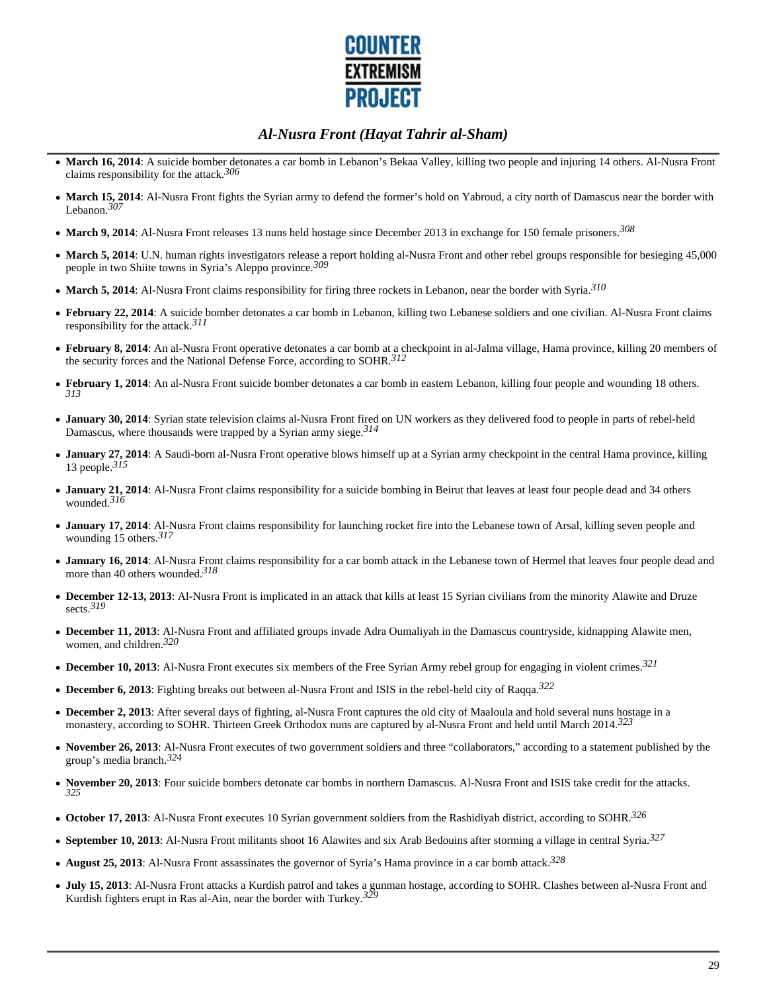

- **March 16, 2014**: A suicide bomber detonates a car bomb in Lebanon's Bekaa Valley, killing two people and injuring 14 others. Al-Nusra Front claims responsibility for the attack.*306*
- **March 15, 2014**: Al-Nusra Front fights the Syrian army to defend the former's hold on Yabroud, a city north of Damascus near the border with Lebanon.*307*
- **March 9, 2014**: Al-Nusra Front releases 13 nuns held hostage since December 2013 in exchange for 150 female prisoners.*308*
- **March 5, 2014**: U.N. human rights investigators release a report holding al-Nusra Front and other rebel groups responsible for besieging 45,000 people in two Shiite towns in Syria's Aleppo province.*309*
- **March 5, 2014**: Al-Nusra Front claims responsibility for firing three rockets in Lebanon, near the border with Syria.*310*
- **February 22, 2014**: A suicide bomber detonates a car bomb in Lebanon, killing two Lebanese soldiers and one civilian. Al-Nusra Front claims responsibility for the attack.*311*
- **February 8, 2014**: An al-Nusra Front operative detonates a car bomb at a checkpoint in al-Jalma village, Hama province, killing 20 members of the security forces and the National Defense Force, according to SOHR.*312*
- **February 1, 2014**: An al-Nusra Front suicide bomber detonates a car bomb in eastern Lebanon, killing four people and wounding 18 others. *313*
- **January 30, 2014**: Syrian state television claims al-Nusra Front fired on UN workers as they delivered food to people in parts of rebel-held Damascus, where thousands were trapped by a Syrian army siege.*314*
- **January 27, 2014**: A Saudi-born al-Nusra Front operative blows himself up at a Syrian army checkpoint in the central Hama province, killing 13 people.*315*
- **January 21, 2014**: Al-Nusra Front claims responsibility for a suicide bombing in Beirut that leaves at least four people dead and 34 others wounded.*316*
- **January 17, 2014**: Al-Nusra Front claims responsibility for launching rocket fire into the Lebanese town of Arsal, killing seven people and wounding 15 others.*317*
- **January 16, 2014**: Al-Nusra Front claims responsibility for a car bomb attack in the Lebanese town of Hermel that leaves four people dead and more than 40 others wounded.*318*
- **December 12-13, 2013**: Al-Nusra Front is implicated in an attack that kills at least 15 Syrian civilians from the minority Alawite and Druze sects.*319*
- **December 11, 2013**: Al-Nusra Front and affiliated groups invade Adra Oumaliyah in the Damascus countryside, kidnapping Alawite men, women, and children.*320*
- **December 10, 2013**: Al-Nusra Front executes six members of the Free Syrian Army rebel group for engaging in violent crimes.*321*
- **December 6, 2013**: Fighting breaks out between al-Nusra Front and ISIS in the rebel-held city of Raqqa.*322*
- **December 2, 2013**: After several days of fighting, al-Nusra Front captures the old city of Maaloula and hold several nuns hostage in a monastery, according to SOHR. Thirteen Greek Orthodox nuns are captured by al-Nusra Front and held until March 2014.*323*
- November 26, 2013: Al-Nusra Front executes of two government soldiers and three "collaborators," according to a statement published by the group's media branch.*324*
- **November 20, 2013**: Four suicide bombers detonate car bombs in northern Damascus. Al-Nusra Front and ISIS take credit for the attacks. *325*
- **October 17, 2013**: Al-Nusra Front executes 10 Syrian government soldiers from the Rashidiyah district, according to SOHR.*326*
- **September 10, 2013**: Al-Nusra Front militants shoot 16 Alawites and six Arab Bedouins after storming a village in central Syria.*327*
- **August 25, 2013**: Al-Nusra Front assassinates the governor of Syria's Hama province in a car bomb attack.*328*
- **July 15, 2013**: Al-Nusra Front attacks a Kurdish patrol and takes a gunman hostage, according to SOHR. Clashes between al-Nusra Front and Kurdish fighters erupt in Ras al-Ain, near the border with Turkey.*329*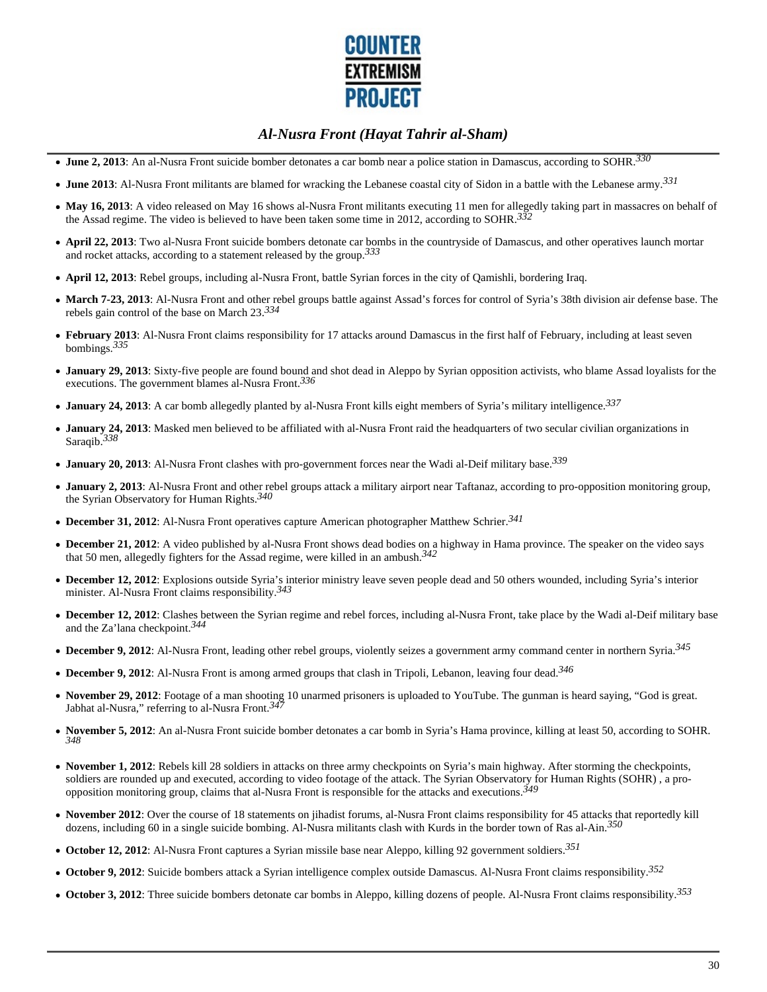

- **June 2, 2013**: An al-Nusra Front suicide bomber detonates a car bomb near a police station in Damascus, according to SOHR.*330*
- **June 2013**: Al-Nusra Front militants are blamed for wracking the Lebanese coastal city of Sidon in a battle with the Lebanese army.*331*
- May 16, 2013: A video released on May 16 shows al-Nusra Front militants executing 11 men for allegedly taking part in massacres on behalf of the Assad regime. The video is believed to have been taken some time in 2012, according to SOHR.*332*
- **April 22, 2013**: Two al-Nusra Front suicide bombers detonate car bombs in the countryside of Damascus, and other operatives launch mortar and rocket attacks, according to a statement released by the group.*333*
- **April 12, 2013**: Rebel groups, including al-Nusra Front, battle Syrian forces in the city of Qamishli, bordering Iraq.
- **March 7-23, 2013**: Al-Nusra Front and other rebel groups battle against Assad's forces for control of Syria's 38th division air defense base. The rebels gain control of the base on March 23.*334*
- **February 2013**: Al-Nusra Front claims responsibility for 17 attacks around Damascus in the first half of February, including at least seven bombings.*335*
- **January 29, 2013**: Sixty-five people are found bound and shot dead in Aleppo by Syrian opposition activists, who blame Assad loyalists for the executions. The government blames al-Nusra Front.*336*
- **January 24, 2013**: A car bomb allegedly planted by al-Nusra Front kills eight members of Syria's military intelligence.*337*
- **January 24, 2013**: Masked men believed to be affiliated with al-Nusra Front raid the headquarters of two secular civilian organizations in Saraqib.*338*
- **January 20, 2013**: Al-Nusra Front clashes with pro-government forces near the Wadi al-Deif military base.*339*
- **January 2, 2013**: Al-Nusra Front and other rebel groups attack a military airport near Taftanaz, according to pro-opposition monitoring group, the Syrian Observatory for Human Rights.*340*
- **December 31, 2012**: Al-Nusra Front operatives capture American photographer Matthew Schrier.*341*
- **December 21, 2012**: A video published by al-Nusra Front shows dead bodies on a highway in Hama province. The speaker on the video says that 50 men, allegedly fighters for the Assad regime, were killed in an ambush.*342*
- **December 12, 2012**: Explosions outside Syria's interior ministry leave seven people dead and 50 others wounded, including Syria's interior minister. Al-Nusra Front claims responsibility.*343*
- **December 12, 2012**: Clashes between the Syrian regime and rebel forces, including al-Nusra Front, take place by the Wadi al-Deif military base and the Za'lana checkpoint.*344*
- **December 9, 2012**: Al-Nusra Front, leading other rebel groups, violently seizes a government army command center in northern Syria.*345*
- **December 9, 2012**: Al-Nusra Front is among armed groups that clash in Tripoli, Lebanon, leaving four dead.*346*
- November 29, 2012: Footage of a man shooting 10 unarmed prisoners is uploaded to YouTube. The gunman is heard saying, "God is great. Jabhat al-Nusra," referring to al-Nusra Front.<sup>34</sup>
- **November 5, 2012**: An al-Nusra Front suicide bomber detonates a car bomb in Syria's Hama province, killing at least 50, according to SOHR. *348*
- **November 1, 2012**: Rebels kill 28 soldiers in attacks on three army checkpoints on Syria's main highway. After storming the checkpoints, soldiers are rounded up and executed, according to video footage of the attack. The Syrian Observatory for Human Rights (SOHR) , a proopposition monitoring group, claims that al-Nusra Front is responsible for the attacks and executions.*349*
- **November 2012**: Over the course of 18 statements on jihadist forums, al-Nusra Front claims responsibility for 45 attacks that reportedly kill dozens, including 60 in a single suicide bombing. Al-Nusra militants clash with Kurds in the border town of Ras al-Ain.*350*
- **October 12, 2012**: Al-Nusra Front captures a Syrian missile base near Aleppo, killing 92 government soldiers.*351*
- **October 9, 2012**: Suicide bombers attack a Syrian intelligence complex outside Damascus. Al-Nusra Front claims responsibility.*352*
- **October 3, 2012**: Three suicide bombers detonate car bombs in Aleppo, killing dozens of people. Al-Nusra Front claims responsibility.*353*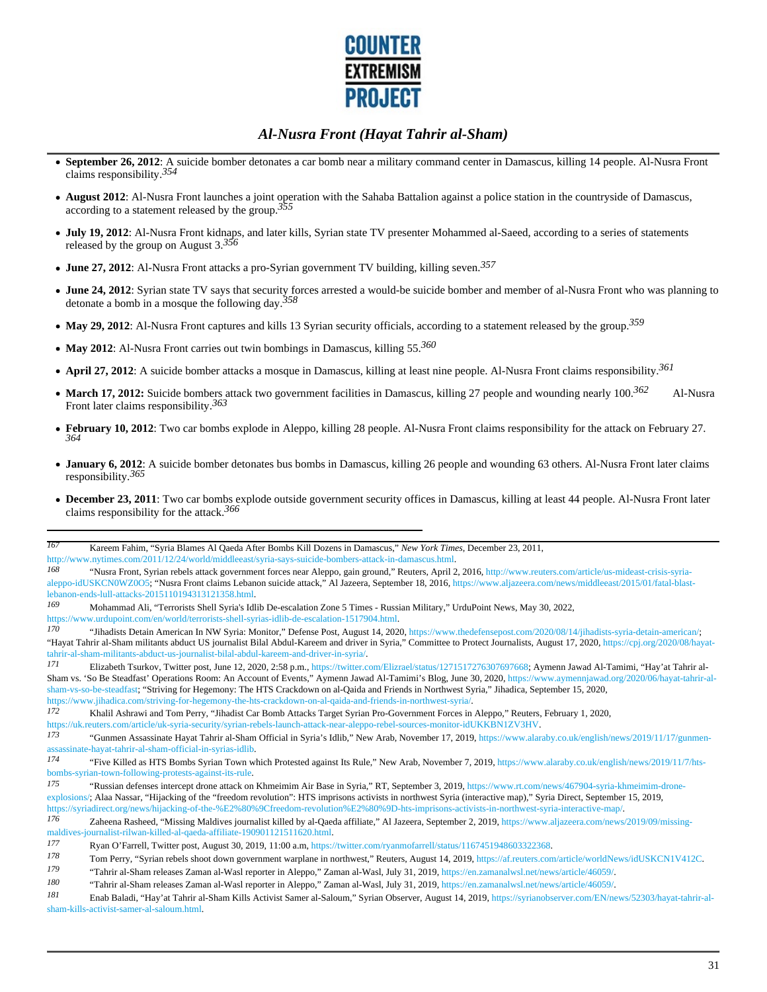

- **September 26, 2012**: A suicide bomber detonates a car bomb near a military command center in Damascus, killing 14 people. Al-Nusra Front claims responsibility.*354*
- **August 2012**: Al-Nusra Front launches a joint operation with the Sahaba Battalion against a police station in the countryside of Damascus, according to a statement released by the group.*355*
- **July 19, 2012**: Al-Nusra Front kidnaps, and later kills, Syrian state TV presenter Mohammed al-Saeed, according to a series of statements released by the group on August 3.*356*
- **June 27, 2012**: Al-Nusra Front attacks a pro-Syrian government TV building, killing seven.*357*
- **June 24, 2012**: Syrian state TV says that security forces arrested a would-be suicide bomber and member of al-Nusra Front who was planning to detonate a bomb in a mosque the following day.*358*
- **May 29, 2012**: Al-Nusra Front captures and kills 13 Syrian security officials, according to a statement released by the group.*359*
- **May 2012**: Al-Nusra Front carries out twin bombings in Damascus, killing 55.*360*
- **April 27, 2012**: A suicide bomber attacks a mosque in Damascus, killing at least nine people. Al-Nusra Front claims responsibility.*361*
- March 17, 2012: Suicide bombers attack two government facilities in Damascus, killing 27 people and wounding nearly 100.<sup>362</sup> Al-Nusra Front later claims responsibility.*363*
- **February 10, 2012**: Two car bombs explode in Aleppo, killing 28 people. Al-Nusra Front claims responsibility for the attack on February 27. *364*
- **January 6, 2012**: A suicide bomber detonates bus bombs in Damascus, killing 26 people and wounding 63 others. Al-Nusra Front later claims responsibility.*365*
- **December 23, 2011**: Two car bombs explode outside government security offices in Damascus, killing at least 44 people. Al-Nusra Front later claims responsibility for the attack.*366*

https://www.urdupoint.com/en/world/terrorists-shell-syrias-idlib-de-escalation-1517904.html.

*180* "Tahrir al-Sham releases Zaman al-Wasl reporter in Aleppo," Zaman al-Wasl, July 31, 2019, https://en.zamanalwsl.net/news/article/46059/.

*<sup>167</sup>* Kareem Fahim, "Syria Blames Al Qaeda After Bombs Kill Dozens in Damascus," *New York Times*, December 23, 2011, http://www.nytimes.com/2011/12/24/world/middleeast/syria-says-suicide-bombers-attack-in-damascus.html.

*<sup>168</sup>* "Nusra Front, Syrian rebels attack government forces near Aleppo, gain ground," Reuters, April 2, 2016, http://www.reuters.com/article/us-mideast-crisis-syriaaleppo-idUSKCN0WZ0O5; "Nusra Front claims Lebanon suicide attack," Al Jazeera, September 18, 2016, https://www.aljazeera.com/news/middleeast/2015/01/fatal-blastlebanon-ends-lull-attacks-2015110194313121358.html.

*<sup>169</sup>* Mohammad Ali, "Terrorists Shell Syria's Idlib De-escalation Zone 5 Times - Russian Military," UrduPoint News, May 30, 2022,

*<sup>170</sup>* "Jihadists Detain American In NW Syria: Monitor," Defense Post, August 14, 2020, https://www.thedefensepost.com/2020/08/14/jihadists-syria-detain-american/; "Hayat Tahrir al-Sham militants abduct US journalist Bilal Abdul-Kareem and driver in Syria," Committee to Protect Journalists, August 17, 2020, https://cpj.org/2020/08/hayattahrir-al-sham-militants-abduct-us-journalist-bilal-abdul-kareem-and-driver-in-syria/.

*<sup>171</sup>* Elizabeth Tsurkov, Twitter post, June 12, 2020, 2:58 p.m., https://twitter.com/Elizrael/status/1271517276307697668; Aymenn Jawad Al-Tamimi, "Hay'at Tahrir al-Sham vs. 'So Be Steadfast' Operations Room: An Account of Events," Aymenn Jawad Al-Tamimi's Blog, June 30, 2020, https://www.aymennjawad.org/2020/06/hayat-tahrir-alsham-vs-so-be-steadfast; "Striving for Hegemony: The HTS Crackdown on al-Qaida and Friends in Northwest Syria," Jihadica, September 15, 2020, https://www.jihadica.com/striving-for-hegemony-the-hts-crackdown-on-al-qaida-and-friends-in-northwest-syria/.

*<sup>172</sup>* Khalil Ashrawi and Tom Perry, "Jihadist Car Bomb Attacks Target Syrian Pro-Government Forces in Aleppo," Reuters, February 1, 2020,

https://uk.reuters.com/article/uk-syria-security/syrian-rebels-launch-attack-near-aleppo-rebel-sources-monitor-idUKKBN1ZV3HV.

*<sup>173</sup>* "Gunmen Assassinate Hayat Tahrir al-Sham Official in Syria's Idlib," New Arab, November 17, 2019, https://www.alaraby.co.uk/english/news/2019/11/17/gunmenassassinate-hayat-tahrir-al-sham-official-in-syrias-idlib.

*<sup>174</sup>* "Five Killed as HTS Bombs Syrian Town which Protested against Its Rule," New Arab, November 7, 2019, https://www.alaraby.co.uk/english/news/2019/11/7/htsbombs-syrian-town-following-protests-against-its-rule.

*<sup>175</sup>* "Russian defenses intercept drone attack on Khmeimim Air Base in Syria," RT, September 3, 2019, https://www.rt.com/news/467904-syria-khmeimim-droneexplosions/; Alaa Nassar, "Hijacking of the "freedom revolution": HTS imprisons activists in northwest Syria (interactive map)," Syria Direct, September 15, 2019, https://syriadirect.org/news/hijacking-of-the-%E2%80%9Cfreedom-revolution%E2%80%9D-hts-imprisons-activists-in-northwest-syria-interactive-map/.

*<sup>176</sup>* Zaheena Rasheed, "Missing Maldives journalist killed by al-Qaeda affiliate," Al Jazeera, September 2, 2019, https://www.aljazeera.com/news/2019/09/missingmaldives-journalist-rilwan-killed-al-qaeda-affiliate-190901121511620.html.

*<sup>177</sup>* Ryan O'Farrell, Twitter post, August 30, 2019, 11:00 a.m, https://twitter.com/ryanmofarrell/status/1167451948603322368.

*<sup>178</sup>* Tom Perry, "Syrian rebels shoot down government warplane in northwest," Reuters, August 14, 2019, https://af.reuters.com/article/worldNews/idUSKCN1V412C.

*<sup>179</sup>* "Tahrir al-Sham releases Zaman al-Wasl reporter in Aleppo," Zaman al-Wasl, July 31, 2019, https://en.zamanalwsl.net/news/article/46059/.

*<sup>181</sup>* Enab Baladi, "Hay'at Tahrir al-Sham Kills Activist Samer al-Saloum," Syrian Observer, August 14, 2019, https://syrianobserver.com/EN/news/52303/hayat-tahrir-alsham-kills-activist-samer-al-saloum.html.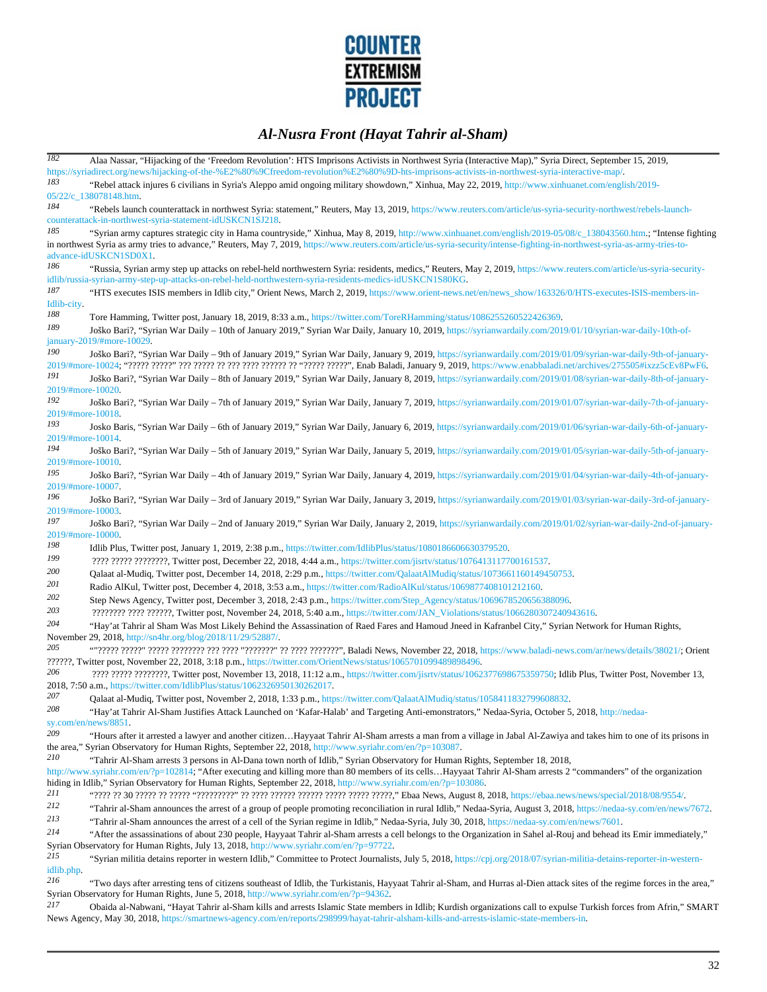

| <b>182</b>        | Alaa Nassar, "Hijacking of the 'Freedom Revolution': HTS Imprisons Activists in Northwest Syria (Interactive Map)," Syria Direct, September 15, 2019,                                                                                                                                               |
|-------------------|-----------------------------------------------------------------------------------------------------------------------------------------------------------------------------------------------------------------------------------------------------------------------------------------------------|
|                   | https://syriadirect.org/news/hijacking-of-the-%E2%80%9Cfreedom-revolution%E2%80%9D-hts-imprisons-activists-in-northwest-syria-interactive-map/                                                                                                                                                      |
| 183               | "Rebel attack injures 6 civilians in Syria's Aleppo amid ongoing military showdown," Xinhua, May 22, 2019, http://www.xinhuanet.com/english/2019-                                                                                                                                                   |
|                   | 05/22/c_138078148.htm.                                                                                                                                                                                                                                                                              |
| 184               | "Rebels launch counterattack in northwest Syria: statement," Reuters, May 13, 2019, https://www.reuters.com/article/us-syria-security-northwest/rebels-launch-                                                                                                                                      |
|                   | counterattack-in-northwest-syria-statement-idUSKCN1SJ218.                                                                                                                                                                                                                                           |
| 185               | "Syrian army captures strategic city in Hama countryside," Xinhua, May 8, 2019, http://www.xinhuanet.com/english/2019-05/08/c_138043560.htm.; "Intense fighting                                                                                                                                     |
|                   | in northwest Syria as army tries to advance," Reuters, May 7, 2019, https://www.reuters.com/article/us-syria-security/intense-fighting-in-northwest-syria-as-army-tries-to-                                                                                                                         |
|                   | advance-idUSKCN1SD0X1.                                                                                                                                                                                                                                                                              |
| 186               | "Russia, Syrian army step up attacks on rebel-held northwestern Syria: residents, medics," Reuters, May 2, 2019, https://www.reuters.com/article/us-syria-security-                                                                                                                                 |
|                   | idlib/russia-syrian-army-step-up-attacks-on-rebel-held-northwestern-syria-residents-medics-idUSKCN1S80KG.                                                                                                                                                                                           |
| 187               | "HTS executes ISIS members in Idlib city," Orient News, March 2, 2019. https://www.orient-news.net/en/news_show/163326/0/HTS-executes-ISIS-members-in-                                                                                                                                              |
| Idlib-city.       |                                                                                                                                                                                                                                                                                                     |
| 188               | Tore Hamming, Twitter post, January 18, 2019, 8:33 a.m., https://twitter.com/ToreRHamming/status/1086255260522426369.                                                                                                                                                                               |
| 189               | Joško Bari?, "Syrian War Daily - 10th of January 2019," Syrian War Daily, January 10, 2019, https://syrianwardaily.com/2019/01/10/syrian-war-daily-10th-of-                                                                                                                                         |
|                   | january-2019/#more-10029.                                                                                                                                                                                                                                                                           |
| 190               | Joško Bari?, "Syrian War Daily - 9th of January 2019," Syrian War Daily, January 9, 2019, https://syrianwardaily.com/2019/01/09/syrian-war-daily-9th-of-january-                                                                                                                                    |
| 191               |                                                                                                                                                                                                                                                                                                     |
| 2019/#more-10020. | Joško Bari?, "Syrian War Daily - 8th of January 2019," Syrian War Daily, January 8, 2019, https://syrianwardaily.com/2019/01/08/syrian-war-daily-8th-of-january-                                                                                                                                    |
| 192               | Joško Bari?, "Syrian War Daily - 7th of January 2019," Syrian War Daily, January 7, 2019, https://syrianwardaily.com/2019/01/07/syrian-war-daily-7th-of-january-                                                                                                                                    |
| 2019/#more-10018. |                                                                                                                                                                                                                                                                                                     |
| 193               | Josko Baris, "Syrian War Daily – 6th of January 2019," Syrian War Daily, January 6, 2019, https://syrianwardaily.com/2019/01/06/syrian-war-daily-6th-of-january-                                                                                                                                    |
| 2019/#more-10014. |                                                                                                                                                                                                                                                                                                     |
| 194               | Joško Bari?, "Syrian War Daily – 5th of January 2019," Syrian War Daily, January 5, 2019, https://syrianwardaily.com/2019/01/05/syrian-war-daily-5th-of-january-                                                                                                                                    |
| 2019/#more-10010. |                                                                                                                                                                                                                                                                                                     |
| 195               | Joško Bari?, "Syrian War Daily – 4th of January 2019," Syrian War Daily, January 4, 2019, https://syrianwardaily.com/2019/01/04/syrian-war-daily-4th-of-january-                                                                                                                                    |
| 2019/#more-10007. |                                                                                                                                                                                                                                                                                                     |
| 196               | Joško Bari?, "Syrian War Daily - 3rd of January 2019," Syrian War Daily, January 3, 2019, https://syrianwardaily.com/2019/01/03/syrian-war-daily-3rd-of-january-                                                                                                                                    |
| 2019/#more-10003. |                                                                                                                                                                                                                                                                                                     |
| 197               | Joško Bari?, "Syrian War Daily - 2nd of January 2019," Syrian War Daily, January 2, 2019, https://syrianwardaily.com/2019/01/02/syrian-war-daily-2nd-of-january-                                                                                                                                    |
| 2019/#more-10000. |                                                                                                                                                                                                                                                                                                     |
| 198               | Idlib Plus, Twitter post, January 1, 2019, 2:38 p.m., https://twitter.com/IdlibPlus/status/1080186606630379520.                                                                                                                                                                                     |
| 199               | ???? ????? ????????, Twitter post, December 22, 2018, 4:44 a.m., https://twitter.com/jisrtv/status/1076413117700161537.                                                                                                                                                                             |
| 200               | Qalaat al-Mudiq, Twitter post, December 14, 2018, 2:29 p.m., https://twitter.com/QalaatAlMudiq/status/1073661160149450753.                                                                                                                                                                          |
| 201               | Radio AlKul, Twitter post, December 4, 2018, 3:53 a.m., https://twitter.com/RadioAlKul/status/1069877408101212160.                                                                                                                                                                                  |
| 202               | Step News Agency, Twitter post, December 3, 2018, 2:43 p.m., https://twitter.com/Step_Agency/status/1069678520656388096.                                                                                                                                                                            |
| 203               | ???????? ???? ??????, Twitter post, November 24, 2018, 5:40 a.m., https://twitter.com/JAN_Violations/status/1066280307240943616.                                                                                                                                                                    |
| 204               | "Hay' at Tahrir al Sham Was Most Likely Behind the Assassination of Raed Fares and Hamoud Jneed in Kafranbel City," Syrian Network for Human Rights,                                                                                                                                                |
|                   | November 29, 2018, http://sn4hr.org/blog/2018/11/29/52887/.                                                                                                                                                                                                                                         |
| 205               |                                                                                                                                                                                                                                                                                                     |
|                   | ??????, Twitter post, November 22, 2018, 3:18 p.m., https://twitter.com/OrientNews/status/1065701099489898496.                                                                                                                                                                                      |
| 206               | ???? ????? ????????, Twitter post, November 13, 2018, 11:12 a.m., https://twitter.com/jisrtv/status/1062377698675359750; Idlib Plus, Twitter Post, November 13,                                                                                                                                     |
|                   | 2018, 7:50 a.m., https://twitter.com/IdlibPlus/status/1062326950130262017.                                                                                                                                                                                                                          |
| 207               | Qalaat al-Mudiq, Twitter post, November 2, 2018, 1:33 p.m., https://twitter.com/QalaatAlMudiq/status/1058411832799608832.                                                                                                                                                                           |
| 208               | "Hay'at Tahrir Al-Sham Justifies Attack Launched on 'Kafar-Halab' and Targeting Anti-emonstrators," Nedaa-Syria, October 5, 2018, http://nedaa-                                                                                                                                                     |
| 209               | sy.com/en/news/8851.                                                                                                                                                                                                                                                                                |
|                   | "Hours after it arrested a lawyer and another citizenHayyaat Tahrir Al-Sham arrests a man from a village in Jabal Al-Zawiya and takes him to one of its prisons in<br>the area," Syrian Observatory for Human Rights, September 22, 2018, http://www.syriahr.com/en/?p=103087.                      |
| 210               |                                                                                                                                                                                                                                                                                                     |
|                   | "Tahrir Al-Sham arrests 3 persons in Al-Dana town north of Idlib," Syrian Observatory for Human Rights, September 18, 2018,<br>http://www.syriahr.com/en/?p=102814; "After executing and killing more than 80 members of its cellsHayyaat Tahrir Al-Sham arrests 2 "commanders" of the organization |
|                   | hiding in Idlib," Syrian Observatory for Human Rights, September 22, 2018, http://www.syriahr.com/en/?p=103086.                                                                                                                                                                                     |
| 211               |                                                                                                                                                                                                                                                                                                     |
| 212               | "Tahrir al-Sham announces the arrest of a group of people promoting reconciliation in rural Idlib," Nedaa-Syria, August 3, 2018, https://nedaa-sy.com/en/news/7672.                                                                                                                                 |
| 213               | "Tahrir al-Sham announces the arrest of a cell of the Syrian regime in Idlib," Nedaa-Syria, July 30, 2018, https://nedaa-sy.com/en/news/7601.                                                                                                                                                       |
| 214               | "After the assassinations of about 230 people, Hayyaat Tahrir al-Sham arrests a cell belongs to the Organization in Sahel al-Rouj and behead its Emir immediately,"                                                                                                                                 |
|                   | Syrian Observatory for Human Rights, July 13, 2018, http://www.syriahr.com/en/?p=97722.                                                                                                                                                                                                             |
| 215               | "Syrian militia detains reporter in western Idlib," Committee to Protect Journalists, July 5, 2018, https://cpj.org/2018/07/syrian-militia-detains-reporter-in-western-                                                                                                                             |
| idlib.php.        |                                                                                                                                                                                                                                                                                                     |
| 216               | "Two days after arresting tens of citizens southeast of Idlib, the Turkistanis, Hayyaat Tahrir al-Sham, and Hurras al-Dien attack sites of the regime forces in the area,"                                                                                                                          |
|                   | Syrian Observatory for Human Rights, June 5, 2018, http://www.syriahr.com/en/?p=94362.                                                                                                                                                                                                              |
| 217               | Obaida al-Nabwani, "Hayat Tahrir al-Sham kills and arrests Islamic State members in Idlib; Kurdish organizations call to expulse Turkish forces from Afrin," SMART                                                                                                                                  |

News Agency, May 30, 2018, https://smartnews-agency.com/en/reports/298999/hayat-tahrir-alsham-kills-and-arrests-islamic-state-members-in.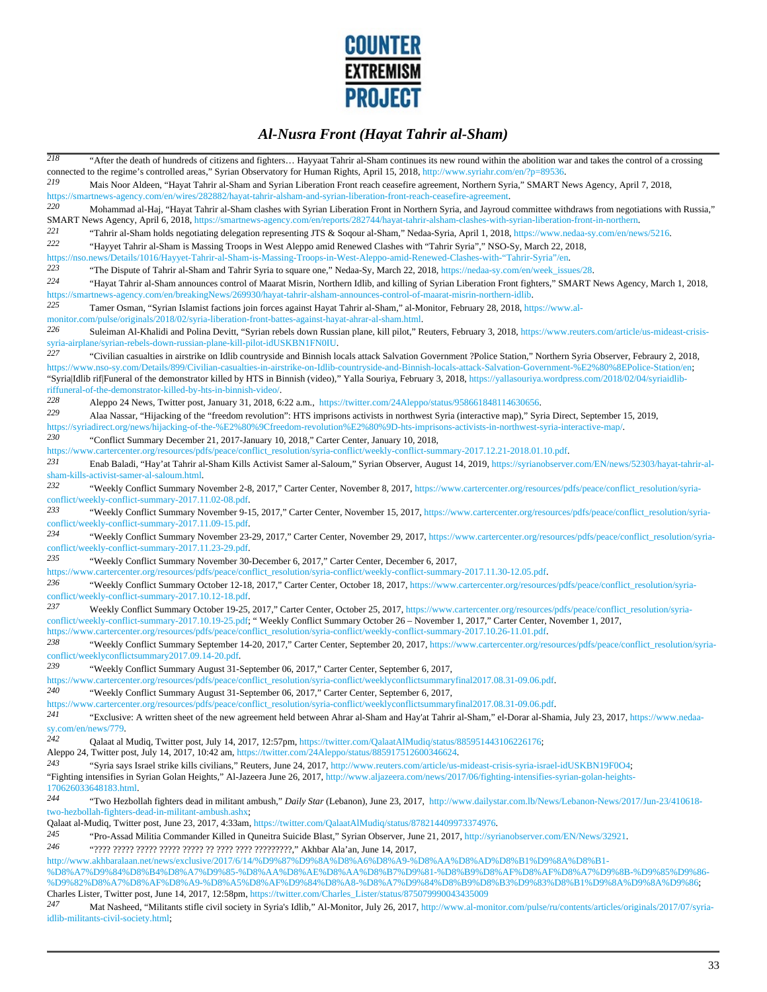

| $\overline{218}$                                                                                                                                                                                                                |                                                                                                                                                                                                                                                                                                                                                                                                                                                    |  |
|---------------------------------------------------------------------------------------------------------------------------------------------------------------------------------------------------------------------------------|----------------------------------------------------------------------------------------------------------------------------------------------------------------------------------------------------------------------------------------------------------------------------------------------------------------------------------------------------------------------------------------------------------------------------------------------------|--|
|                                                                                                                                                                                                                                 | "After the death of hundreds of citizens and fighters Hayyaat Tahrir al-Sham continues its new round within the abolition war and takes the control of a crossing<br>connected to the regime's controlled areas," Syrian Observatory for Human Rights, April 15, 2018, http://www.syriahr.com/en/?p=89536.                                                                                                                                         |  |
| 219                                                                                                                                                                                                                             | Mais Noor Aldeen, "Hayat Tahrir al-Sham and Syrian Liberation Front reach ceasefire agreement, Northern Syria," SMART News Agency, April 7, 2018,<br>https://smartnews-agency.com/en/wires/282882/hayat-tahrir-alsham-and-syrian-liberation-front-reach-ceasefire-agreement.                                                                                                                                                                       |  |
| 220                                                                                                                                                                                                                             | Mohammad al-Haj, "Hayat Tahrir al-Sham clashes with Syrian Liberation Front in Northern Syria, and Jayroud committee withdraws from negotiations with Russia,"                                                                                                                                                                                                                                                                                     |  |
|                                                                                                                                                                                                                                 | SMART News Agency, April 6, 2018, https://smartnews-agency.com/en/reports/282744/hayat-tahrir-alsham-clashes-with-syrian-liberation-front-in-northern.                                                                                                                                                                                                                                                                                             |  |
| 221                                                                                                                                                                                                                             | "Tahrir al-Sham holds negotiating delegation representing JTS & Soqour al-Sham," Nedaa-Syria, April 1, 2018, https://www.nedaa-sy.com/en/news/5216.                                                                                                                                                                                                                                                                                                |  |
| 222                                                                                                                                                                                                                             | "Hayyet Tahrir al-Sham is Massing Troops in West Aleppo amid Renewed Clashes with "Tahrir Syria"," NSO-Sy, March 22, 2018,                                                                                                                                                                                                                                                                                                                         |  |
| 223                                                                                                                                                                                                                             | https://nso.news/Details/1016/Hayyet-Tahrir-al-Sham-is-Massing-Troops-in-West-Aleppo-amid-Renewed-Clashes-with-"Tahrir-Syria"/en<br>"The Dispute of Tahrir al-Sham and Tahrir Syria to square one," Nedaa-Sy, March 22, 2018, https://nedaa-sy.com/en/week_issues/28.                                                                                                                                                                              |  |
| 224                                                                                                                                                                                                                             | "Hayat Tahrir al-Sham announces control of Maarat Misrin, Northern Idlib, and killing of Syrian Liberation Front fighters," SMART News Agency, March 1, 2018,                                                                                                                                                                                                                                                                                      |  |
|                                                                                                                                                                                                                                 | https://smartnews-agency.com/en/breakingNews/269930/hayat-tahrir-alsham-announces-control-of-maarat-misrin-northern-idlib.                                                                                                                                                                                                                                                                                                                         |  |
| 225                                                                                                                                                                                                                             | Tamer Osman, "Syrian Islamist factions join forces against Hayat Tahrir al-Sham," al-Monitor, February 28, 2018, https://www.al-<br>monitor.com/pulse/originals/2018/02/syria-liberation-front-battes-against-hayat-ahrar-al-sham.html.                                                                                                                                                                                                            |  |
| 226                                                                                                                                                                                                                             | Suleiman Al-Khalidi and Polina Devitt, "Syrian rebels down Russian plane, kill pilot," Reuters, February 3, 2018, https://www.reuters.com/article/us-mideast-crisis-                                                                                                                                                                                                                                                                               |  |
| 227                                                                                                                                                                                                                             | syria-airplane/syrian-rebels-down-russian-plane-kill-pilot-idUSKBN1FN0IU<br>"Civilian casualties in airstrike on Idlib countryside and Binnish locals attack Salvation Government ?Police Station," Northern Syria Observer, Febraury 2, 2018,                                                                                                                                                                                                     |  |
|                                                                                                                                                                                                                                 | https://www.nso-sy.com/Details/899/Civilian-casualties-in-airstrike-on-Idlib-countryside-and-Binnish-locals-attack-Salvation-Government-%E2%80%8EPolice-Station/en;                                                                                                                                                                                                                                                                                |  |
|                                                                                                                                                                                                                                 | "SyrialIdlib rif Funeral of the demonstrator killed by HTS in Binnish (video)," Yalla Souriya, February 3, 2018, https://yallasouriya.wordpress.com/2018/02/04/syriaidlib-                                                                                                                                                                                                                                                                         |  |
| 228                                                                                                                                                                                                                             | riffuneral-of-the-demonstrator-killed-by-hts-in-binnish-video/.                                                                                                                                                                                                                                                                                                                                                                                    |  |
| 229                                                                                                                                                                                                                             | Aleppo 24 News, Twitter post, January 31, 2018, 6:22 a.m., https://twitter.com/24Aleppo/status/958661848114630656.                                                                                                                                                                                                                                                                                                                                 |  |
|                                                                                                                                                                                                                                 | Alaa Nassar, "Hijacking of the "freedom revolution": HTS imprisons activists in northwest Syria (interactive map)," Syria Direct, September 15, 2019,<br>https://syriadirect.org/news/hijacking-of-the-%E2%80%9Cfreedom-revolution%E2%80%9D-hts-imprisons-activists-in-northwest-syria-interactive-map/                                                                                                                                            |  |
| 230                                                                                                                                                                                                                             | "Conflict Summary December 21, 2017-January 10, 2018," Carter Center, January 10, 2018,                                                                                                                                                                                                                                                                                                                                                            |  |
|                                                                                                                                                                                                                                 | https://www.cartercenter.org/resources/pdfs/peace/conflict_resolution/syria-conflict/weekly-conflict-summary-2017.12.21-2018.01.10.pdf.                                                                                                                                                                                                                                                                                                            |  |
| 231                                                                                                                                                                                                                             | Enab Baladi, "Hay'at Tahrir al-Sham Kills Activist Samer al-Saloum," Syrian Observer, August 14, 2019, https://syrianobserver.com/EN/news/52303/hayat-tahrir-al-                                                                                                                                                                                                                                                                                   |  |
|                                                                                                                                                                                                                                 | sham-kills-activist-samer-al-saloum.html.                                                                                                                                                                                                                                                                                                                                                                                                          |  |
| 232                                                                                                                                                                                                                             | "Weekly Conflict Summary November 2-8, 2017," Carter Center, November 8, 2017, https://www.cartercenter.org/resources/pdfs/peace/conflict_resolution/syria-                                                                                                                                                                                                                                                                                        |  |
| 233                                                                                                                                                                                                                             | conflict/weekly-conflict-summary-2017.11.02-08.pdf.<br>"Weekly Conflict Summary November 9-15, 2017," Carter Center, November 15, 2017, https://www.cartercenter.org/resources/pdfs/peace/conflict_resolution/syria-                                                                                                                                                                                                                               |  |
|                                                                                                                                                                                                                                 | conflict/weekly-conflict-summary-2017.11.09-15.pdf.                                                                                                                                                                                                                                                                                                                                                                                                |  |
| 234                                                                                                                                                                                                                             | "Weekly Conflict Summary November 23-29, 2017," Carter Center, November 29, 2017, https://www.cartercenter.org/resources/pdfs/peace/conflict_resolution/syria-<br>conflict/weekly-conflict-summary-2017.11.23-29.pdf.                                                                                                                                                                                                                              |  |
| 235                                                                                                                                                                                                                             | "Weekly Conflict Summary November 30-December 6, 2017," Carter Center, December 6, 2017,                                                                                                                                                                                                                                                                                                                                                           |  |
|                                                                                                                                                                                                                                 | https://www.cartercenter.org/resources/pdfs/peace/conflict_resolution/syria-conflict/weekly-conflict-summary-2017.11.30-12.05.pdf.                                                                                                                                                                                                                                                                                                                 |  |
| 236                                                                                                                                                                                                                             | "Weekly Conflict Summary October 12-18, 2017," Carter Center, October 18, 2017, https://www.cartercenter.org/resources/pdfs/peace/conflict_resolution/syria-                                                                                                                                                                                                                                                                                       |  |
| 237                                                                                                                                                                                                                             | conflict/weekly-conflict-summary-2017.10.12-18.pdf.                                                                                                                                                                                                                                                                                                                                                                                                |  |
|                                                                                                                                                                                                                                 | Weekly Conflict Summary October 19-25, 2017," Carter Center, October 25, 2017, https://www.cartercenter.org/resources/pdfs/peace/conflict_resolution/syria-<br>conflict/weekly-conflict-summary-2017.10.19-25.pdf; "Weekly Conflict Summary October 26 - November 1, 2017," Carter Center, November 1, 2017,<br>https://www.cartercenter.org/resources/pdfs/peace/conflict_resolution/syria-conflict/weekly-conflict-summary-2017.10.26-11.01.pdf. |  |
| 238                                                                                                                                                                                                                             | "Weekly Conflict Summary September 14-20, 2017," Carter Center, September 20, 2017, https://www.cartercenter.org/resources/pdfs/peace/conflict_resolution/syria-                                                                                                                                                                                                                                                                                   |  |
|                                                                                                                                                                                                                                 | conflict/weeklyconflictsummary2017.09.14-20.pdf.                                                                                                                                                                                                                                                                                                                                                                                                   |  |
| 239                                                                                                                                                                                                                             | "Weekly Conflict Summary August 31-September 06, 2017," Carter Center, September 6, 2017,                                                                                                                                                                                                                                                                                                                                                          |  |
| 240                                                                                                                                                                                                                             | https://www.cartercenter.org/resources/pdfs/peace/conflict_resolution/syria-conflict/weeklyconflictsummaryfinal2017.08.31-09.06.pdf.                                                                                                                                                                                                                                                                                                               |  |
|                                                                                                                                                                                                                                 | "Weekly Conflict Summary August 31-September 06, 2017," Carter Center, September 6, 2017,<br>https://www.cartercenter.org/resources/pdfs/peace/conflict_resolution/syria-conflict/weeklyconflictsummaryfinal2017.08.31-09.06.pdf.                                                                                                                                                                                                                  |  |
| 241                                                                                                                                                                                                                             | "Exclusive: A written sheet of the new agreement held between Ahrar al-Sham and Hay'at Tahrir al-Sham," el-Dorar al-Shamia, July 23, 2017, https://www.nedaa-                                                                                                                                                                                                                                                                                      |  |
| sy.com/en/news/779.                                                                                                                                                                                                             |                                                                                                                                                                                                                                                                                                                                                                                                                                                    |  |
| 242                                                                                                                                                                                                                             | Qalaat al Mudiq, Twitter post, July 14, 2017, 12:57pm, https://twitter.com/QalaatAlMudiq/status/885951443106226176;                                                                                                                                                                                                                                                                                                                                |  |
| 243                                                                                                                                                                                                                             | Aleppo 24, Twitter post, July 14, 2017, 10:42 am, https://twitter.com/24Aleppo/status/885917512600346624.                                                                                                                                                                                                                                                                                                                                          |  |
|                                                                                                                                                                                                                                 | "Syria says Israel strike kills civilians," Reuters, June 24, 2017, http://www.reuters.com/article/us-mideast-crisis-syria-israel-idUSKBN19F0O4;<br>"Fighting intensifies in Syrian Golan Heights," Al-Jazeera June 26, 2017, http://www.aljazeera.com/news/2017/06/fighting-intensifies-syrian-golan-heights-                                                                                                                                     |  |
|                                                                                                                                                                                                                                 | 170626033648183.html.                                                                                                                                                                                                                                                                                                                                                                                                                              |  |
| 244                                                                                                                                                                                                                             | "Two Hezbollah fighters dead in militant ambush," Daily Star (Lebanon), June 23, 2017, http://www.dailystar.com.lb/News/Lebanon-News/2017/Jun-23/410618-<br>two-hezbollah-fighters-dead-in-militant-ambush.ashx;                                                                                                                                                                                                                                   |  |
|                                                                                                                                                                                                                                 | Qalaat al-Mudiq, Twitter post, June 23, 2017, 4:33am, https://twitter.com/QalaatAlMudiq/status/878214409973374976.                                                                                                                                                                                                                                                                                                                                 |  |
| 245                                                                                                                                                                                                                             | "Pro-Assad Militia Commander Killed in Quneitra Suicide Blast," Syrian Observer, June 21, 2017, http://syrianobserver.com/EN/News/32921.                                                                                                                                                                                                                                                                                                           |  |
| 246                                                                                                                                                                                                                             |                                                                                                                                                                                                                                                                                                                                                                                                                                                    |  |
|                                                                                                                                                                                                                                 | http://www.akhbaralaan.net/news/exclusive/2017/6/14/%D9%87%D9%8A%D8%A6%D8%A9-%D8%AA%D8%AD%D8%B1%D9%8A%D8%B1-                                                                                                                                                                                                                                                                                                                                       |  |
| %D8%A7%D9%84%D8%B4%D8%A7%D9%85-%D8%AA%D8%AE%D8%AA%D8%B7%D9%81-%D8%B9%D8%AF%D8%AF%D8%A7%D9%8B-%D9%85%D9%86-                                                                                                                      |                                                                                                                                                                                                                                                                                                                                                                                                                                                    |  |
| %D9%82%D8%A7%D8%AF%D8%A9-%D8%A5%D8%AF%D9%84%D8%A8-%D8%A7%D9%84%D8%B9%D8%B3%D9%83%D8%B1%D9%8A%D9%8A%D9%86;<br>Charles Lister, Twitter post, June 14, 2017, 12:58pm, https://twitter.com/Charles_Lister/status/875079990043435009 |                                                                                                                                                                                                                                                                                                                                                                                                                                                    |  |

247 Mat Nasheed, "Militants stifle civil society in Syria's Idlib," Al-Monitor, July 26, 2017, http://www.al-monitor.com/pulse/ru/contents/articles/originals/2017/07/syriaidlib-militants-civil-society.html;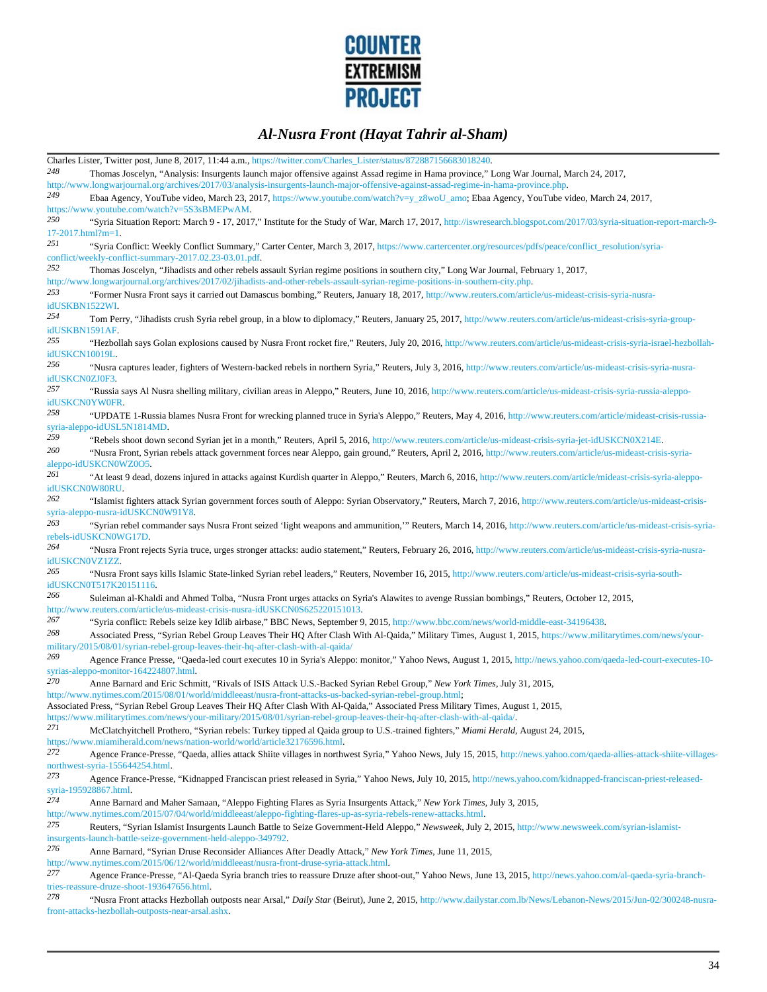

|                            | Charles Lister, Twitter post, June 8, 2017, 11:44 a.m., https://twitter.com/Charles_Lister/status/872887156683018240.                                                                                                                                                                  |
|----------------------------|----------------------------------------------------------------------------------------------------------------------------------------------------------------------------------------------------------------------------------------------------------------------------------------|
| 248                        | Thomas Joscelyn, "Analysis: Insurgents launch major offensive against Assad regime in Hama province," Long War Journal, March 24, 2017,<br>http://www.longwarjournal.org/archives/2017/03/analysis-insurgents-launch-major-offensive-against-assad-regime-in-hama-province.php.        |
| 249                        | Ebaa Agency, YouTube video, March 23, 2017, https://www.youtube.com/watch?v=y_z8woU_amo; Ebaa Agency, YouTube video, March 24, 2017,<br>https://www.youtube.com/watch?v=5S3sBMEPwAM.                                                                                                   |
| 250<br>$17-2017.html?m=1.$ | "Syria Situation Report: March 9 - 17, 2017," Institute for the Study of War, March 17, 2017, http://iswresearch.blogspot.com/2017/03/syria-situation-report-march-9-                                                                                                                  |
| 251                        | "Syria Conflict: Weekly Conflict Summary," Carter Center, March 3, 2017, https://www.cartercenter.org/resources/pdfs/peace/conflict_resolution/syria-                                                                                                                                  |
| 252                        | conflict/weekly-conflict-summary-2017.02.23-03.01.pdf.<br>Thomas Joscelyn, "Jihadists and other rebels assault Syrian regime positions in southern city," Long War Journal, February 1, 2017,                                                                                          |
| 253                        | http://www.longwarjournal.org/archives/2017/02/jihadists-and-other-rebels-assault-syrian-regime-positions-in-southern-city.php.<br>"Former Nusra Front says it carried out Damascus bombing," Reuters, January 18, 2017, http://www.reuters.com/article/us-mideast-crisis-syria-nusra- |
| idUSKBN1522WI.<br>254      | Tom Perry, "Jihadists crush Syria rebel group, in a blow to diplomacy," Reuters, January 25, 2017, http://www.reuters.com/article/us-mideast-crisis-syria-group-                                                                                                                       |
| idUSKBN1591AF.<br>255      | "Hezbollah says Golan explosions caused by Nusra Front rocket fire," Reuters, July 20, 2016, http://www.reuters.com/article/us-mideast-crisis-syria-israel-hezbollah-                                                                                                                  |
| idUSKCN10019L.<br>256      | "Nusra captures leader, fighters of Western-backed rebels in northern Syria," Reuters, July 3, 2016, http://www.reuters.com/article/us-mideast-crisis-syria-nusra-                                                                                                                     |
| idUSKCN0ZJ0F3.<br>257      | "Russia says Al Nusra shelling military, civilian areas in Aleppo," Reuters, June 10, 2016, http://www.reuters.com/article/us-mideast-crisis-syria-russia-aleppo-                                                                                                                      |
| 258                        | idUSKCN0YW0FR.<br>"UPDATE 1-Russia blames Nusra Front for wrecking planned truce in Syria's Aleppo," Reuters, May 4, 2016, http://www.reuters.com/article/mideast-crisis-russia-                                                                                                       |
| 259                        | syria-aleppo-idUSL5N1814MD.<br>"Rebels shoot down second Syrian jet in a month," Reuters, April 5, 2016, http://www.reuters.com/article/us-mideast-crisis-syria-jet-idUSKCN0X214E.                                                                                                     |
| 260                        | "Nusra Front, Syrian rebels attack government forces near Aleppo, gain ground," Reuters, April 2, 2016, http://www.reuters.com/article/us-mideast-crisis-syria-<br>aleppo-idUSKCN0WZ0O5.                                                                                               |
| 261<br>idUSKCN0W80RU.      | "At least 9 dead, dozens injured in attacks against Kurdish quarter in Aleppo," Reuters, March 6, 2016, http://www.reuters.com/article/mideast-crisis-syria-aleppo-                                                                                                                    |
| 262                        | "Islamist fighters attack Syrian government forces south of Aleppo: Syrian Observatory," Reuters, March 7, 2016, http://www.reuters.com/article/us-mideast-crisis-<br>syria-aleppo-nusra-idUSKCN0W91Y8.                                                                                |
| 263                        | "Syrian rebel commander says Nusra Front seized 'light weapons and ammunition," Reuters, March 14, 2016, http://www.reuters.com/article/us-mideast-crisis-syria-<br>rebels-idUSKCN0WG17D.                                                                                              |
| 264<br>idUSKCN0VZ1ZZ.      | "Nusra Front rejects Syria truce, urges stronger attacks: audio statement," Reuters, February 26, 2016, http://www.reuters.com/article/us-mideast-crisis-syria-nusra-                                                                                                                  |
| 265                        | "Nusra Front says kills Islamic State-linked Syrian rebel leaders," Reuters, November 16, 2015, http://www.reuters.com/article/us-mideast-crisis-syria-south-<br>idUSKCN0T517K20151116.                                                                                                |
| 266                        | Suleiman al-Khaldi and Ahmed Tolba, "Nusra Front urges attacks on Syria's Alawites to avenge Russian bombings," Reuters, October 12, 2015,<br>http://www.reuters.com/article/us-mideast-crisis-nusra-idUSKCN0S625220151013.                                                            |
| 267                        | "Syria conflict: Rebels seize key Idlib airbase," BBC News, September 9, 2015, http://www.bbc.com/news/world-middle-east-34196438.                                                                                                                                                     |
| 268                        | Associated Press, "Syrian Rebel Group Leaves Their HQ After Clash With Al-Qaida," Military Times, August 1, 2015, https://www.militarytimes.com/news/your-<br>military/2015/08/01/syrian-rebel-group-leaves-their-hq-after-clash-with-al-qaida/                                        |
| 269                        | Agence France Presse, "Qaeda-led court executes 10 in Syria's Aleppo: monitor," Yahoo News, August 1, 2015, http://news.yahoo.com/qaeda-led-court-executes-10-<br>syrias-aleppo-monitor-164224807.html.                                                                                |
| 270                        | Anne Barnard and Eric Schmitt, "Rivals of ISIS Attack U.S.-Backed Syrian Rebel Group," New York Times, July 31, 2015,<br>http://www.nytimes.com/2015/08/01/world/middleeast/nusra-front-attacks-us-backed-syrian-rebel-group.html;                                                     |
|                            | Associated Press, "Syrian Rebel Group Leaves Their HQ After Clash With Al-Qaida," Associated Press Military Times, August 1, 2015,<br>https://www.militarytimes.com/news/your-military/2015/08/01/syrian-rebel-group-leaves-their-hq-after-clash-with-al-qaida/                        |
| 271                        | McClatchyitchell Prothero, "Syrian rebels: Turkey tipped al Qaida group to U.S.-trained fighters," Miami Herald, August 24, 2015,<br>https://www.miamiherald.com/news/nation-world/world/article32176596.html.                                                                         |
| 272                        | Agence France-Presse, "Qaeda, allies attack Shiite villages in northwest Syria," Yahoo News, July 15, 2015, http://news.yahoo.com/qaeda-allies-attack-shiite-villages-<br>northwest-syria-155644254.html.                                                                              |
| 273                        | Agence France-Presse, "Kidnapped Franciscan priest released in Syria," Yahoo News, July 10, 2015, http://news.yahoo.com/kidnapped-franciscan-priest-released-<br>syria-195928867.html.                                                                                                 |
| 274                        | Anne Barnard and Maher Samaan, "Aleppo Fighting Flares as Syria Insurgents Attack," New York Times, July 3, 2015,<br>http://www.nytimes.com/2015/07/04/world/middleeast/aleppo-fighting-flares-up-as-syria-rebels-renew-attacks.html                                                   |
| 275                        | Reuters, "Syrian Islamist Insurgents Launch Battle to Seize Government-Held Aleppo," Newsweek, July 2, 2015, http://www.newsweek.com/syrian-islamist-<br>insurgents-launch-battle-seize-government-held-aleppo-349792.                                                                 |
| 276                        | Anne Barnard, "Syrian Druse Reconsider Alliances After Deadly Attack," New York Times, June 11, 2015,<br>http://www.nytimes.com/2015/06/12/world/middleeast/nusra-front-druse-syria-attack.html.                                                                                       |
| 277                        | Agence France-Presse, "Al-Qaeda Syria branch tries to reassure Druze after shoot-out," Yahoo News, June 13, 2015, http://news.yahoo.com/al-qaeda-syria-branch-<br>tries-reassure-druze-shoot-193647656.html.                                                                           |
| 278                        | "Nusra Front attacks Hezbollah outposts near Arsal," Daily Star (Beirut), June 2, 2015, http://www.dailystar.com.lb/News/Lebanon-News/2015/Jun-02/300248-nusra-                                                                                                                        |
|                            | front-attacks-hezbollah-outposts-near-arsal.ashx.                                                                                                                                                                                                                                      |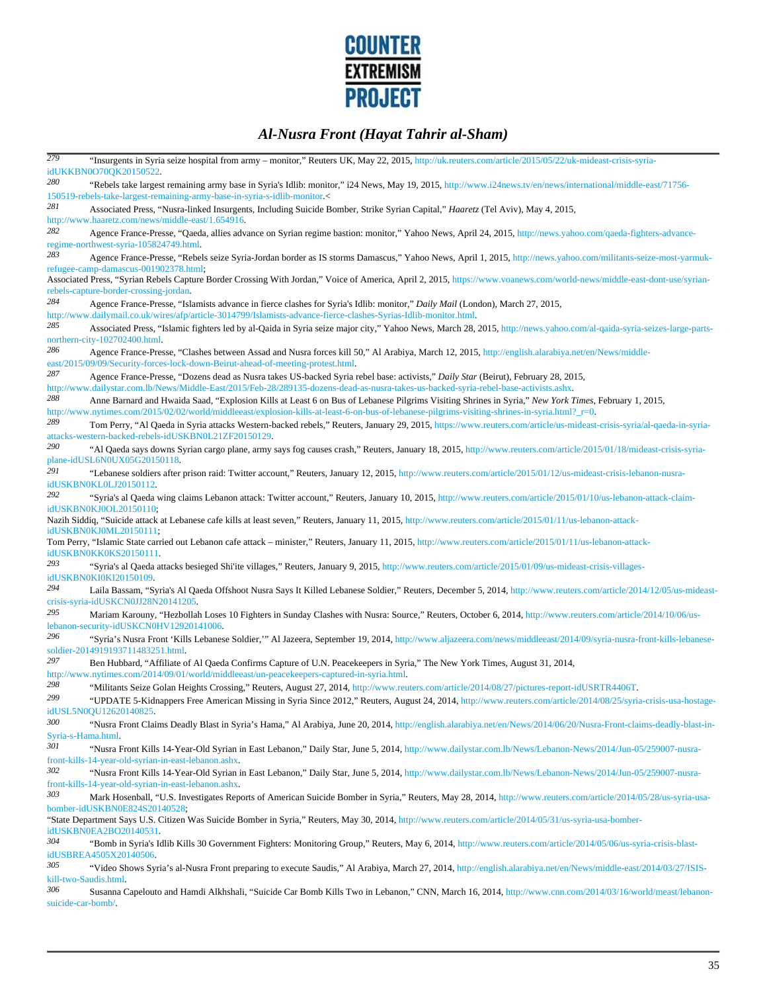

| 279                       | "Insurgents in Syria seize hospital from army - monitor," Reuters UK, May 22, 2015, http://uk.reuters.com/article/2015/05/22/uk-mideast-crisis-syria-<br>idUKKBN0O70QK20150522.                                                                                                                       |
|---------------------------|-------------------------------------------------------------------------------------------------------------------------------------------------------------------------------------------------------------------------------------------------------------------------------------------------------|
| 280                       | "Rebels take largest remaining army base in Syria's Idlib: monitor," i24 News, May 19, 2015, http://www.i24news.tv/en/news/international/middle-east/71756-<br>150519-rebels-take-largest-remaining-army-base-in-syria-s-idlib-monitor.<                                                              |
| 281                       | Associated Press, "Nusra-linked Insurgents, Including Suicide Bomber, Strike Syrian Capital," Haaretz (Tel Aviv), May 4, 2015,                                                                                                                                                                        |
| 282                       | http://www.haaretz.com/news/middle-east/1.654916.<br>Agence France-Presse, "Qaeda, allies advance on Syrian regime bastion: monitor," Yahoo News, April 24, 2015, http://news.yahoo.com/qaeda-fighters-advance-                                                                                       |
| 283                       | regime-northwest-syria-105824749.html.                                                                                                                                                                                                                                                                |
|                           | Agence France-Presse, "Rebels seize Syria-Jordan border as IS storms Damascus," Yahoo News, April 1, 2015, http://news.yahoo.com/militants-seize-most-yarmuk-<br>refugee-camp-damascus-001902378.html;                                                                                                |
|                           | Associated Press, "Syrian Rebels Capture Border Crossing With Jordan," Voice of America, April 2, 2015, https://www.voanews.com/world-news/middle-east-dont-use/syrian-<br>rebels-capture-border-crossing-jordan.                                                                                     |
| 284                       | Agence France-Presse, "Islamists advance in fierce clashes for Syria's Idlib: monitor," Daily Mail (London), March 27, 2015,<br>http://www.dailymail.co.uk/wires/afp/article-3014799/Islamists-advance-fierce-clashes-Syrias-Idlib-monitor.html                                                       |
| 285                       | Associated Press, "Islamic fighters led by al-Qaida in Syria seize major city," Yahoo News, March 28, 2015, http://news.yahoo.com/al-qaida-syria-seizes-large-parts-                                                                                                                                  |
| 286                       | northern-city-102702400.html.<br>Agence France-Presse, "Clashes between Assad and Nusra forces kill 50," Al Arabiya, March 12, 2015, http://english.alarabiya.net/en/News/middle-                                                                                                                     |
| 287                       | east/2015/09/09/Security-forces-lock-down-Beirut-ahead-of-meeting-protest.html.                                                                                                                                                                                                                       |
|                           | Agence France-Presse, "Dozens dead as Nusra takes US-backed Syria rebel base: activists," Daily Star (Beirut), February 28, 2015,<br>http://www.dailystar.com.lb/News/Middle-East/2015/Feb-28/289135-dozens-dead-as-nusra-takes-us-backed-syria-rebel-base-activists.ashx.                            |
| 288                       | Anne Barnard and Hwaida Saad, "Explosion Kills at Least 6 on Bus of Lebanese Pilgrims Visiting Shrines in Syria," New York Times, February 1, 2015,<br>http://www.nytimes.com/2015/02/02/world/middleeast/explosion-kills-at-least-6-on-bus-of-lebanese-pilgrims-visiting-shrines-in-syria.html?_r=0. |
| 289                       | Tom Perry, "Al Qaeda in Syria attacks Western-backed rebels," Reuters, January 29, 2015, https://www.reuters.com/article/us-mideast-crisis-syria/al-qaeda-in-syria-<br>attacks-western-backed-rebels-idUSKBN0L21ZF20150129.                                                                           |
| 290                       | "Al Qaeda says downs Syrian cargo plane, army says fog causes crash," Reuters, January 18, 2015, http://www.reuters.com/article/2015/01/18/mideast-crisis-syria-<br>plane-idUSL6N0UX05G20150118.                                                                                                      |
| 291                       | "Lebanese soldiers after prison raid: Twitter account," Reuters, January 12, 2015, http://www.reuters.com/article/2015/01/12/us-mideast-crisis-lebanon-nusra-<br>idUSKBN0KL0LJ20150112.                                                                                                               |
| 292                       | "Syria's al Qaeda wing claims Lebanon attack: Twitter account," Reuters, January 10, 2015, http://www.reuters.com/article/2015/01/10/us-lebanon-attack-claim-<br>idUSKBN0KJ0OL20150110,                                                                                                               |
|                           | Nazih Siddiq, "Suicide attack at Lebanese cafe kills at least seven," Reuters, January 11, 2015, http://www.reuters.com/article/2015/01/11/us-lebanon-attack-<br>idUSKBN0KJ0ML20150111,                                                                                                               |
|                           | Tom Perry, "Islamic State carried out Lebanon cafe attack - minister," Reuters, January 11, 2015, http://www.reuters.com/article/2015/01/11/us-lebanon-attack-<br>idUSKBN0KK0KS20150111.                                                                                                              |
| 293                       | "Syria's al Qaeda attacks besieged Shi'ite villages," Reuters, January 9, 2015, http://www.reuters.com/article/2015/01/09/us-mideast-crisis-villages-<br>idUSKBN0KI0KI20150109.                                                                                                                       |
| 294                       | Laila Bassam, "Syria's Al Qaeda Offshoot Nusra Says It Killed Lebanese Soldier," Reuters, December 5, 2014, http://www.reuters.com/article/2014/12/05/us-mideast-<br>crisis-syria-idUSKCN0JJ28N20141205.                                                                                              |
| 295                       | Mariam Karouny, "Hezbollah Loses 10 Fighters in Sunday Clashes with Nusra: Source," Reuters, October 6, 2014, http://www.reuters.com/article/2014/10/06/us-<br>lebanon-security-idUSKCN0HV12920141006.                                                                                                |
| 296                       | "Syria's Nusra Front 'Kills Lebanese Soldier," Al Jazeera, September 19, 2014, http://www.aljazeera.com/news/middleeast/2014/09/syria-nusra-front-kills-lebanese-<br>soldier-2014919193711483251.html.                                                                                                |
| 297                       | Ben Hubbard, "Affiliate of Al Qaeda Confirms Capture of U.N. Peacekeepers in Syria," The New York Times, August 31, 2014,<br>http://www.nytimes.com/2014/09/01/world/middleeast/un-peacekeepers-captured-in-syria.html.                                                                               |
| 298                       | "Militants Seize Golan Heights Crossing," Reuters, August 27, 2014, http://www.reuters.com/article/2014/08/27/pictures-report-idUSRTR4406T.                                                                                                                                                           |
| 299                       | "UPDATE 5-Kidnappers Free American Missing in Syria Since 2012," Reuters, August 24, 2014, http://www.reuters.com/article/2014/08/25/syria-crisis-usa-hostage-<br>idUSL5N0QU12620140825.                                                                                                              |
| 300                       | "Nusra Front Claims Deadly Blast in Syria's Hama," Al Arabiya, June 20, 2014, http://english.alarabiya.net/en/News/2014/06/20/Nusra-Front-claims-deadly-blast-in-                                                                                                                                     |
| Syria-s-Hama.html.<br>301 | "Nusra Front Kills 14-Year-Old Syrian in East Lebanon," Daily Star, June 5, 2014, http://www.dailystar.com.lb/News/Lebanon-News/2014/Jun-05/259007-nusra-                                                                                                                                             |
| 302                       | front-kills-14-year-old-syrian-in-east-lebanon.ashx.<br>"Nusra Front Kills 14-Year-Old Syrian in East Lebanon," Daily Star, June 5, 2014, http://www.dailystar.com.lb/News/Lebanon-News/2014/Jun-05/259007-nusra-                                                                                     |
| 303                       | front-kills-14-year-old-syrian-in-east-lebanon.ashx.                                                                                                                                                                                                                                                  |
|                           | Mark Hosenball, "U.S. Investigates Reports of American Suicide Bomber in Syria," Reuters, May 28, 2014, http://www.reuters.com/article/2014/05/28/us-syria-usa-<br>bomber-idUSKBN0E824S20140528,                                                                                                      |
|                           | "State Department Says U.S. Citizen Was Suicide Bomber in Syria," Reuters, May 30, 2014, http://www.reuters.com/article/2014/05/31/us-syria-usa-bomber-<br>idUSKBN0EA2BO20140531.                                                                                                                     |
| 304                       | "Bomb in Syria's Idlib Kills 30 Government Fighters: Monitoring Group," Reuters, May 6, 2014, http://www.reuters.com/article/2014/05/06/us-syria-crisis-blast-<br>idUSBREA4505X20140506.                                                                                                              |
| 305                       | "Video Shows Syria's al-Nusra Front preparing to execute Saudis," Al Arabiya, March 27, 2014, http://english.alarabiya.net/en/News/middle-east/2014/03/27/ISIS-<br>kill-two-Saudis.html.                                                                                                              |
| 306<br>suicide-car-bomb/. | Susanna Capelouto and Hamdi Alkhshali, "Suicide Car Bomb Kills Two in Lebanon," CNN, March 16, 2014, http://www.cnn.com/2014/03/16/world/meast/lebanon-                                                                                                                                               |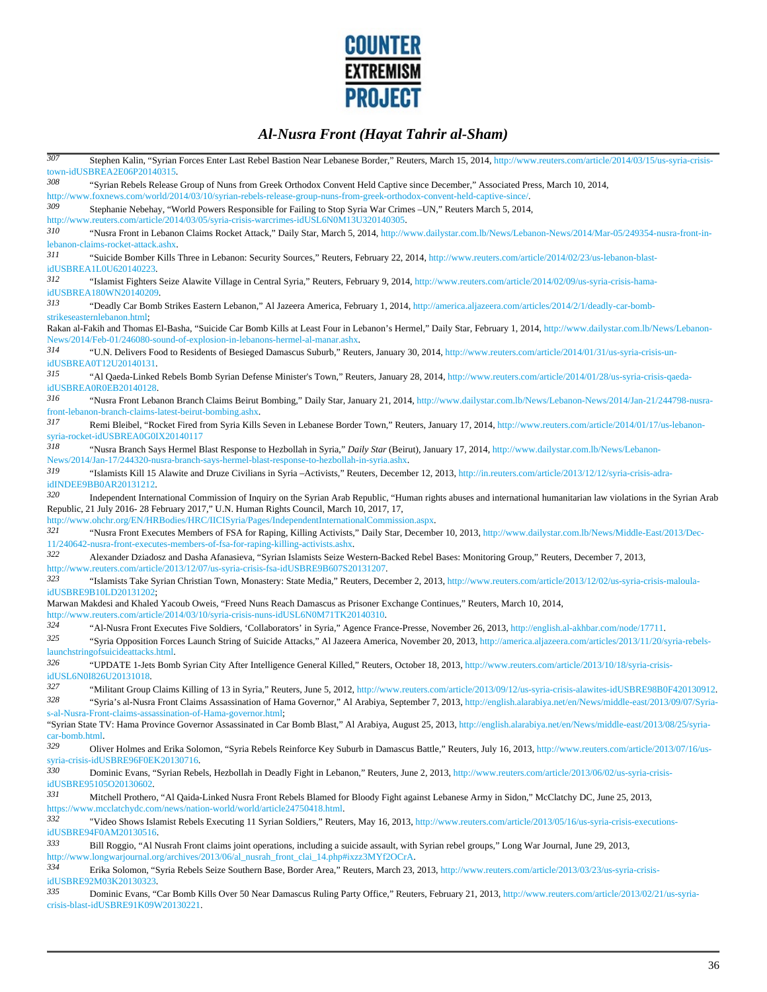

| 307                   | Stephen Kalin, "Syrian Forces Enter Last Rebel Bastion Near Lebanese Border," Reuters, March 15, 2014, http://www.reuters.com/article/2014/03/15/us-syria-crisis-<br>town-idUSBREA2E06P20140315.                                                                                                                                                                |
|-----------------------|-----------------------------------------------------------------------------------------------------------------------------------------------------------------------------------------------------------------------------------------------------------------------------------------------------------------------------------------------------------------|
| 308                   | "Syrian Rebels Release Group of Nuns from Greek Orthodox Convent Held Captive since December," Associated Press, March 10, 2014,<br>http://www.foxnews.com/world/2014/03/10/syrian-rebels-release-group-nuns-from-greek-orthodox-convent-held-captive-since/                                                                                                    |
| 309                   | Stephanie Nebehay, "World Powers Responsible for Failing to Stop Syria War Crimes -UN," Reuters March 5, 2014,<br>http://www.reuters.com/article/2014/03/05/syria-crisis-warcrimes-idUSL6N0M13U320140305.                                                                                                                                                       |
| 310                   | "Nusra Front in Lebanon Claims Rocket Attack," Daily Star, March 5, 2014, http://www.dailystar.com.lb/News/Lebanon-News/2014/Mar-05/249354-nusra-front-in-<br>lebanon-claims-rocket-attack.ashx.                                                                                                                                                                |
| 311                   | "Suicide Bomber Kills Three in Lebanon: Security Sources," Reuters, February 22, 2014, http://www.reuters.com/article/2014/02/23/us-lebanon-blast-<br>idUSBREA1L0U620140223.                                                                                                                                                                                    |
| 312                   | "Islamist Fighters Seize Alawite Village in Central Syria," Reuters, February 9, 2014, http://www.reuters.com/article/2014/02/09/us-syria-crisis-hama-<br>idUSBREA180WN20140209.                                                                                                                                                                                |
| 313                   | "Deadly Car Bomb Strikes Eastern Lebanon," Al Jazeera America, February 1, 2014, http://america.aljazeera.com/articles/2014/2/1/deadly-car-bomb-<br>strikeseasternlebanon.html;                                                                                                                                                                                 |
|                       | Rakan al-Fakih and Thomas El-Basha, "Suicide Car Bomb Kills at Least Four in Lebanon's Hermel," Daily Star, February 1, 2014, http://www.dailystar.com.lb/News/Lebanon-<br>News/2014/Feb-01/246080-sound-of-explosion-in-lebanons-hermel-al-manar.ashx.                                                                                                         |
| 314                   | "U.N. Delivers Food to Residents of Besieged Damascus Suburb," Reuters, January 30, 2014, http://www.reuters.com/article/2014/01/31/us-syria-crisis-un-<br>idUSBREA0T12U20140131.                                                                                                                                                                               |
| 315                   | "Al Qaeda-Linked Rebels Bomb Syrian Defense Minister's Town," Reuters, January 28, 2014, http://www.reuters.com/article/2014/01/28/us-syria-crisis-qaeda-<br>idUSBREA0R0EB20140128.                                                                                                                                                                             |
| 316                   | "Nusra Front Lebanon Branch Claims Beirut Bombing," Daily Star, January 21, 2014, http://www.dailystar.com.lb/News/Lebanon-News/2014/Jan-21/244798-nusra-<br>front-lebanon-branch-claims-latest-beirut-bombing.ashx.                                                                                                                                            |
| 317                   | Remi Bleibel, "Rocket Fired from Syria Kills Seven in Lebanese Border Town," Reuters, January 17, 2014, http://www.reuters.com/article/2014/01/17/us-lebanon-<br>syria-rocket-idUSBREA0G0IX20140117                                                                                                                                                             |
| 318                   | "Nusra Branch Says Hermel Blast Response to Hezbollah in Syria," Daily Star (Beirut), January 17, 2014, http://www.dailystar.com.lb/News/Lebanon-<br>News/2014/Jan-17/244320-nusra-branch-says-hermel-blast-response-to-hezbollah-in-syria.ashx.                                                                                                                |
| 319                   | "Islamists Kill 15 Alawite and Druze Civilians in Syria-Activists," Reuters, December 12, 2013, http://in.reuters.com/article/2013/12/12/syria-crisis-adra-<br>idINDEE9BB0AR20131212.                                                                                                                                                                           |
| 320                   | Independent International Commission of Inquiry on the Syrian Arab Republic, "Human rights abuses and international humanitarian law violations in the Syrian Arab<br>Republic, 21 July 2016-28 February 2017," U.N. Human Rights Council, March 10, 2017, 17,<br>http://www.ohchr.org/EN/HRBodies/HRC/IICISyria/Pages/IndependentInternationalCommission.aspx. |
| 321                   | "Nusra Front Executes Members of FSA for Raping, Killing Activists," Daily Star, December 10, 2013, http://www.dailystar.com.lb/News/Middle-East/2013/Dec-<br>11/240642-nusra-front-executes-members-of-fsa-for-raping-killing-activists.ashx.                                                                                                                  |
| 322                   | Alexander Dziadosz and Dasha Afanasieva, "Syrian Islamists Seize Western-Backed Rebel Bases: Monitoring Group," Reuters, December 7, 2013,<br>http://www.reuters.com/article/2013/12/07/us-syria-crisis-fsa-idUSBRE9B607S20131207.                                                                                                                              |
| 323                   | "Islamists Take Syrian Christian Town, Monastery: State Media," Reuters, December 2, 2013, http://www.reuters.com/article/2013/12/02/us-syria-crisis-maloula-<br>idUSBRE9B10LD20131202,                                                                                                                                                                         |
|                       | Marwan Makdesi and Khaled Yacoub Oweis, "Freed Nuns Reach Damascus as Prisoner Exchange Continues," Reuters, March 10, 2014,<br>http://www.reuters.com/article/2014/03/10/syria-crisis-nuns-idUSL6N0M71TK20140310.                                                                                                                                              |
| 324<br>325            | "Al-Nusra Front Executes Five Soldiers, 'Collaborators' in Syria," Agence France-Presse, November 26, 2013, http://english.al-akhbar.com/node/17711.<br>"Syria Opposition Forces Launch String of Suicide Attacks," Al Jazeera America, November 20, 2013, http://america.aljazeera.com/articles/2013/11/20/syria-rebels-<br>launchstringofsuicideattacks.html. |
| 326                   | "UPDATE 1-Jets Bomb Syrian City After Intelligence General Killed," Reuters, October 18, 2013, http://www.reuters.com/article/2013/10/18/syria-crisis-<br>idUSL6N0I826U20131018.                                                                                                                                                                                |
| 327<br>328            | "Militant Group Claims Killing of 13 in Syria," Reuters, June 5, 2012, http://www.reuters.com/article/2013/09/12/us-syria-crisis-alawites-idUSBRE98B0F420130912.<br>"Syria's al-Nusra Front Claims Assassination of Hama Governor," Al Arabiya, September 7, 2013, http://english.alarabiya.net/en/News/middle-east/2013/09/07/Syria-                           |
|                       | s-al-Nusra-Front-claims-assassination-of-Hama-governor.html,<br>"Syrian State TV: Hama Province Governor Assassinated in Car Bomb Blast," Al Arabiya, August 25, 2013, http://english.alarabiya.net/en/News/middle-east/2013/08/25/syria-                                                                                                                       |
| car-bomb.html.<br>329 | Oliver Holmes and Erika Solomon, "Syria Rebels Reinforce Key Suburb in Damascus Battle," Reuters, July 16, 2013, http://www.reuters.com/article/2013/07/16/us-                                                                                                                                                                                                  |
| 330                   | syria-crisis-idUSBRE96F0EK20130716.                                                                                                                                                                                                                                                                                                                             |
|                       | Dominic Evans, "Syrian Rebels, Hezbollah in Deadly Fight in Lebanon," Reuters, June 2, 2013, http://www.reuters.com/article/2013/06/02/us-syria-crisis-<br>idUSBRE95105O20130602.                                                                                                                                                                               |
| 331                   | Mitchell Prothero, "Al Qaida-Linked Nusra Front Rebels Blamed for Bloody Fight against Lebanese Army in Sidon," McClatchy DC, June 25, 2013,<br>https://www.mcclatchydc.com/news/nation-world/world/article24750418.html.                                                                                                                                       |
| 332                   | "Video Shows Islamist Rebels Executing 11 Syrian Soldiers," Reuters, May 16, 2013, http://www.reuters.com/article/2013/05/16/us-syria-crisis-executions-<br>idUSBRE94F0AM20130516.                                                                                                                                                                              |
| 333                   | Bill Roggio, "Al Nusrah Front claims joint operations, including a suicide assault, with Syrian rebel groups," Long War Journal, June 29, 2013,<br>http://www.longwarjournal.org/archives/2013/06/al_nusrah_front_clai_14.php#ixzz3MYf2OCrA.                                                                                                                    |
| 334                   | Erika Solomon, "Syria Rebels Seize Southern Base, Border Area," Reuters, March 23, 2013, http://www.reuters.com/article/2013/03/23/us-syria-crisis-<br>idUSBRE92M03K20130323.                                                                                                                                                                                   |
| 335                   | Dominic Evans, "Car Bomb Kills Over 50 Near Damascus Ruling Party Office," Reuters, February 21, 2013, http://www.reuters.com/article/2013/02/21/us-syria-<br>crisis-blast-idUSBRE91K09W20130221.                                                                                                                                                               |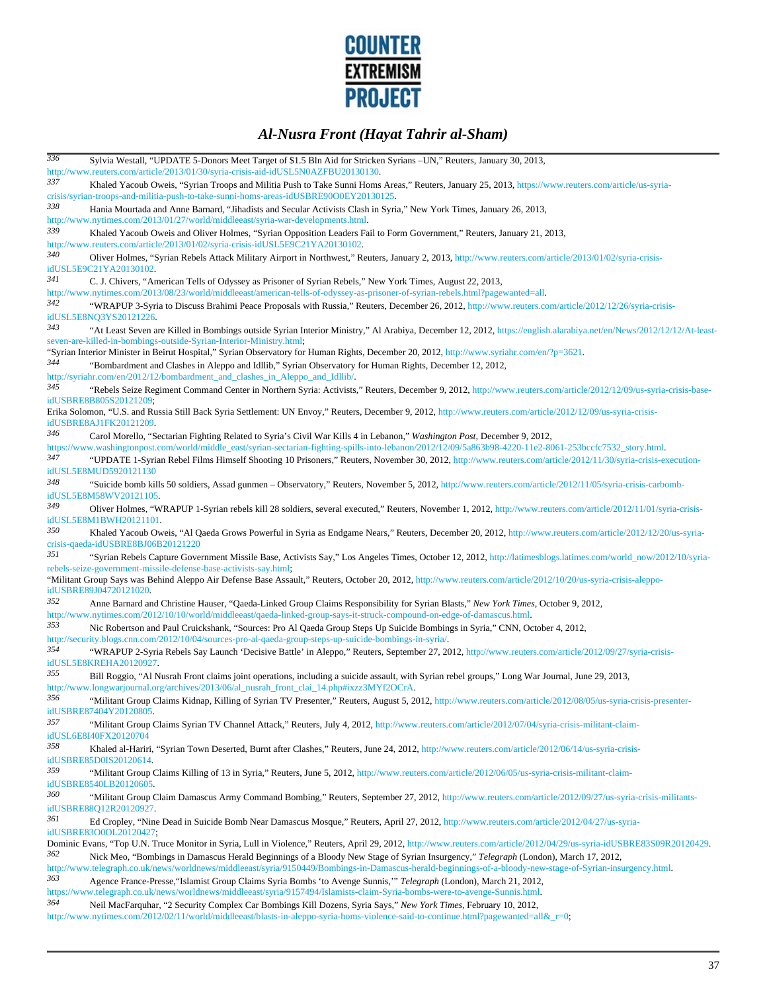

| 336 | Sylvia Westall, "UPDATE 5-Donors Meet Target of \$1.5 Bln Aid for Stricken Syrians -UN," Reuters, January 30, 2013,                                                                                                                                                                                             |
|-----|-----------------------------------------------------------------------------------------------------------------------------------------------------------------------------------------------------------------------------------------------------------------------------------------------------------------|
| 337 | http://www.reuters.com/article/2013/01/30/syria-crisis-aid-idUSL5N0AZFBU20130130.<br>Khaled Yacoub Oweis, "Syrian Troops and Militia Push to Take Sunni Homs Areas," Reuters, January 25, 2013, https://www.reuters.com/article/us-syria-                                                                       |
| 338 | crisis/syrian-troops-and-militia-push-to-take-sunni-homs-areas-idUSBRE90O0EY20130125<br>Hania Mourtada and Anne Barnard, "Jihadists and Secular Activists Clash in Syria," New York Times, January 26, 2013,                                                                                                    |
| 339 | http://www.nytimes.com/2013/01/27/world/middleeast/syria-war-developments.html.<br>Khaled Yacoub Oweis and Oliver Holmes, "Syrian Opposition Leaders Fail to Form Government," Reuters, January 21, 2013,                                                                                                       |
| 340 | http://www.reuters.com/article/2013/01/02/syria-crisis-idUSL5E9C21YA20130102.<br>Oliver Holmes, "Syrian Rebels Attack Military Airport in Northwest," Reuters, January 2, 2013, http://www.reuters.com/article/2013/01/02/syria-crisis-                                                                         |
| 341 | idUSL5E9C21YA20130102.<br>C. J. Chivers, "American Tells of Odyssey as Prisoner of Syrian Rebels," New York Times, August 22, 2013,                                                                                                                                                                             |
| 342 | http://www.nytimes.com/2013/08/23/world/middleeast/american-tells-of-odyssey-as-prisoner-of-syrian-rebels.html?pagewanted=all.<br>"WRAPUP 3-Syria to Discuss Brahimi Peace Proposals with Russia," Reuters, December 26, 2012, http://www.reuters.com/article/2012/12/26/syria-crisis-                          |
| 343 | idUSL5E8NQ3YS20121226.<br>"At Least Seven are Killed in Bombings outside Syrian Interior Ministry," Al Arabiya, December 12, 2012, https://english.alarabiya.net/en/News/2012/12/12/At-least-                                                                                                                   |
|     | seven-are-killed-in-bombings-outside-Syrian-Interior-Ministry.html;<br>"Syrian Interior Minister in Beirut Hospital," Syrian Observatory for Human Rights, December 20, 2012, http://www.syriahr.com/en/?p=3621.                                                                                                |
| 344 | "Bombardment and Clashes in Aleppo and Idllib," Syrian Observatory for Human Rights, December 12, 2012,                                                                                                                                                                                                         |
| 345 | http://syriahr.com/en/2012/12/bombardment_and_clashes_in_Aleppo_and_Idllib/.<br>"Rebels Seize Regiment Command Center in Northern Syria: Activists," Reuters, December 9, 2012, http://www.reuters.com/article/2012/12/09/us-syria-crisis-base-                                                                 |
|     | idUSBRE8B805S20121209,<br>Erika Solomon, "U.S. and Russia Still Back Syria Settlement: UN Envoy," Reuters, December 9, 2012, http://www.reuters.com/article/2012/12/09/us-syria-crisis-                                                                                                                         |
| 346 | idUSBRE8AJ1FK20121209.<br>Carol Morello, "Sectarian Fighting Related to Syria's Civil War Kills 4 in Lebanon," Washington Post, December 9, 2012,<br>https://www.washingtonpost.com/world/middle_east/syrian-sectarian-fighting-spills-into-lebanon/2012/12/09/5a863b98-4220-11e2-8061-253bccfc7532_story.html. |
| 347 | "UPDATE 1-Syrian Rebel Films Himself Shooting 10 Prisoners," Reuters, November 30, 2012, http://www.reuters.com/article/2012/11/30/syria-crisis-execution-                                                                                                                                                      |
| 348 | idUSL5E8MUD5920121130<br>"Suicide bomb kills 50 soldiers, Assad gunmen - Observatory," Reuters, November 5, 2012, http://www.reuters.com/article/2012/11/05/syria-crisis-carbomb-<br>idUSL5E8M58WV20121105.                                                                                                     |
| 349 | Oliver Holmes, "WRAPUP 1-Syrian rebels kill 28 soldiers, several executed," Reuters, November 1, 2012, http://www.reuters.com/article/2012/11/01/syria-crisis-                                                                                                                                                  |
| 350 | idUSL5E8M1BWH20121101.<br>Khaled Yacoub Oweis, "Al Qaeda Grows Powerful in Syria as Endgame Nears," Reuters, December 20, 2012, http://www.reuters.com/article/2012/12/20/us-syria-<br>crisis-qaeda-idUSBRE8BJ06B20121220                                                                                       |
| 351 | "Syrian Rebels Capture Government Missile Base, Activists Say," Los Angeles Times, October 12, 2012, http://latimesblogs.latimes.com/world_now/2012/10/syria-<br>rebels-seize-government-missile-defense-base-activists-say.html;                                                                               |
|     | "Militant Group Says was Behind Aleppo Air Defense Base Assault," Reuters, October 20, 2012, http://www.reuters.com/article/2012/10/20/us-syria-crisis-aleppo-<br>idUSBRE89J04720121020.                                                                                                                        |
| 352 | Anne Barnard and Christine Hauser, "Qaeda-Linked Group Claims Responsibility for Syrian Blasts," New York Times, October 9, 2012,<br>http://www.nytimes.com/2012/10/10/world/middleeast/qaeda-linked-group-says-it-struck-compound-on-edge-of-damascus.html.                                                    |
| 353 | Nic Robertson and Paul Cruickshank, "Sources: Pro Al Qaeda Group Steps Up Suicide Bombings in Syria," CNN, October 4, 2012,<br>http://security.blogs.cnn.com/2012/10/04/sources-pro-al-qaeda-group-steps-up-suicide-bombings-in-syria/.                                                                         |
| 354 | "WRAPUP 2-Syria Rebels Say Launch 'Decisive Battle' in Aleppo," Reuters, September 27, 2012, http://www.reuters.com/article/2012/09/27/syria-crisis-<br>idUSL5E8KREHA20120927.                                                                                                                                  |
| 355 | Bill Roggio, "Al Nusrah Front claims joint operations, including a suicide assault, with Syrian rebel groups," Long War Journal, June 29, 2013,                                                                                                                                                                 |
| 356 | http://www.longwarjournal.org/archives/2013/06/al_nusrah_front_clai_14.php#ixzz3MYf2OCrA.<br>"Militant Group Claims Kidnap, Killing of Syrian TV Presenter," Reuters, August 5, 2012, http://www.reuters.com/article/2012/08/05/us-syria-crisis-presenter-                                                      |
| 357 | idUSBRE87404Y20120805.<br>"Militant Group Claims Syrian TV Channel Attack," Reuters, July 4, 2012, http://www.reuters.com/article/2012/07/04/syria-crisis-militant-claim-                                                                                                                                       |
| 358 | idUSL6E8I40FX20120704<br>Khaled al-Hariri, "Syrian Town Deserted, Burnt after Clashes," Reuters, June 24, 2012, http://www.reuters.com/article/2012/06/14/us-syria-crisis-                                                                                                                                      |
| 359 | idUSBRE85D0IS20120614.<br>"Militant Group Claims Killing of 13 in Syria," Reuters, June 5, 2012, http://www.reuters.com/article/2012/06/05/us-syria-crisis-militant-claim-                                                                                                                                      |
| 360 | idUSBRE8540LB20120605.<br>"Militant Group Claim Damascus Army Command Bombing," Reuters, September 27, 2012, http://www.reuters.com/article/2012/09/27/us-syria-crisis-militants-                                                                                                                               |
| 361 | idUSBRE88Q12R20120927.<br>Ed Cropley, "Nine Dead in Suicide Bomb Near Damascus Mosque," Reuters, April 27, 2012, http://www.reuters.com/article/2012/04/27/us-syria-                                                                                                                                            |
|     | idUSBRE83O0OL20120427.<br>Dominic Evans, "Top U.N. Truce Monitor in Syria, Lull in Violence," Reuters, April 29, 2012, http://www.reuters.com/article/2012/04/29/us-syria-idUSBRE83S09R20120429.                                                                                                                |
| 362 | Nick Meo, "Bombings in Damascus Herald Beginnings of a Bloody New Stage of Syrian Insurgency," Telegraph (London), March 17, 2012,<br>http://www.telegraph.co.uk/news/worldnews/middleeast/syria/9150449/Bombings-in-Damascus-herald-beginnings-of-a-bloody-new-stage-of-Syrian-insurgency.html.                |
| 363 | Agence France-Presse, "Islamist Group Claims Syria Bombs 'to Avenge Sunnis," Telegraph (London), March 21, 2012,<br>https://www.telegraph.co.uk/news/worldnews/middleeast/syria/9157494/Islamists-claim-Syria-bombs-were-to-avenge-Sunnis.html.                                                                 |
| 364 | Neil MacFarquhar, "2 Security Complex Car Bombings Kill Dozens, Syria Says," New York Times, February 10, 2012,                                                                                                                                                                                                 |

http://www.nytimes.com/2012/02/11/world/middleeast/blasts-in-aleppo-syria-homs-violence-said-to-continue.html?pagewanted=all&\_r=0;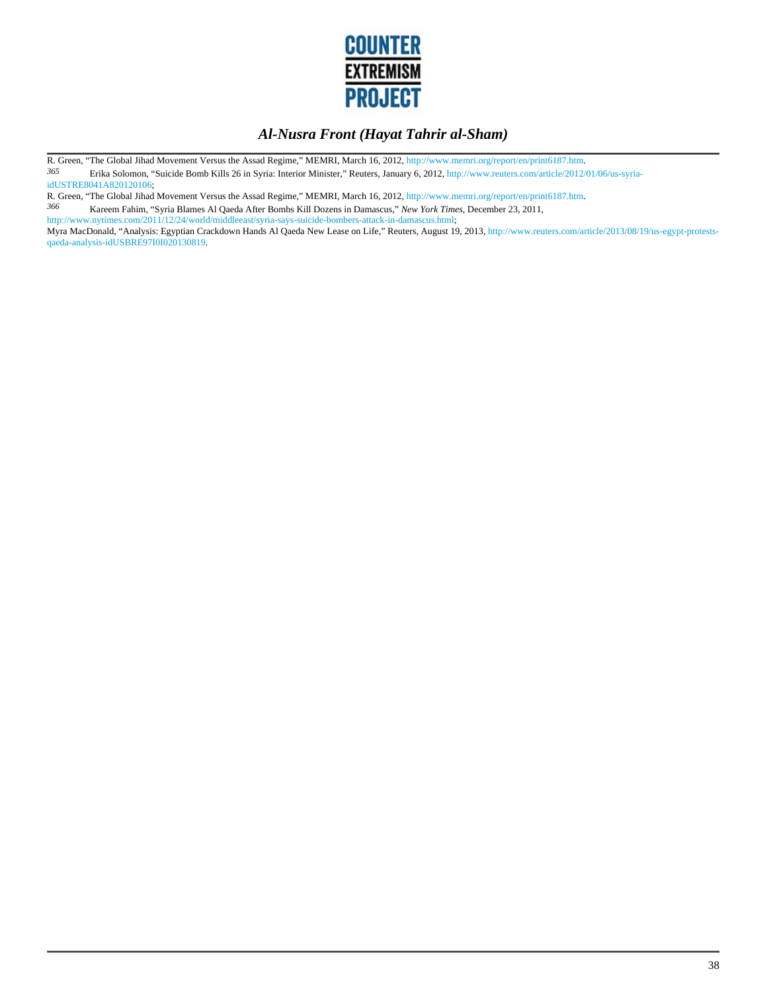

R. Green, "The Global Jihad Movement Versus the Assad Regime," MEMRI, March 16, 2012, http://www.memri.org/report/en/print6187.htm.<br>365 Fishe Seleman "Svieide Bomb Kille 26 in Suries Interior Minister" Bouters, January 6,

*365* Erika Solomon, "Suicide Bomb Kills 26 in Syria: Interior Minister," Reuters, January 6, 2012, http://www.reuters.com/article/2012/01/06/us-syriaidUSTRE8041A820120106;

R. Green, "The Global Jihad Movement Versus the Assad Regime," MEMRI, March 16, 2012, http://www.memri.org/report/en/print6187.htm.<br>366 Kareem Fahim "Svria Blames Al Qaeda After Bombs Kill Dozens in Damascus "New York Time

*366* Kareem Fahim, "Syria Blames Al Qaeda After Bombs Kill Dozens in Damascus," *New York Times*, December 23, 2011, http://www.nytimes.com/2011/12/24/world/middleeast/syria-says-suicide-bombers-attack-in-damascus.html;

Myra MacDonald, "Analysis: Egyptian Crackdown Hands Al Qaeda New Lease on Life," Reuters, August 19, 2013, http://www.reuters.com/article/2013/08/19/us-egypt-protestsqaeda-analysis-idUSBRE97I0I020130819.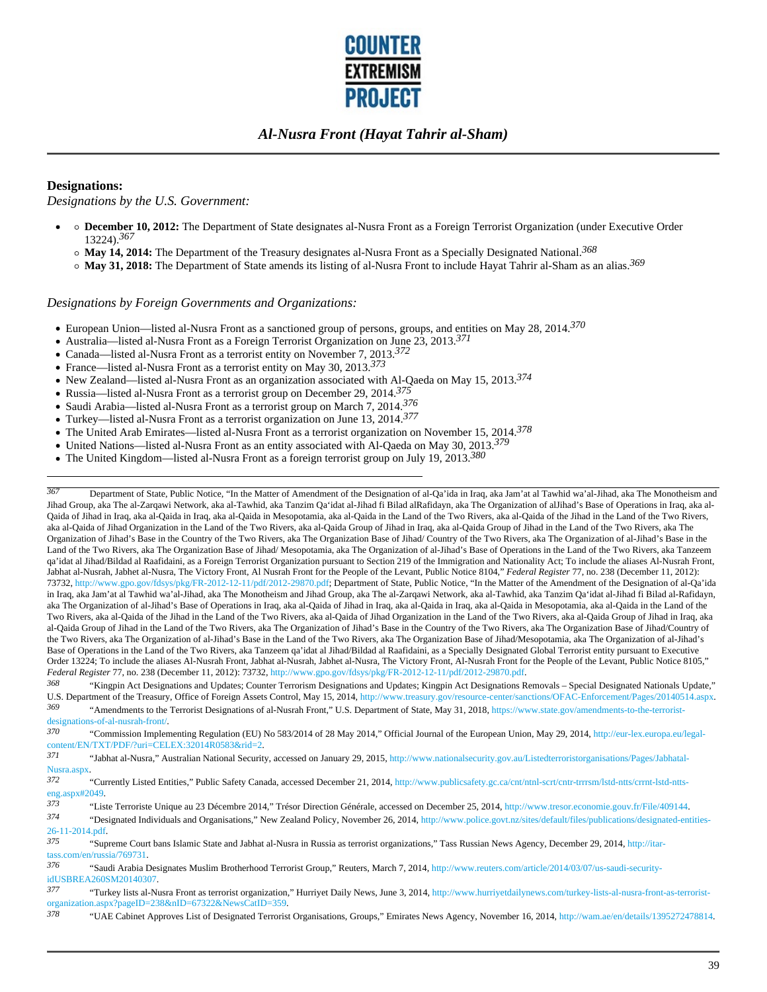

#### **Designations:**

*Designations by the U.S. Government:*

- **December 10, 2012:** The Department of State designates al-Nusra Front as a Foreign Terrorist Organization (under Executive Order 13224).*367* 
	- **May 14, 2014:** The Department of the Treasury designates al-Nusra Front as a Specially Designated National.*368*
	- **May 31, 2018:** The Department of State amends its listing of al-Nusra Front to include Hayat Tahrir al-Sham as an alias.*369*

#### *Designations by Foreign Governments and Organizations:*

- European Union—listed al-Nusra Front as a sanctioned group of persons, groups, and entities on May 28, 2014.*370*
- Australia—listed al-Nusra Front as a Foreign Terrorist Organization on June 23, 2013.*371*
- Canada—listed al-Nusra Front as a terrorist entity on November 7, 2013.*372*
- France—listed al-Nusra Front as a terrorist entity on May 30, 2013.*373*
- New Zealand—listed al-Nusra Front as an organization associated with Al-Qaeda on May 15, 2013.*374*
- Russia—listed al-Nusra Front as a terrorist group on December 29, 2014.*375*
- Saudi Arabia—listed al-Nusra Front as a terrorist group on March 7, 2014.*376*
- Turkey—listed al-Nusra Front as a terrorist organization on June 13, 2014.*377*
- The United Arab Emirates—listed al-Nusra Front as a terrorist organization on November 15, 2014.*378*
- United Nations—listed al-Nusra Front as an entity associated with Al-Qaeda on May 30, 2013.*379*
- The United Kingdom—listed al-Nusra Front as a foreign terrorist group on July 19, 2013.*380*

*367* Department of State, Public Notice, "In the Matter of Amendment of the Designation of al-Qa'ida in Iraq, aka Jam'at al Tawhid wa'al-Jihad, aka The Monotheism and Jihad Group, aka The al-Zarqawi Network, aka al-Tawhid, aka Tanzim Qa'idat al-Jihad fi Bilad alRafidayn, aka The Organization of alJihad's Base of Operations in Iraq, aka al-Qaida of Jihad in Iraq, aka al-Qaida in Iraq, aka al-Qaida in Mesopotamia, aka al-Qaida in the Land of the Two Rivers, aka al-Qaida of the Jihad in the Land of the Two Rivers, aka al-Qaida of Jihad Organization in the Land of the Two Rivers, aka al-Qaida Group of Jihad in Iraq, aka al-Qaida Group of Jihad in the Land of the Two Rivers, aka The Organization of Jihad's Base in the Country of the Two Rivers, aka The Organization Base of Jihad/ Country of the Two Rivers, aka The Organization of al-Jihad's Base in the Land of the Two Rivers, aka The Organization Base of Jihad/ Mesopotamia, aka The Organization of al-Jihad's Base of Operations in the Land of the Two Rivers, aka Tanzeem qa'idat al Jihad/Bildad al Raafidaini, as a Foreign Terrorist Organization pursuant to Section 219 of the Immigration and Nationality Act; To include the aliases Al-Nusrah Front, Jabhat al-Nusrah, Jabhet al-Nusra, The Victory Front, Al Nusrah Front for the People of the Levant, Public Notice 8104," *Federal Register* 77, no. 238 (December 11, 2012): 73732, http://www.gpo.gov/fdsys/pkg/FR-2012-12-11/pdf/2012-29870.pdf; Department of State, Public Notice, "In the Matter of the Amendment of the Designation of al-Qa'ida in Iraq, aka Jam'at al Tawhid wa'al-Jihad, aka The Monotheism and Jihad Group, aka The al-Zarqawi Network, aka al-Tawhid, aka Tanzim Qa'idat al-Jihad fi Bilad al-Rafidayn, aka The Organization of al-Jihad's Base of Operations in Iraq, aka al-Qaida of Jihad in Iraq, aka al-Qaida in Iraq, aka al-Qaida in Mesopotamia, aka al-Qaida in the Land of the Two Rivers, aka al-Qaida of the Jihad in the Land of the Two Rivers, aka al-Qaida of Jihad Organization in the Land of the Two Rivers, aka al-Qaida Group of Jihad in Iraq, aka al-Qaida Group of Jihad in the Land of the Two Rivers, aka The Organization of Jihad's Base in the Country of the Two Rivers, aka The Organization Base of Jihad/Country of the Two Rivers, aka The Organization of al-Jihad's Base in the Land of the Two Rivers, aka The Organization Base of Jihad/Mesopotamia, aka The Organization of al-Jihad's Base of Operations in the Land of the Two Rivers, aka Tanzeem qa'idat al Jihad/Bildad al Raafidaini, as a Specially Designated Global Terrorist entity pursuant to Executive Order 13224; To include the aliases Al-Nusrah Front, Jabhat al-Nusrah, Jabhet al-Nusra, The Victory Front, Al-Nusrah Front for the People of the Levant, Public Notice 8105," *Federal Register* 77, no. 238 (December 11, 2012): 73732, http://www.gpo.gov/fdsys/pkg/FR-2012-12-11/pdf/2012-29870.pdf.

*368* "Kingpin Act Designations and Updates; Counter Terrorism Designations and Updates; Kingpin Act Designations Removals – Special Designated Nationals Update," U.S. Department of the Treasury, Office of Foreign Assets Control, May 15, 2014, http://www.treasury.gov/resource-center/sanctions/OFAC-Enforcement/Pages/20140514.aspx.<br>369 <br>4 Amondments to the Terrerist Designations of al *369* "Amendments to the Terrorist Designations of al-Nusrah Front," U.S. Department of State, May 31, 2018, https://www.state.gov/amendments-to-the-terroristdesignations-of-al-nusrah-front/.

*370* "Commission Implementing Regulation (EU) No 583/2014 of 28 May 2014," Official Journal of the European Union, May 29, 2014, http://eur-lex.europa.eu/legalcontent/EN/TXT/PDF/?uri=CELEX:32014R0583&rid=2.

*371* "Jabhat al-Nusra," Australian National Security, accessed on January 29, 2015, http://www.nationalsecurity.gov.au/Listedterroristorganisations/Pages/Jabhatal-Nusra.aspx.

<sup>373</sup> "Liste Terroriste Unique au 23 Décembre 2014," Trésor Direction Générale, accessed on December 25, 2014, http://www.tresor.economie.gouv.fr/File/409144.<br><sup>374</sup> Pesignated Individuals and Organisations "Now Zoaland Pol

*374* "Designated Individuals and Organisations," New Zealand Policy, November 26, 2014, http://www.police.govt.nz/sites/default/files/publications/designated-entities-26-11-2014.pdf.

 $\frac{\text{tass.com}}{\text{cm}}$  (en/russia/769731. *376* "Saudi Arabia Designates Muslim Brotherhood Terrorist Group," Reuters, March 7, 2014, http://www.reuters.com/article/2014/03/07/us-saudi-securityidUSBREA260SM20140307.

*<sup>372</sup>* "Currently Listed Entities," Public Safety Canada, accessed December 21, 2014, http://www.publicsafety.gc.ca/cnt/ntnl-scrt/cntr-trrrsm/lstd-ntts/crrnt-lstd-nttseng.aspx#2049.

*<sup>375</sup>* "Supreme Court bans Islamic State and Jabhat al-Nusra in Russia as terrorist organizations," Tass Russian News Agency, December 29, 2014, http://itar-

*<sup>377</sup>* "Turkey lists al-Nusra Front as terrorist organization," Hurriyet Daily News, June 3, 2014, http://www.hurriyetdailynews.com/turkey-lists-al-nusra-front-as-terroristorganization.aspx?pageID=238&nID=67322&NewsCatID=359.

*<sup>378</sup>* "UAE Cabinet Approves List of Designated Terrorist Organisations, Groups," Emirates News Agency, November 16, 2014, http://wam.ae/en/details/1395272478814.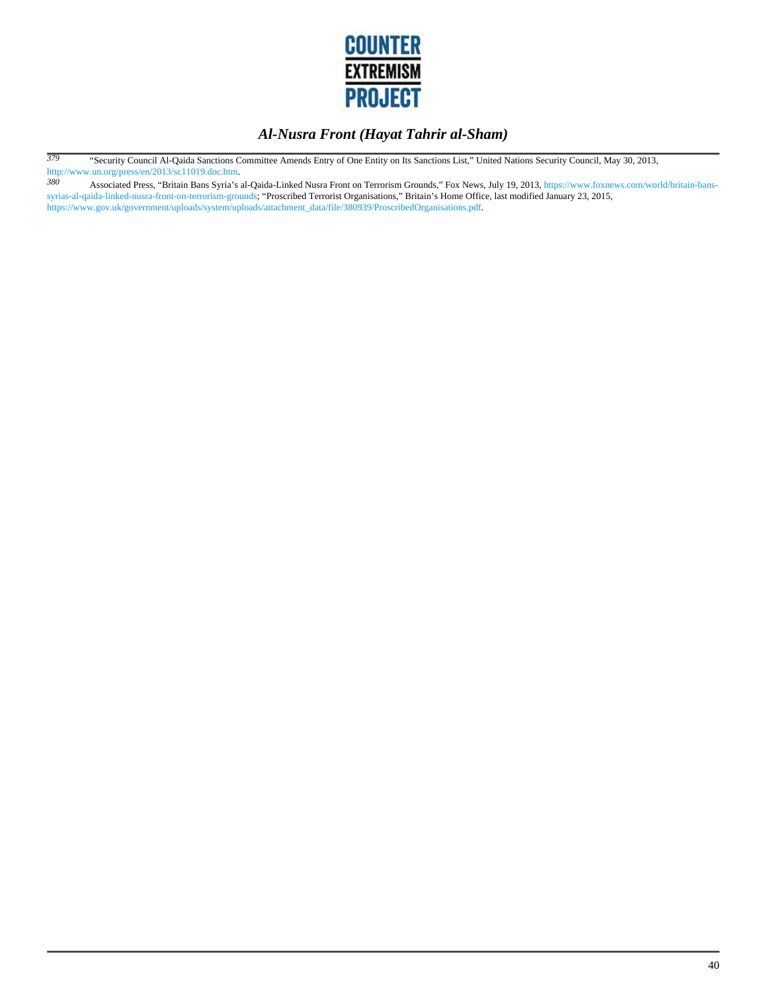

*379* "Security Council Al-Qaida Sanctions Committee Amends Entry of One Entity on Its Sanctions List," United Nations Security Council, May 30, 2013, http://www.un.org/press/en/2013/sc11019.doc.htm.<br>380 Associated Press. "Britain Bans Syria's

*380* Associated Press, "Britain Bans Syria's al-Qaida-Linked Nusra Front on Terrorism Grounds," Fox News, July 19, 2013, https://www.foxnews.com/world/britain-banssyrias-al-qaida-linked-nusra-front-on-terrorism-grounds; "Proscribed Terrorist Organisations," Britain's Home Office, last modified January 23, 2015, https://www.gov.uk/government/uploads/system/uploads/attachment\_data/file/380939/ProscribedOrganisations.pdf.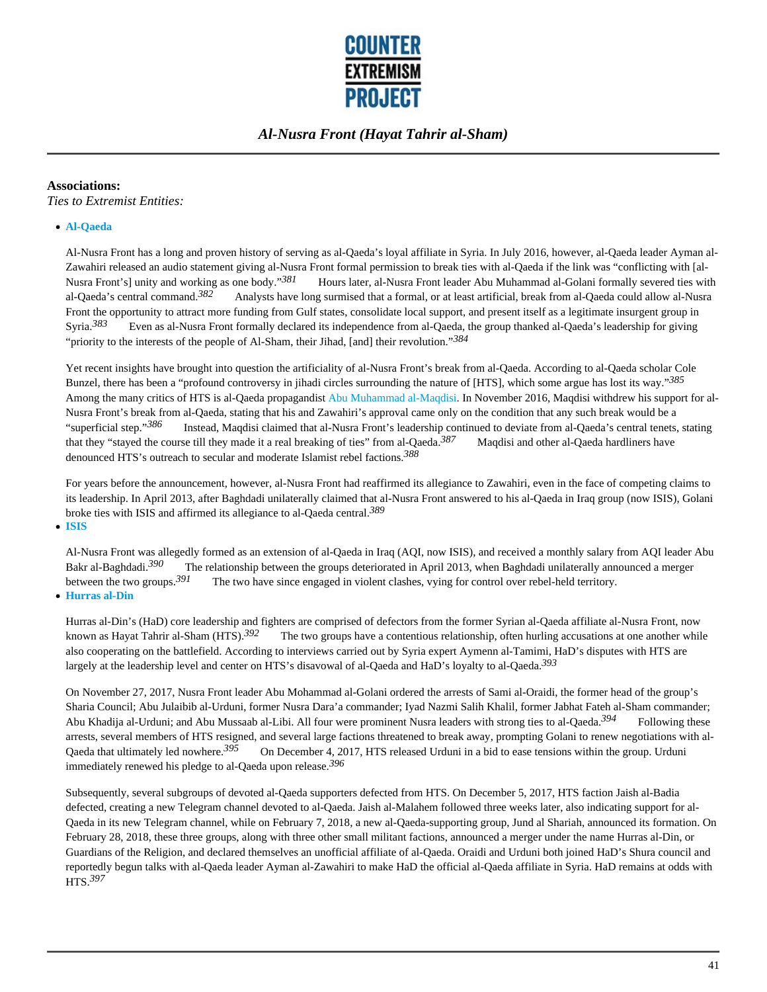

#### **Associations:**

*Ties to Extremist Entities:*

#### **Al-Qaeda**

Al-Nusra Front has a long and proven history of serving as al-Qaeda's loyal affiliate in Syria. In July 2016, however, al-Qaeda leader Ayman al-Zawahiri released an audio statement giving al-Nusra Front formal permission to break ties with al-Qaeda if the link was "conflicting with [al-Nusra Front's] unity and working as one body."<sup>381</sup> Hours later, al-Nusra Front leader Abu Muhammad al-Golani formally severed ties with al-Qaeda's central command.<sup>382</sup> Analysts have long surmised that a formal, or at lea Analysts have long surmised that a formal, or at least artificial, break from al-Qaeda could allow al-Nusra Front the opportunity to attract more funding from Gulf states, consolidate local support, and present itself as a legitimate insurgent group in Syria.<sup>383</sup> Even as al-Nusra Front formally declared its independence from al-Qaeda, the group thanked al-Qaeda's leadership for giving "priority to the interests of the people of Al-Sham, their Jihad, [and] their revolution."*384*

Yet recent insights have brought into question the artificiality of al-Nusra Front's break from al-Qaeda. According to al-Qaeda scholar Cole Bunzel, there has been a "profound controversy in jihadi circles surrounding the nature of [HTS], which some argue has lost its way."*385* Among the many critics of HTS is al-Qaeda propagandist Abu Muhammad al-Maqdisi. In November 2016, Maqdisi withdrew his support for al-Nusra Front's break from al-Qaeda, stating that his and Zawahiri's approval came only on the condition that any such break would be a "superficial step."*386* Instead, Maqdisi claimed that al-Nusra Front's leadership continued to deviate from al-Qaeda's central tenets, stating that they "stayed the course till they made it a real breaking of ties" from al-Qaeda.*387* Maqdisi and other al-Qaeda hardliners have denounced HTS's outreach to secular and moderate Islamist rebel factions.*388*

For years before the announcement, however, al-Nusra Front had reaffirmed its allegiance to Zawahiri, even in the face of competing claims to its leadership. In April 2013, after Baghdadi unilaterally claimed that al-Nusra Front answered to his al-Qaeda in Iraq group (now ISIS), Golani broke ties with ISIS and affirmed its allegiance to al-Qaeda central.*389*

**ISIS**

Al-Nusra Front was allegedly formed as an extension of al-Qaeda in Iraq (AQI, now ISIS), and received a monthly salary from AQI leader Abu Bakr al-Baghdadi.*390* The relationship between the groups deteriorated in April 2013, when Baghdadi unilaterally announced a merger between the two groups.*391* The two have since engaged in violent clashes, vying for control over rebel-held territory. **Hurras al-Din**

Hurras al-Din's (HaD) core leadership and fighters are comprised of defectors from the former Syrian al-Qaeda affiliate al-Nusra Front, now known as Hayat Tahrir al-Sham (HTS).*392* The two groups have a contentious relationship, often hurling accusations at one another while also cooperating on the battlefield. According to interviews carried out by Syria expert Aymenn al-Tamimi, HaD's disputes with HTS are largely at the leadership level and center on HTS's disavowal of al-Qaeda and HaD's loyalty to al-Qaeda.*393*

On November 27, 2017, Nusra Front leader Abu Mohammad al-Golani ordered the arrests of Sami al-Oraidi, the former head of the group's Sharia Council; Abu Julaibib al-Urduni, former Nusra Dara'a commander; Iyad Nazmi Salih Khalil, former Jabhat Fateh al-Sham commander; Abu Khadija al-Urduni; and Abu Mussaab al-Libi. All four were prominent Nusra leaders with strong ties to al-Qaeda.*394* Following these arrests, several members of HTS resigned, and several large factions threatened to break away, prompting Golani to renew negotiations with al-Qaeda that ultimately led nowhere.*395* On December 4, 2017, HTS released Urduni in a bid to ease tensions within the group. Urduni immediately renewed his pledge to al-Qaeda upon release.*396*

Subsequently, several subgroups of devoted al-Qaeda supporters defected from HTS. On December 5, 2017, HTS faction Jaish al-Badia defected, creating a new Telegram channel devoted to al-Qaeda. Jaish al-Malahem followed three weeks later, also indicating support for al-Qaeda in its new Telegram channel, while on February 7, 2018, a new al-Qaeda-supporting group, Jund al Shariah, announced its formation. On February 28, 2018, these three groups, along with three other small militant factions, announced a merger under the name Hurras al-Din, or Guardians of the Religion, and declared themselves an unofficial affiliate of al-Qaeda. Oraidi and Urduni both joined HaD's Shura council and reportedly begun talks with al-Qaeda leader Ayman al-Zawahiri to make HaD the official al-Qaeda affiliate in Syria. HaD remains at odds with HTS.*397*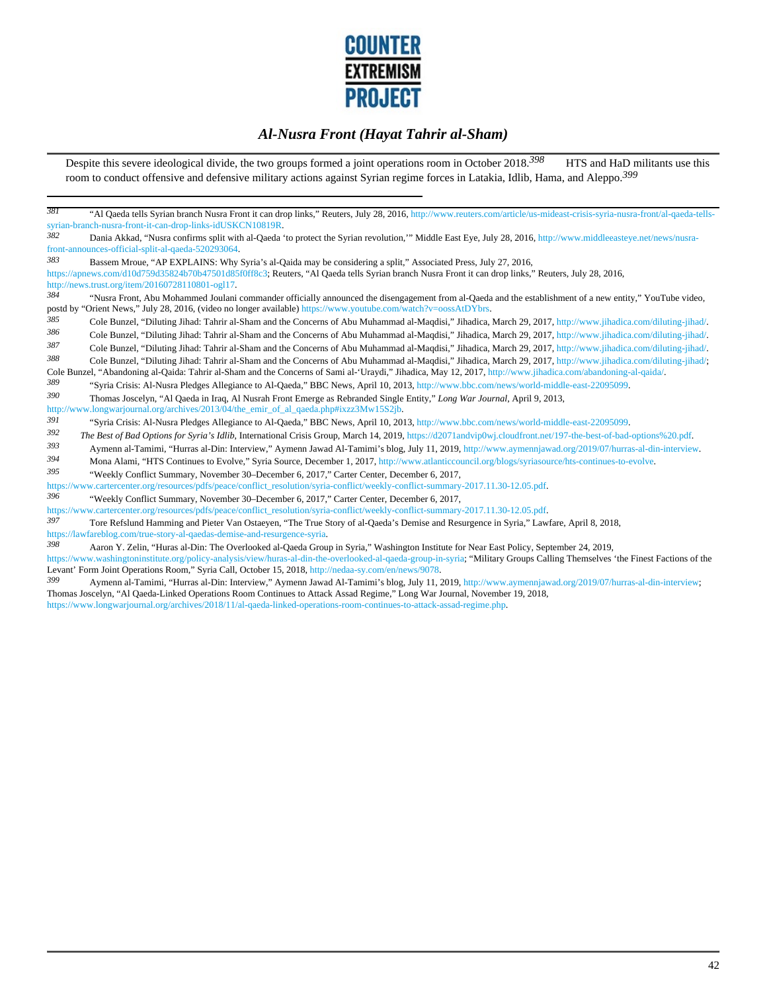

Despite this severe ideological divide, the two groups formed a joint operations room in October 2018.<sup>398</sup> HTS and HaD militants use this room to conduct offensive and defensive military actions against Syrian regime forces in Latakia, Idlib, Hama, and Aleppo.*399*

| 381                                                                                                                                                                           | "Al Qaeda tells Syrian branch Nusra Front it can drop links," Reuters, July 28, 2016, http://www.reuters.com/article/us-mideast-crisis-syria-nusra-front/al-qaeda-tells- |
|-------------------------------------------------------------------------------------------------------------------------------------------------------------------------------|--------------------------------------------------------------------------------------------------------------------------------------------------------------------------|
| syrian-branch-nusra-front-it-can-drop-links-idUSKCN10819R.                                                                                                                    |                                                                                                                                                                          |
| 382                                                                                                                                                                           | Dania Akkad, "Nusra confirms split with al-Qaeda 'to protect the Syrian revolution," Middle East Eye, July 28, 2016, http://www.middleeasteye.net/news/nusra-            |
| front-announces-official-split-al-qaeda-520293064.                                                                                                                            |                                                                                                                                                                          |
| 383<br>Bassem Mroue, "AP EXPLAINS: Why Syria's al-Qaida may be considering a split," Associated Press, July 27, 2016,                                                         |                                                                                                                                                                          |
| https://apnews.com/d10d759d35824b70b47501d85f0ff8c3; Reuters, "Al Qaeda tells Syrian branch Nusra Front it can drop links," Reuters, July 28, 2016,                           |                                                                                                                                                                          |
| http://news.trust.org/item/20160728110801-ogl17.                                                                                                                              |                                                                                                                                                                          |
| 384                                                                                                                                                                           | "Nusra Front, Abu Mohammed Joulani commander officially announced the disengagement from al-Qaeda and the establishment of a new entity," YouTube video,                 |
| postd by "Orient News," July 28, 2016, (video no longer available) https://www.youtube.com/watch?v=oossAtDYbrs.                                                               |                                                                                                                                                                          |
| 385                                                                                                                                                                           | Cole Bunzel, "Diluting Jihad: Tahrir al-Sham and the Concerns of Abu Muhammad al-Maqdisi," Jihadica, March 29, 2017, http://www.jihadica.com/diluting-jihad/.            |
| 386                                                                                                                                                                           | Cole Bunzel, "Diluting Jihad: Tahrir al-Sham and the Concerns of Abu Muhammad al-Maqdisi," Jihadica, March 29, 2017, http://www.jihadica.com/diluting-jihad/.            |
| 387                                                                                                                                                                           | Cole Bunzel, "Diluting Jihad: Tahrir al-Sham and the Concerns of Abu Muhammad al-Maqdisi," Jihadica, March 29, 2017, http://www.jihadica.com/diluting-jihad/.            |
| 388                                                                                                                                                                           | Cole Bunzel, "Diluting Jihad: Tahrir al-Sham and the Concerns of Abu Muhammad al-Magdisi," Jihadica, March 29, 2017, http://www.jihadica.com/diluting-jihad/;            |
| Cole Bunzel, "Abandoning al-Qaida: Tahrir al-Sham and the Concerns of Sami al-'Uraydi," Jihadica, May 12, 2017, http://www.jihadica.com/abandoning-al-qaida/.                 |                                                                                                                                                                          |
| 389<br>"Syria Crisis: Al-Nusra Pledges Allegiance to Al-Qaeda," BBC News, April 10, 2013, http://www.bbc.com/news/world-middle-east-22095099.                                 |                                                                                                                                                                          |
| 390<br>Thomas Joscelyn, "Al Qaeda in Iraq, Al Nusrah Front Emerge as Rebranded Single Entity," Long War Journal, April 9, 2013,                                               |                                                                                                                                                                          |
| http://www.longwarjournal.org/archives/2013/04/the_emir_of_al_qaeda.php#ixzz3Mw15S2jb.                                                                                        |                                                                                                                                                                          |
| 391<br>"Syria Crisis: Al-Nusra Pledges Allegiance to Al-Qaeda," BBC News, April 10, 2013, http://www.bbc.com/news/world-middle-east-22095099.                                 |                                                                                                                                                                          |
| 392                                                                                                                                                                           | The Best of Bad Options for Syria's Idlib, International Crisis Group, March 14, 2019, https://d2071andvip0wj.cloudfront.net/197-the-best-of-bad-options%20.pdf.         |
| 393                                                                                                                                                                           | Aymenn al-Tamimi, "Hurras al-Din: Interview," Aymenn Jawad Al-Tamimi's blog, July 11, 2019, http://www.aymennjawad.org/2019/07/hurras-al-din-interview.                  |
| 394<br>Mona Alami, "HTS Continues to Evolve," Syria Source, December 1, 2017, http://www.atlanticcouncil.org/blogs/syriasource/hts-continues-to-evolve.                       |                                                                                                                                                                          |
| 395<br>"Weekly Conflict Summary, November 30–December 6, 2017," Carter Center, December 6, 2017,                                                                              |                                                                                                                                                                          |
| https://www.cartercenter.org/resources/pdfs/peace/conflict_resolution/syria-conflict/weekly-conflict-summary-2017.11.30-12.05.pdf.                                            |                                                                                                                                                                          |
| 396<br>"Weekly Conflict Summary, November 30–December 6, 2017," Carter Center, December 6, 2017,                                                                              |                                                                                                                                                                          |
| https://www.cartercenter.org/resources/pdfs/peace/conflict_resolution/syria-conflict/weekly-conflict-summary-2017.11.30-12.05.pdf.                                            |                                                                                                                                                                          |
| 397<br>Tore Refslund Hamming and Pieter Van Ostaeven, "The True Story of al-Qaeda's Demise and Resurgence in Syria," Lawfare, April 8, 2018,                                  |                                                                                                                                                                          |
| https://lawfareblog.com/true-story-al-qaedas-demise-and-resurgence-syria.                                                                                                     |                                                                                                                                                                          |
| 398<br>Aaron Y. Zelin, "Huras al-Din: The Overlooked al-Qaeda Group in Syria," Washington Institute for Near East Policy, September 24, 2019,                                 |                                                                                                                                                                          |
| https://www.washingtoninstitute.org/policy-analysis/view/huras-al-din-the-overlooked-al-qaeda-group-in-syria; "Military Groups Calling Themselves 'the Finest Factions of the |                                                                                                                                                                          |
| Levant' Form Joint Operations Room," Syria Call, October 15, 2018, http://nedaa-sy.com/en/news/9078.                                                                          |                                                                                                                                                                          |

*399* Aymenn al-Tamimi, "Hurras al-Din: Interview," Aymenn Jawad Al-Tamimi's blog, July 11, 2019, http://www.aymennjawad.org/2019/07/hurras-al-din-interview; Thomas Joscelyn, "Al Qaeda-Linked Operations Room Continues to Attack Assad Regime," Long War Journal, November 19, 2018, https://www.longwarjournal.org/archives/2018/11/al-qaeda-linked-operations-room-continues-to-attack-assad-regime.php.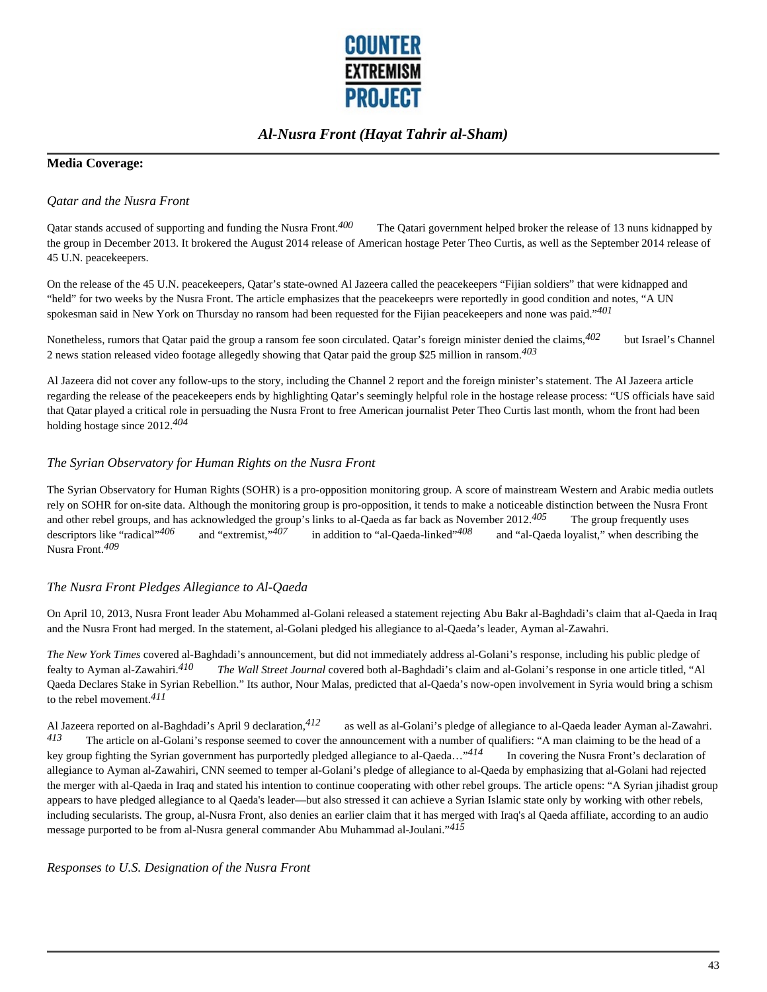

#### **Media Coverage:**

#### *Qatar and the Nusra Front*

Qatar stands accused of supporting and funding the Nusra Front.<sup>400</sup> The Qatari government helped broker the release of 13 nuns kidnapped by the group in December 2013. It brokered the August 2014 release of American hostage Peter Theo Curtis, as well as the September 2014 release of 45 U.N. peacekeepers.

On the release of the 45 U.N. peacekeepers, Qatar's state-owned Al Jazeera called the peacekeepers "Fijian soldiers" that were kidnapped and "held" for two weeks by the Nusra Front. The article emphasizes that the peacekeeprs were reportedly in good condition and notes, "A UN spokesman said in New York on Thursday no ransom had been requested for the Fijian peacekeepers and none was paid."*401* 

Nonetheless, rumors that Qatar paid the group a ransom fee soon circulated. Qatar's foreign minister denied the claims,*402* but Israel's Channel 2 news station released video footage allegedly showing that Qatar paid the group \$25 million in ransom.*403* 

Al Jazeera did not cover any follow-ups to the story, including the Channel 2 report and the foreign minister's statement. The Al Jazeera article regarding the release of the peacekeepers ends by highlighting Qatar's seemingly helpful role in the hostage release process: "US officials have said that Qatar played a critical role in persuading the Nusra Front to free American journalist Peter Theo Curtis last month, whom the front had been holding hostage since 2012.*404*

#### *The Syrian Observatory for Human Rights on the Nusra Front*

The Syrian Observatory for Human Rights (SOHR) is a pro-opposition monitoring group. A score of mainstream Western and Arabic media outlets rely on SOHR for on-site data. Although the monitoring group is pro-opposition, it tends to make a noticeable distinction between the Nusra Front and other rebel groups, and has acknowledged the group's links to al-Qaeda as far back as November 2012.*405* The group frequently uses descriptors like "radical"<sup>406</sup> and "extremist,"<sup>407</sup> in addition to "al-Qaeda-linked"<sup>408</sup> and "al-Qaeda loyalist," when describing the Nusra Front.*409* 

#### *The Nusra Front Pledges Allegiance to Al-Qaeda*

On April 10, 2013, Nusra Front leader Abu Mohammed al-Golani released a statement rejecting Abu Bakr al-Baghdadi's claim that al-Qaeda in Iraq and the Nusra Front had merged. In the statement, al-Golani pledged his allegiance to al-Qaeda's leader, Ayman al-Zawahri.

*The New York Times* covered al-Baghdadi's announcement, but did not immediately address al-Golani's response, including his public pledge of fealty to Ayman al-Zawahiri.*410 The Wall Street Journal* covered both al-Baghdadi's claim and al-Golani's response in one article titled, "Al Qaeda Declares Stake in Syrian Rebellion." Its author, Nour Malas, predicted that al-Qaeda's now-open involvement in Syria would bring a schism to the rebel movement.*411*

Al Jazeera reported on al-Baghdadi's April 9 declaration,*412* as well as al-Golani's pledge of allegiance to al-Qaeda leader Ayman al-Zawahri. *413* The article on al-Golani's response seemed to cover the announcement with a number of qualifiers: "A man claiming to be the head of a key group fighting the Syrian government has purportedly pledged allegiance to al-Qaeda…"*414* In covering the Nusra Front's declaration of allegiance to Ayman al-Zawahiri, CNN seemed to temper al-Golani's pledge of allegiance to al-Qaeda by emphasizing that al-Golani had rejected the merger with al-Qaeda in Iraq and stated his intention to continue cooperating with other rebel groups. The article opens: "A Syrian jihadist group appears to have pledged allegiance to al Qaeda's leader—but also stressed it can achieve a Syrian Islamic state only by working with other rebels, including secularists. The group, al-Nusra Front, also denies an earlier claim that it has merged with Iraq's al Qaeda affiliate, according to an audio message purported to be from al-Nusra general commander Abu Muhammad al-Joulani."*415*

*Responses to U.S. Designation of the Nusra Front*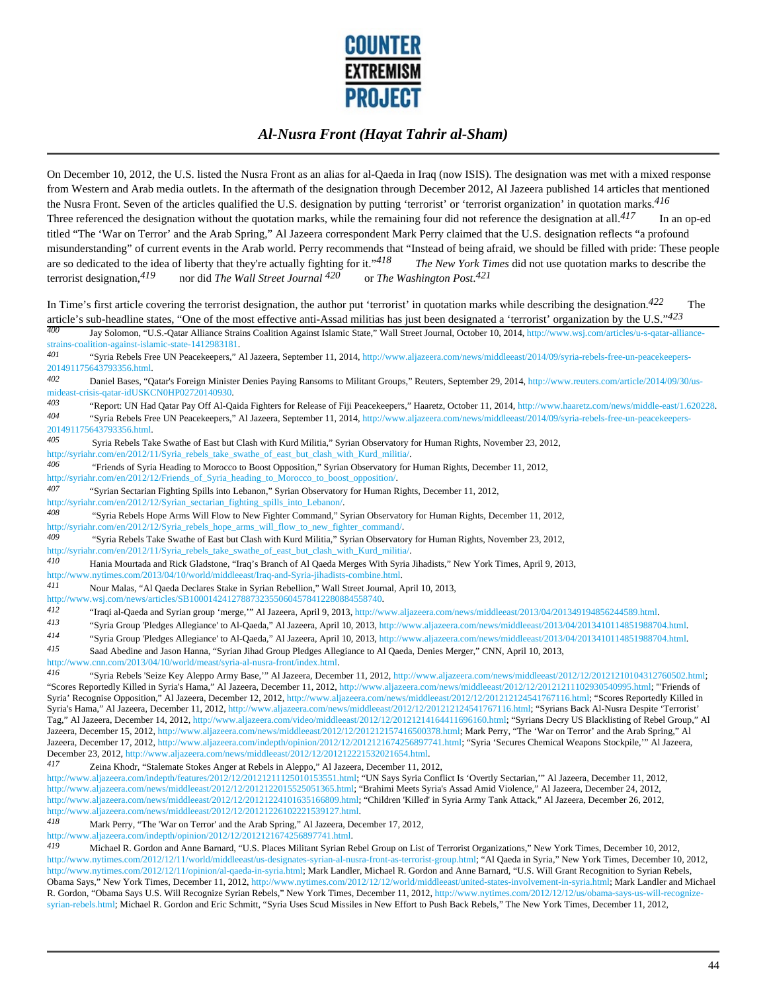

On December 10, 2012, the U.S. listed the Nusra Front as an alias for al-Qaeda in Iraq (now ISIS). The designation was met with a mixed response from Western and Arab media outlets. In the aftermath of the designation through December 2012, Al Jazeera published 14 articles that mentioned the Nusra Front. Seven of the articles qualified the U.S. designation by putting 'terrorist' or 'terrorist organization' in quotation marks.*416*  Three referenced the designation without the quotation marks, while the remaining four did not reference the designation at all.*417* In an op-ed titled "The 'War on Terror' and the Arab Spring," Al Jazeera correspondent Mark Perry claimed that the U.S. designation reflects "a profound misunderstanding" of current events in the Arab world. Perry recommends that "Instead of being afraid, we should be filled with pride: These people are so dedicated to the idea of liberty that they're actually fighting for it."*418 The New York Times* did not use quotation marks to describe the terrorist designation,<sup>419</sup> nor did *The Wall Street Journal* <sup>420</sup> or The Washington Post.<sup>421</sup>

In Time's first article covering the terrorist designation, the author put 'terrorist' in quotation marks while describing the designation.<sup>422</sup> The article's sub-headline states, "One of the most effective anti-Assad militias has just been designated a 'terrorist' organization by the U.S."<sup>423</sup><br><sup>400</sup> Tay Solomon "U.S. Ogtar Alliance Strains Coalition Against Islamic S

Jay Solomon, "U.S.-Qatar Alliance Strains Coalition Against Islamic State," Wall Street Journal, October 10, 2014, http://www.wsj.com/articles/u-s-qatar-alliancestrains-coalition-against-islamic-state-1412983181.

*401* "Syria Rebels Free UN Peacekeepers," Al Jazeera, September 11, 2014, http://www.aljazeera.com/news/middleeast/2014/09/syria-rebels-free-un-peacekeepers-201491175643793356.html.

*402* Daniel Bases, "Qatar's Foreign Minister Denies Paying Ransoms to Militant Groups," Reuters, September 29, 2014, http://www.reuters.com/article/2014/09/30/usmideast-crisis-qatar-idUSKCN0HP02720140930.

*403* "Report: UN Had Qatar Pay Off Al-Qaida Fighters for Release of Fiji Peacekeepers," Haaretz, October 11, 2014, http://www.haaretz.com/news/middle-east/1.620228. *404* "Syria Rebels Free UN Peacekeepers," Al Jazeera, September 11, 2014, http://www.aljazeera.com/news/middleeast/2014/09/syria-rebels-free-un-peacekeepers-201491175643793356.html<br>405 Syria Robels Tel

*405* Syria Rebels Take Swathe of East but Clash with Kurd Militia," Syrian Observatory for Human Rights, November 23, 2012, http://syriahr.com/en/2012/11/Syria\_rebels\_take\_swathe\_of\_east\_but\_clash\_with\_Kurd\_militia/.

*406* "Friends of Syria Heading to Morocco to Boost Opposition," Syrian Observatory for Human Rights, December 11, 2012, http://syriahr.com/en/2012/12/Friends\_of\_Syria\_heading\_to\_Morocco\_to\_boost\_opposition/.

*407* "Syrian Sectarian Fighting Spills into Lebanon," Syrian Observatory for Human Rights, December 11, 2012,

http://syriahr.com/en/2012/12/Syrian\_sectarian\_fighting\_spills\_into\_Lebanon/.

*408* "Syria Rebels Hope Arms Will Flow to New Fighter Command," Syrian Observatory for Human Rights, December 11, 2012, http://syriahr.com/en/2012/12/Syria\_rebels\_hope\_arms\_will\_flow\_to\_new\_fighter\_command/.

*409* "Syria Rebels Take Swathe of East but Clash with Kurd Militia," Syrian Observatory for Human Rights, November 23, 2012, http://syriahr.com/en/2012/11/Syria\_rebels\_take\_swathe\_of\_east\_but\_clash\_with\_Kurd\_militia/.

*410* Hania Mourtada and Rick Gladstone, "Iraq's Branch of Al Qaeda Merges With Syria Jihadists," New York Times, April 9, 2013,

http://www.nytimes.com/2013/04/10/world/middleeast/Iraq-and-Syria-jihadists-combine.html.

*411* Nour Malas, "Al Qaeda Declares Stake in Syrian Rebellion," Wall Street Journal, April 10, 2013,

http://www.wsj.com/news/articles/SB10001424127887323550604578412280884558740.

*412* "Iraqi al-Qaeda and Syrian group 'merge,'" Al Jazeera, April 9, 2013, http://www.aljazeera.com/news/middleeast/2013/04/201349194856244589.html.

*413* "Syria Group 'Pledges Allegiance' to Al-Qaeda," Al Jazeera, April 10, 2013, http://www.aljazeera.com/news/middleeast/2013/04/2013410114851988704.html.

<sup>414</sup> "Syria Group 'Pledges Allegiance' to Al-Qaeda," Al Jazeera, April 10, 2013, http://www.aljazeera.com/news/middleeast/2013/04/2013410114851988704.html.<br><sup>415</sup> Saed Abedina and Jason Hanna "Surian Libed Group Pledges Al

Saad Abedine and Jason Hanna, "Syrian Jihad Group Pledges Allegiance to Al Qaeda, Denies Merger," CNN, April 10, 2013,

http://www.cnn.com/2013/04/10/world/meast/syria-al-nusra-front/index.html.

*416* "Syria Rebels 'Seize Key Aleppo Army Base,'" Al Jazeera, December 11, 2012, http://www.aljazeera.com/news/middleeast/2012/12/20121210104312760502.html; "Scores Reportedly Killed in Syria's Hama," Al Jazeera, December 11, 2012, http://www.aljazeera.com/news/middleeast/2012/12/20121211102930540995.html; "'Friends of Syria' Recognise Opposition," Al Jazeera, December 12, 2012, http://www.aljazeera.com/news/middleeast/2012/12/201212124541767116.html; "Scores Reportedly Killed in Syria's Hama," Al Jazeera, December 11, 2012, http://www.aljazeera.com/news/middleeast/2012/12/201212124541767116.html; "Syrians Back Al-Nusra Despite 'Terrorist' Tag," Al Jazeera, December 14, 2012, http://www.aljazeera.com/video/middleeast/2012/12/20121214164411696160.html; "Syrians Decry US Blacklisting of Rebel Group," Al Jazeera, December 15, 2012, http://www.aljazeera.com/news/middleeast/2012/12/201212157416500378.html; Mark Perry, "The 'War on Terror' and the Arab Spring," Al Jazeera, December 17, 2012, http://www.aljazeera.com/indepth/opinion/2012/12/2012121674256897741.html; "Syria 'Secures Chemical Weapons Stockpile,'" Al Jazeera, December 23, 2012, http://www.aljazeera.com/news/middleeast/2012/12/201212221532021654.html.

*417* Zeina Khodr, "Stalemate Stokes Anger at Rebels in Aleppo," Al Jazeera, December 11, 2012,

http://www.aljazeera.com/indepth/features/2012/12/20121211125010153551.html; "UN Says Syria Conflict Is 'Overtly Sectarian,'" Al Jazeera, December 11, 2012, http://www.aljazeera.com/news/middleeast/2012/12/2012122015525051365.html; "Brahimi Meets Syria's Assad Amid Violence," Al Jazeera, December 24, 2012, http://www.aljazeera.com/news/middleeast/2012/12/20121224101635166809.html; "Children 'Killed' in Syria Army Tank Attack," Al Jazeera, December 26, 2012, http://www.aljazeera.com/news/middleeast/2012/12/20121226102221539127.html.

*418* Mark Perry, "The 'War on Terror' and the Arab Spring," Al Jazeera, December 17, 2012,

http://www.aljazeera.com/indepth/opinion/2012/12/2012121674256897741.html<br>419 Michael B. Gordon and Anne Bernard "U.S. Bloges Militart Swinn B

*419* Michael R. Gordon and Anne Barnard, "U.S. Places Militant Syrian Rebel Group on List of Terrorist Organizations," New York Times, December 10, 2012, http://www.nytimes.com/2012/12/11/world/middleeast/us-designates-syrian-al-nusra-front-as-terrorist-group.html; "Al Qaeda in Syria," New York Times, December 10, 2012, http://www.nytimes.com/2012/12/11/opinion/al-qaeda-in-syria.html; Mark Landler, Michael R. Gordon and Anne Barnard, "U.S. Will Grant Recognition to Syrian Rebels, Obama Says," New York Times, December 11, 2012, http://www.nytimes.com/2012/12/12/world/middleeast/united-states-involvement-in-syria.html; Mark Landler and Michael R. Gordon, "Obama Says U.S. Will Recognize Syrian Rebels," New York Times, December 11, 2012, http://www.nytimes.com/2012/12/12/us/obama-says-us-will-recognizesyrian-rebels.html; Michael R. Gordon and Eric Schmitt, "Syria Uses Scud Missiles in New Effort to Push Back Rebels," The New York Times, December 11, 2012,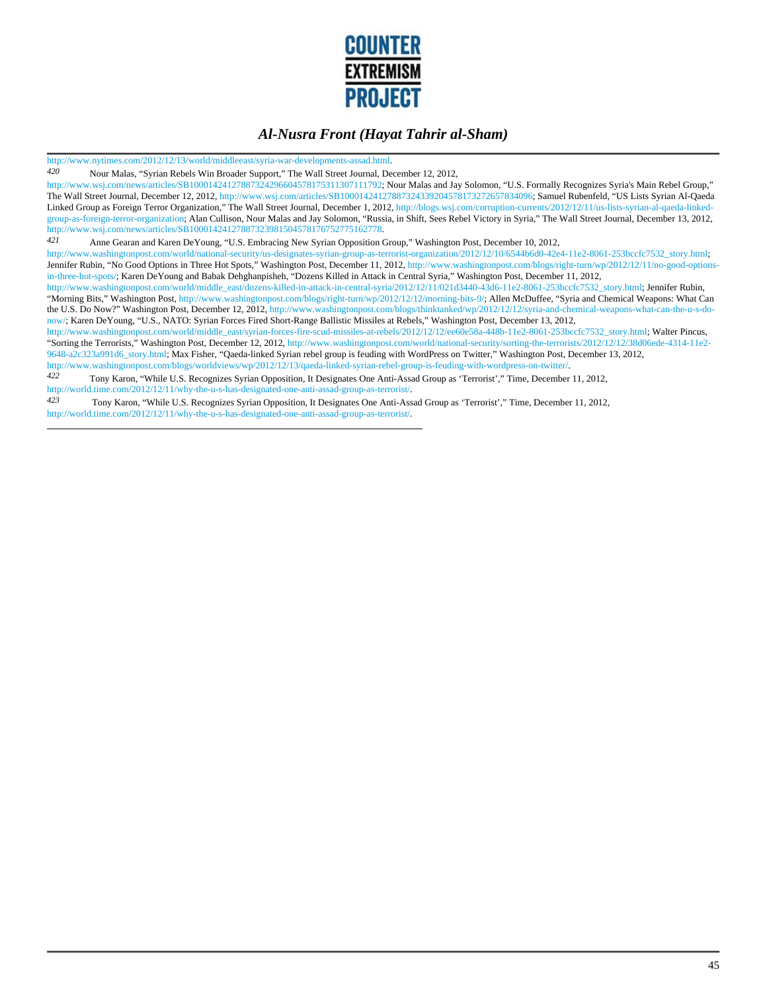

http://www.nytimes.com/2012/12/13/world/middleeast/syria-war-developments-assad.html.

*420* Nour Malas, "Syrian Rebels Win Broader Support," The Wall Street Journal, December 12, 2012,

http://www.wsj.com/news/articles/SB10001424127887324296604578175311307111792; Nour Malas and Jay Solomon, "U.S. Formally Recognizes Syria's Main Rebel Group," The Wall Street Journal, December 12, 2012, http://www.wsj.com/articles/SB10001424127887324339204578173272657834096; Samuel Rubenfeld, "US Lists Syrian Al-Qaeda Linked Group as Foreign Terror Organization," The Wall Street Journal, December 1, 2012, http://blogs.wsj.com/corruption-currents/2012/12/11/us-lists-syrian-al-qaeda-linkedgroup-as-foreign-terror-organization; Alan Cullison, Nour Malas and Jay Solomon, "Russia, in Shift, Sees Rebel Victory in Syria," The Wall Street Journal, December 13, 2012, http://www.wsj.com/news/articles/SB10001424127887323981504578176752775162778.

*421* Anne Gearan and Karen DeYoung, "U.S. Embracing New Syrian Opposition Group," Washington Post, December 10, 2012,

http://www.washingtonpost.com/world/national-security/us-designates-syrian-group-as-terrorist-organization/2012/12/10/6544b6d0-42e4-11e2-8061-253bccfc7532\_story.html; Jennifer Rubin, "No Good Options in Three Hot Spots," Washington Post, December 11, 2012, http://www.washingtonpost.com/blogs/right-turn/wp/2012/12/11/no-good-optionsin-three-hot-spots/; Karen DeYoung and Babak Dehghanpisheh, "Dozens Killed in Attack in Central Syria," Washington Post, December 11, 2012,

http://www.washingtonpost.com/world/middle\_east/dozens-killed-in-attack-in-central-syria/2012/12/11/021d3440-43d6-11e2-8061-253bccfc7532\_story.html; Jennifer Rubin, "Morning Bits," Washington Post, http://www.washingtonpost.com/blogs/right-turn/wp/2012/12/12/morning-bits-9/; Allen McDuffee, "Syria and Chemical Weapons: What Can the U.S. Do Now?" Washington Post, December 12, 2012, http://www.washingtonpost.com/blogs/thinktanked/wp/2012/12/12/syria-and-chemical-weapons-what-can-the-u-s-donow/; Karen DeYoung, "U.S., NATO: Syrian Forces Fired Short-Range Ballistic Missiles at Rebels," Washington Post, December 13, 2012,

http://www.washingtonpost.com/world/middle\_east/syrian-forces-fire-scud-missiles-at-rebels/2012/12/12/ee60e58a-448b-11e2-8061-253bccfc7532\_story.html; Walter Pincus, "Sorting the Terrorists," Washington Post, December 12, 2012, http://www.washingtonpost.com/world/national-security/sorting-the-terrorists/2012/12/12/38d06ede-4314-11e2- 9648-a2c323a991d6\_story.html; Max Fisher, "Qaeda-linked Syrian rebel group is feuding with WordPress on Twitter," Washington Post, December 13, 2012, http://www.washingtonpost.com/blogs/worldviews/wp/2012/12/13/qaeda-linked-syrian-rebel-group-is-feuding-with-wordpress-on-twitter/.

*422* Tony Karon, "While U.S. Recognizes Syrian Opposition, It Designates One Anti-Assad Group as 'Terrorist'," Time, December 11, 2012, http://world.time.com/2012/12/11/why-the-u-s-has-designated-one-anti-assad-group-as-terrorist/.

*423* Tony Karon, "While U.S. Recognizes Syrian Opposition, It Designates One Anti-Assad Group as 'Terrorist'," Time, December 11, 2012, http://world.time.com/2012/12/11/why-the-u-s-has-designated-one-anti-assad-group-as-terrorist/.